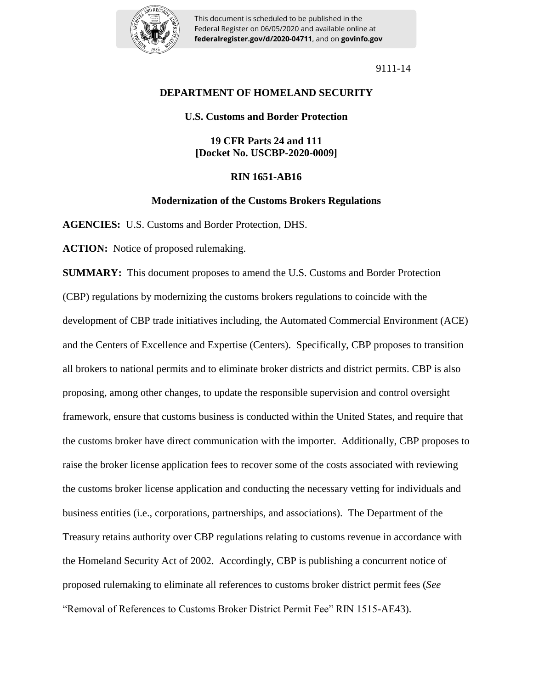

This document is scheduled to be published in the Federal Register on 06/05/2020 and available online at **federalregister.gov/d/2020-04711**, and on **govinfo.gov**

9111-14

# **DEPARTMENT OF HOMELAND SECURITY**

# **U.S. Customs and Border Protection**

# **19 CFR Parts 24 and 111 [Docket No. USCBP-2020-0009]**

# **RIN 1651-AB16**

# **Modernization of the Customs Brokers Regulations**

**AGENCIES:** U.S. Customs and Border Protection, DHS.

**ACTION:** Notice of proposed rulemaking.

**SUMMARY:** This document proposes to amend the U.S. Customs and Border Protection (CBP) regulations by modernizing the customs brokers regulations to coincide with the development of CBP trade initiatives including, the Automated Commercial Environment (ACE) and the Centers of Excellence and Expertise (Centers). Specifically, CBP proposes to transition all brokers to national permits and to eliminate broker districts and district permits. CBP is also proposing, among other changes, to update the responsible supervision and control oversight framework, ensure that customs business is conducted within the United States, and require that the customs broker have direct communication with the importer. Additionally, CBP proposes to raise the broker license application fees to recover some of the costs associated with reviewing the customs broker license application and conducting the necessary vetting for individuals and business entities (i.e., corporations, partnerships, and associations). The Department of the Treasury retains authority over CBP regulations relating to customs revenue in accordance with the Homeland Security Act of 2002. Accordingly, CBP is publishing a concurrent notice of proposed rulemaking to eliminate all references to customs broker district permit fees (*See*  "Removal of References to Customs Broker District Permit Fee" RIN 1515-AE43).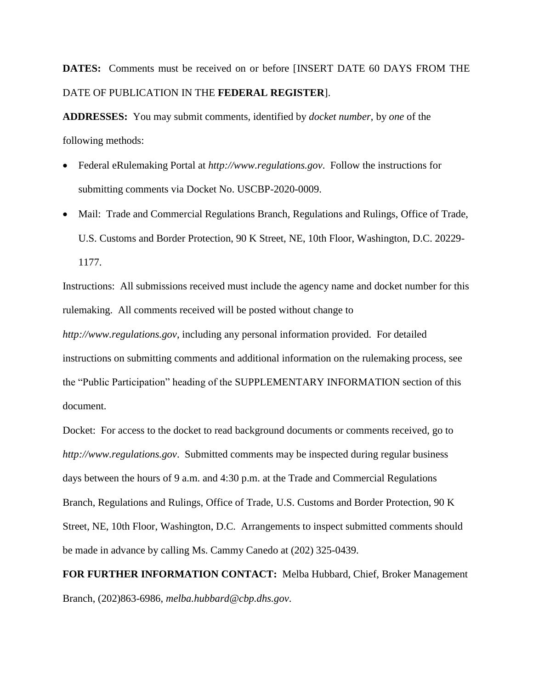# **DATES:** Comments must be received on or before [INSERT DATE 60 DAYS FROM THE DATE OF PUBLICATION IN THE **FEDERAL REGISTER**].

**ADDRESSES:** You may submit comments, identified by *docket number*, by *one* of the following methods:

- Federal eRulemaking Portal at *http://www.regulations.gov*. Follow the instructions for submitting comments via Docket No. USCBP-2020-0009.
- Mail: Trade and Commercial Regulations Branch, Regulations and Rulings, Office of Trade, U.S. Customs and Border Protection, 90 K Street, NE, 10th Floor, Washington, D.C. 20229- 1177.

Instructions: All submissions received must include the agency name and docket number for this rulemaking. All comments received will be posted without change to

*http://www.regulations.gov*, including any personal information provided. For detailed instructions on submitting comments and additional information on the rulemaking process, see the "Public Participation" heading of the SUPPLEMENTARY INFORMATION section of this document.

Docket: For access to the docket to read background documents or comments received, go to *http://www.regulations.gov*. Submitted comments may be inspected during regular business days between the hours of 9 a.m. and 4:30 p.m. at the Trade and Commercial Regulations Branch, Regulations and Rulings, Office of Trade, U.S. Customs and Border Protection, 90 K Street, NE, 10th Floor, Washington, D.C. Arrangements to inspect submitted comments should be made in advance by calling Ms. Cammy Canedo at (202) 325-0439.

**FOR FURTHER INFORMATION CONTACT:** Melba Hubbard, Chief, Broker Management Branch, (202)863-6986, *melba.hubbard@cbp.dhs.gov*.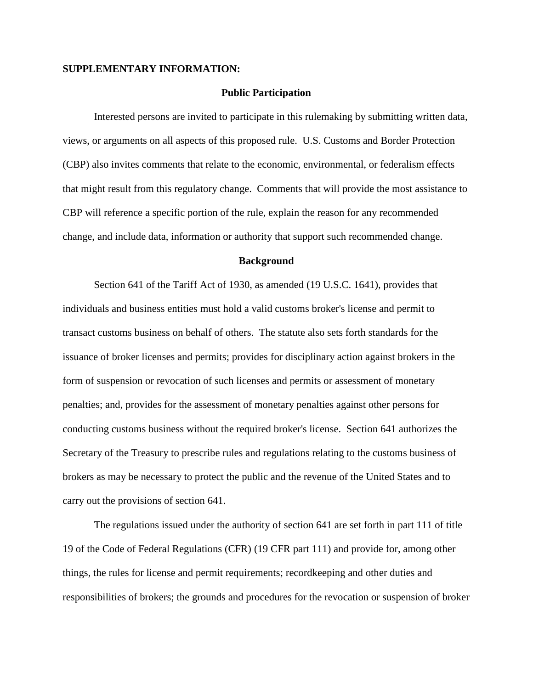# **SUPPLEMENTARY INFORMATION:**

# **Public Participation**

Interested persons are invited to participate in this rulemaking by submitting written data, views, or arguments on all aspects of this proposed rule. U.S. Customs and Border Protection (CBP) also invites comments that relate to the economic, environmental, or federalism effects that might result from this regulatory change. Comments that will provide the most assistance to CBP will reference a specific portion of the rule, explain the reason for any recommended change, and include data, information or authority that support such recommended change.

### **Background**

Section 641 of the Tariff Act of 1930, as amended (19 U.S.C. 1641), provides that individuals and business entities must hold a valid customs broker's license and permit to transact customs business on behalf of others. The statute also sets forth standards for the issuance of broker licenses and permits; provides for disciplinary action against brokers in the form of suspension or revocation of such licenses and permits or assessment of monetary penalties; and, provides for the assessment of monetary penalties against other persons for conducting customs business without the required broker's license. Section 641 authorizes the Secretary of the Treasury to prescribe rules and regulations relating to the customs business of brokers as may be necessary to protect the public and the revenue of the United States and to carry out the provisions of section 641.

The regulations issued under the authority of section 641 are set forth in part 111 of title 19 of the Code of Federal Regulations (CFR) (19 CFR part 111) and provide for, among other things, the rules for license and permit requirements; recordkeeping and other duties and responsibilities of brokers; the grounds and procedures for the revocation or suspension of broker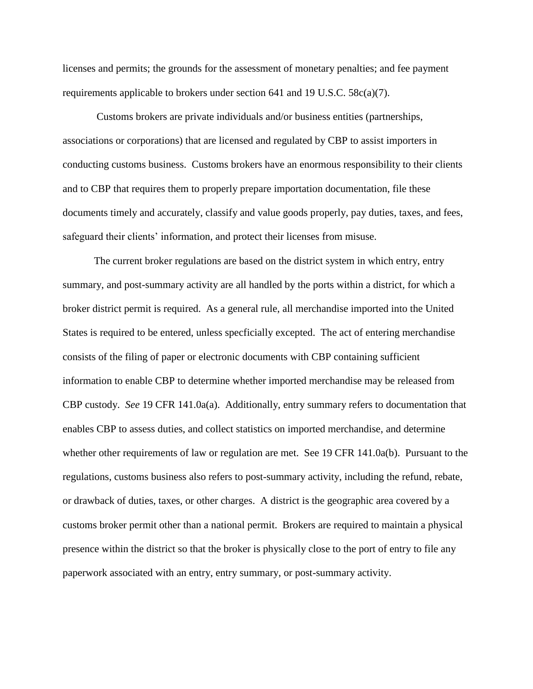licenses and permits; the grounds for the assessment of monetary penalties; and fee payment requirements applicable to brokers under section 641 and 19 U.S.C. 58c(a)(7).

Customs brokers are private individuals and/or business entities (partnerships, associations or corporations) that are licensed and regulated by CBP to assist importers in conducting customs business. Customs brokers have an enormous responsibility to their clients and to CBP that requires them to properly prepare importation documentation, file these documents timely and accurately, classify and value goods properly, pay duties, taxes, and fees, safeguard their clients' information, and protect their licenses from misuse.

The current broker regulations are based on the district system in which entry, entry summary, and post-summary activity are all handled by the ports within a district, for which a broker district permit is required. As a general rule, all merchandise imported into the United States is required to be entered, unless specficially excepted. The act of entering merchandise consists of the filing of paper or electronic documents with CBP containing sufficient information to enable CBP to determine whether imported merchandise may be released from CBP custody. *See* 19 CFR 141.0a(a). Additionally, entry summary refers to documentation that enables CBP to assess duties, and collect statistics on imported merchandise, and determine whether other requirements of law or regulation are met. See 19 CFR 141.0a(b). Pursuant to the regulations, customs business also refers to post-summary activity, including the refund, rebate, or drawback of duties, taxes, or other charges. A district is the geographic area covered by a customs broker permit other than a national permit. Brokers are required to maintain a physical presence within the district so that the broker is physically close to the port of entry to file any paperwork associated with an entry, entry summary, or post-summary activity.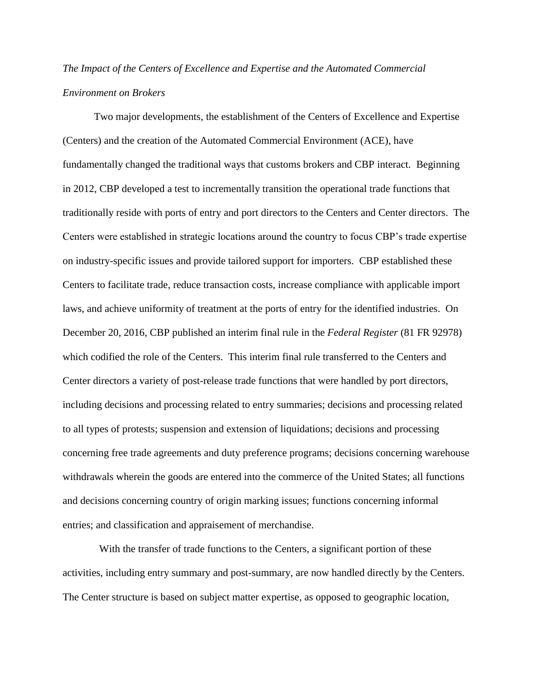# *The Impact of the Centers of Excellence and Expertise and the Automated Commercial Environment on Brokers*

Two major developments, the establishment of the Centers of Excellence and Expertise (Centers) and the creation of the Automated Commercial Environment (ACE), have fundamentally changed the traditional ways that customs brokers and CBP interact. Beginning in 2012, CBP developed a test to incrementally transition the operational trade functions that traditionally reside with ports of entry and port directors to the Centers and Center directors. The Centers were established in strategic locations around the country to focus CBP's trade expertise on industry-specific issues and provide tailored support for importers. CBP established these Centers to facilitate trade, reduce transaction costs, increase compliance with applicable import laws, and achieve uniformity of treatment at the ports of entry for the identified industries. On December 20, 2016, CBP published an interim final rule in the *Federal Register* (81 FR 92978) which codified the role of the Centers. This interim final rule transferred to the Centers and Center directors a variety of post-release trade functions that were handled by port directors, including decisions and processing related to entry summaries; decisions and processing related to all types of protests; suspension and extension of liquidations; decisions and processing concerning free trade agreements and duty preference programs; decisions concerning warehouse withdrawals wherein the goods are entered into the commerce of the United States; all functions and decisions concerning country of origin marking issues; functions concerning informal entries; and classification and appraisement of merchandise.

 With the transfer of trade functions to the Centers, a significant portion of these activities, including entry summary and post-summary, are now handled directly by the Centers. The Center structure is based on subject matter expertise, as opposed to geographic location,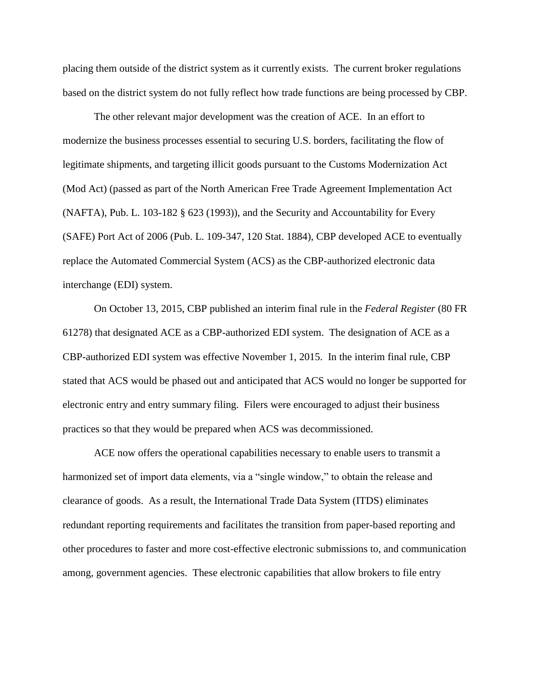placing them outside of the district system as it currently exists. The current broker regulations based on the district system do not fully reflect how trade functions are being processed by CBP.

The other relevant major development was the creation of ACE. In an effort to modernize the business processes essential to securing U.S. borders, facilitating the flow of legitimate shipments, and targeting illicit goods pursuant to the Customs Modernization Act (Mod Act) (passed as part of the North American Free Trade Agreement Implementation Act (NAFTA), Pub. L. 103-182 § 623 (1993)), and the Security and Accountability for Every (SAFE) Port Act of 2006 (Pub. L. 109-347, 120 Stat. 1884), CBP developed ACE to eventually replace the Automated Commercial System (ACS) as the CBP-authorized electronic data interchange (EDI) system.

On October 13, 2015, CBP published an interim final rule in the *Federal Register* (80 FR 61278) that designated ACE as a CBP-authorized EDI system. The designation of ACE as a CBP-authorized EDI system was effective November 1, 2015. In the interim final rule, CBP stated that ACS would be phased out and anticipated that ACS would no longer be supported for electronic entry and entry summary filing. Filers were encouraged to adjust their business practices so that they would be prepared when ACS was decommissioned.

ACE now offers the operational capabilities necessary to enable users to transmit a harmonized set of import data elements, via a "single window," to obtain the release and clearance of goods. As a result, the International Trade Data System (ITDS) eliminates redundant reporting requirements and facilitates the transition from paper-based reporting and other procedures to faster and more cost-effective electronic submissions to, and communication among, government agencies. These electronic capabilities that allow brokers to file entry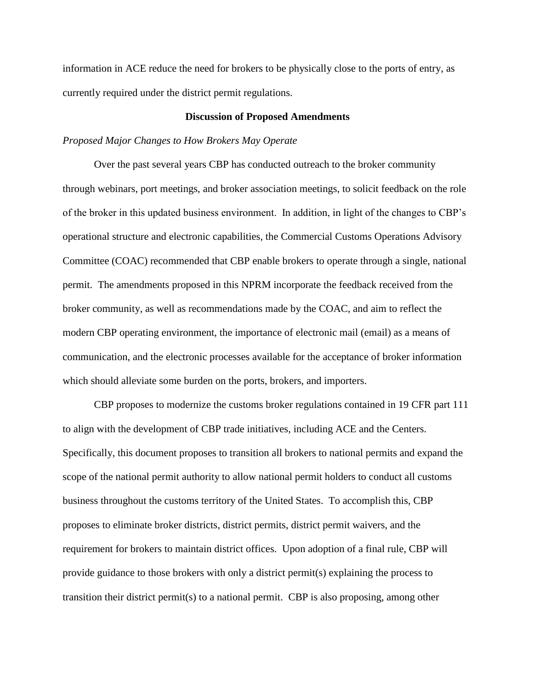information in ACE reduce the need for brokers to be physically close to the ports of entry, as currently required under the district permit regulations.

## **Discussion of Proposed Amendments**

# *Proposed Major Changes to How Brokers May Operate*

Over the past several years CBP has conducted outreach to the broker community through webinars, port meetings, and broker association meetings, to solicit feedback on the role of the broker in this updated business environment. In addition, in light of the changes to CBP's operational structure and electronic capabilities, the Commercial Customs Operations Advisory Committee (COAC) recommended that CBP enable brokers to operate through a single, national permit. The amendments proposed in this NPRM incorporate the feedback received from the broker community, as well as recommendations made by the COAC, and aim to reflect the modern CBP operating environment, the importance of electronic mail (email) as a means of communication, and the electronic processes available for the acceptance of broker information which should alleviate some burden on the ports, brokers, and importers.

CBP proposes to modernize the customs broker regulations contained in 19 CFR part 111 to align with the development of CBP trade initiatives, including ACE and the Centers. Specifically, this document proposes to transition all brokers to national permits and expand the scope of the national permit authority to allow national permit holders to conduct all customs business throughout the customs territory of the United States. To accomplish this, CBP proposes to eliminate broker districts, district permits, district permit waivers, and the requirement for brokers to maintain district offices. Upon adoption of a final rule, CBP will provide guidance to those brokers with only a district permit(s) explaining the process to transition their district permit(s) to a national permit. CBP is also proposing, among other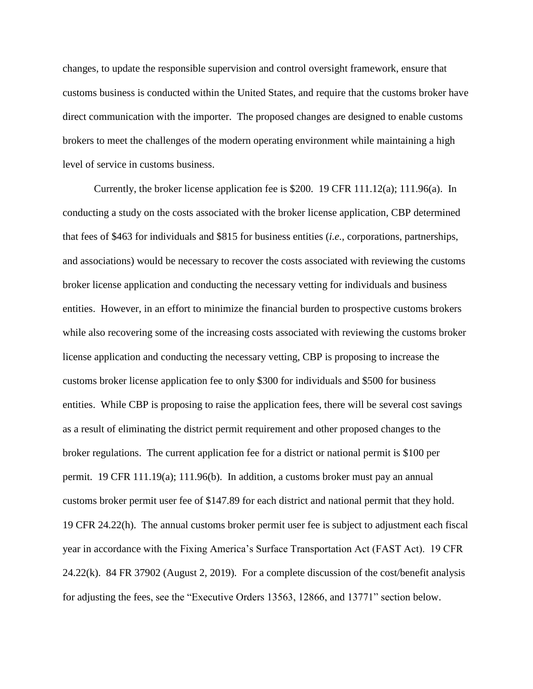changes, to update the responsible supervision and control oversight framework, ensure that customs business is conducted within the United States, and require that the customs broker have direct communication with the importer. The proposed changes are designed to enable customs brokers to meet the challenges of the modern operating environment while maintaining a high level of service in customs business.

Currently, the broker license application fee is \$200. 19 CFR 111.12(a); 111.96(a). In conducting a study on the costs associated with the broker license application, CBP determined that fees of \$463 for individuals and \$815 for business entities (*i.e.*, corporations, partnerships, and associations) would be necessary to recover the costs associated with reviewing the customs broker license application and conducting the necessary vetting for individuals and business entities. However, in an effort to minimize the financial burden to prospective customs brokers while also recovering some of the increasing costs associated with reviewing the customs broker license application and conducting the necessary vetting, CBP is proposing to increase the customs broker license application fee to only \$300 for individuals and \$500 for business entities. While CBP is proposing to raise the application fees, there will be several cost savings as a result of eliminating the district permit requirement and other proposed changes to the broker regulations. The current application fee for a district or national permit is \$100 per permit. 19 CFR 111.19(a); 111.96(b). In addition, a customs broker must pay an annual customs broker permit user fee of \$147.89 for each district and national permit that they hold. 19 CFR 24.22(h). The annual customs broker permit user fee is subject to adjustment each fiscal year in accordance with the Fixing America's Surface Transportation Act (FAST Act). 19 CFR 24.22(k). 84 FR 37902 (August 2, 2019). For a complete discussion of the cost/benefit analysis for adjusting the fees, see the "Executive Orders 13563, 12866, and 13771" section below.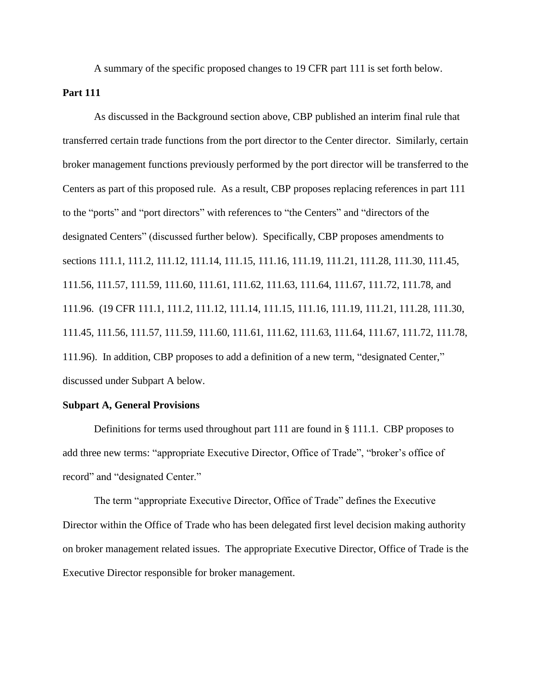A summary of the specific proposed changes to 19 CFR part 111 is set forth below.

# **Part 111**

As discussed in the Background section above, CBP published an interim final rule that transferred certain trade functions from the port director to the Center director. Similarly, certain broker management functions previously performed by the port director will be transferred to the Centers as part of this proposed rule. As a result, CBP proposes replacing references in part 111 to the "ports" and "port directors" with references to "the Centers" and "directors of the designated Centers" (discussed further below). Specifically, CBP proposes amendments to sections 111.1, 111.2, 111.12, 111.14, 111.15, 111.16, 111.19, 111.21, 111.28, 111.30, 111.45, 111.56, 111.57, 111.59, 111.60, 111.61, 111.62, 111.63, 111.64, 111.67, 111.72, 111.78, and 111.96. (19 CFR 111.1, 111.2, 111.12, 111.14, 111.15, 111.16, 111.19, 111.21, 111.28, 111.30, 111.45, 111.56, 111.57, 111.59, 111.60, 111.61, 111.62, 111.63, 111.64, 111.67, 111.72, 111.78, 111.96). In addition, CBP proposes to add a definition of a new term, "designated Center," discussed under Subpart A below.

#### **Subpart A, General Provisions**

Definitions for terms used throughout part 111 are found in § 111.1. CBP proposes to add three new terms: "appropriate Executive Director, Office of Trade", "broker's office of record" and "designated Center."

The term "appropriate Executive Director, Office of Trade" defines the Executive Director within the Office of Trade who has been delegated first level decision making authority on broker management related issues. The appropriate Executive Director, Office of Trade is the Executive Director responsible for broker management.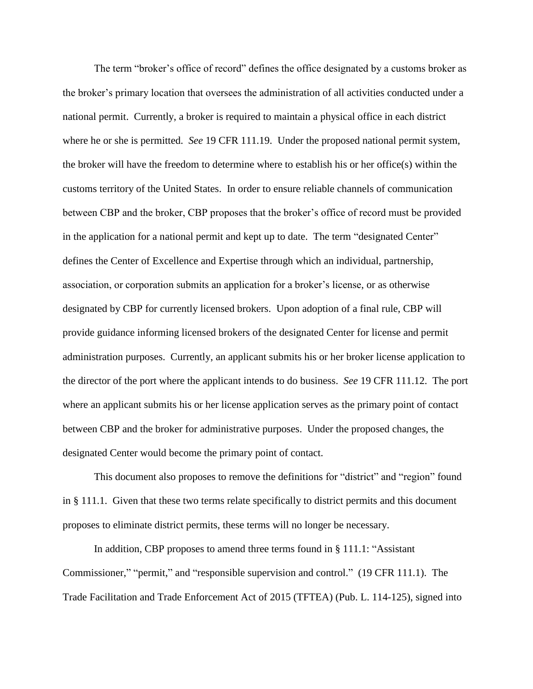The term "broker's office of record" defines the office designated by a customs broker as the broker's primary location that oversees the administration of all activities conducted under a national permit. Currently, a broker is required to maintain a physical office in each district where he or she is permitted. *See* 19 CFR 111.19. Under the proposed national permit system, the broker will have the freedom to determine where to establish his or her office(s) within the customs territory of the United States. In order to ensure reliable channels of communication between CBP and the broker, CBP proposes that the broker's office of record must be provided in the application for a national permit and kept up to date. The term "designated Center" defines the Center of Excellence and Expertise through which an individual, partnership, association, or corporation submits an application for a broker's license, or as otherwise designated by CBP for currently licensed brokers. Upon adoption of a final rule, CBP will provide guidance informing licensed brokers of the designated Center for license and permit administration purposes. Currently, an applicant submits his or her broker license application to the director of the port where the applicant intends to do business. *See* 19 CFR 111.12. The port where an applicant submits his or her license application serves as the primary point of contact between CBP and the broker for administrative purposes. Under the proposed changes, the designated Center would become the primary point of contact.

This document also proposes to remove the definitions for "district" and "region" found in § 111.1. Given that these two terms relate specifically to district permits and this document proposes to eliminate district permits, these terms will no longer be necessary.

In addition, CBP proposes to amend three terms found in § 111.1: "Assistant Commissioner," "permit," and "responsible supervision and control." (19 CFR 111.1). The Trade Facilitation and Trade Enforcement Act of 2015 (TFTEA) (Pub. L. 114-125), signed into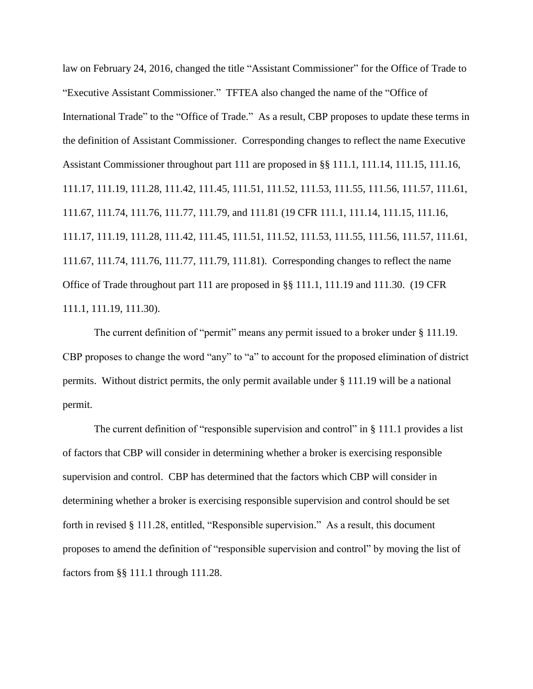law on February 24, 2016, changed the title "Assistant Commissioner" for the Office of Trade to "Executive Assistant Commissioner." TFTEA also changed the name of the "Office of International Trade" to the "Office of Trade." As a result, CBP proposes to update these terms in the definition of Assistant Commissioner. Corresponding changes to reflect the name Executive Assistant Commissioner throughout part 111 are proposed in §§ 111.1, 111.14, 111.15, 111.16, 111.17, 111.19, 111.28, 111.42, 111.45, 111.51, 111.52, 111.53, 111.55, 111.56, 111.57, 111.61, 111.67, 111.74, 111.76, 111.77, 111.79, and 111.81 (19 CFR 111.1, 111.14, 111.15, 111.16, 111.17, 111.19, 111.28, 111.42, 111.45, 111.51, 111.52, 111.53, 111.55, 111.56, 111.57, 111.61, 111.67, 111.74, 111.76, 111.77, 111.79, 111.81). Corresponding changes to reflect the name Office of Trade throughout part 111 are proposed in §§ 111.1, 111.19 and 111.30. (19 CFR 111.1, 111.19, 111.30).

The current definition of "permit" means any permit issued to a broker under § 111.19. CBP proposes to change the word "any" to "a" to account for the proposed elimination of district permits. Without district permits, the only permit available under § 111.19 will be a national permit.

The current definition of "responsible supervision and control" in § 111.1 provides a list of factors that CBP will consider in determining whether a broker is exercising responsible supervision and control. CBP has determined that the factors which CBP will consider in determining whether a broker is exercising responsible supervision and control should be set forth in revised § 111.28, entitled, "Responsible supervision." As a result, this document proposes to amend the definition of "responsible supervision and control" by moving the list of factors from §§ 111.1 through 111.28.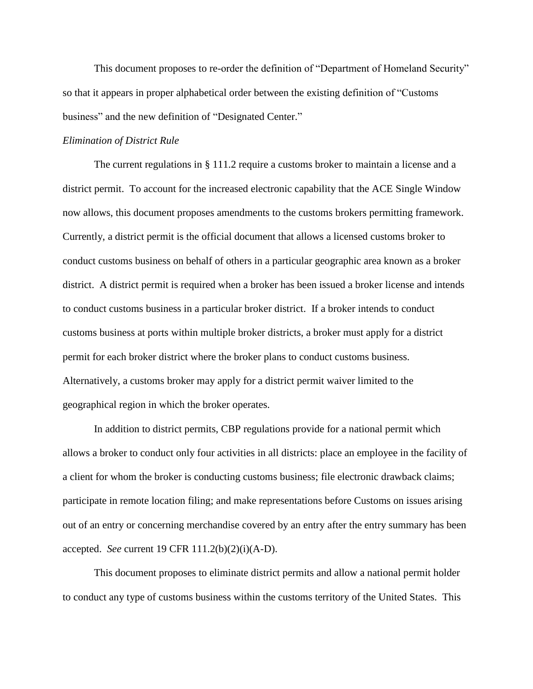This document proposes to re-order the definition of "Department of Homeland Security" so that it appears in proper alphabetical order between the existing definition of "Customs business" and the new definition of "Designated Center."

# *Elimination of District Rule*

The current regulations in § 111.2 require a customs broker to maintain a license and a district permit. To account for the increased electronic capability that the ACE Single Window now allows, this document proposes amendments to the customs brokers permitting framework. Currently, a district permit is the official document that allows a licensed customs broker to conduct customs business on behalf of others in a particular geographic area known as a broker district. A district permit is required when a broker has been issued a broker license and intends to conduct customs business in a particular broker district. If a broker intends to conduct customs business at ports within multiple broker districts, a broker must apply for a district permit for each broker district where the broker plans to conduct customs business. Alternatively, a customs broker may apply for a district permit waiver limited to the geographical region in which the broker operates.

In addition to district permits, CBP regulations provide for a national permit which allows a broker to conduct only four activities in all districts: place an employee in the facility of a client for whom the broker is conducting customs business; file electronic drawback claims; participate in remote location filing; and make representations before Customs on issues arising out of an entry or concerning merchandise covered by an entry after the entry summary has been accepted. *See* current 19 CFR 111.2(b)(2)(i)(A-D).

This document proposes to eliminate district permits and allow a national permit holder to conduct any type of customs business within the customs territory of the United States. This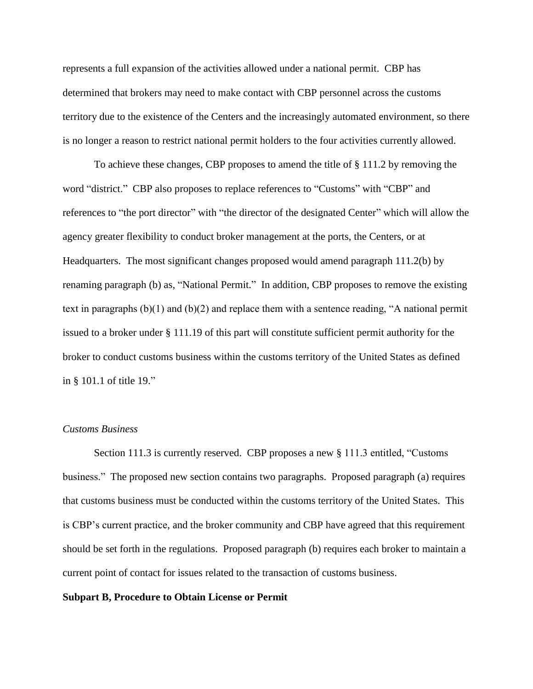represents a full expansion of the activities allowed under a national permit. CBP has determined that brokers may need to make contact with CBP personnel across the customs territory due to the existence of the Centers and the increasingly automated environment, so there is no longer a reason to restrict national permit holders to the four activities currently allowed.

To achieve these changes, CBP proposes to amend the title of § 111.2 by removing the word "district." CBP also proposes to replace references to "Customs" with "CBP" and references to "the port director" with "the director of the designated Center" which will allow the agency greater flexibility to conduct broker management at the ports, the Centers, or at Headquarters. The most significant changes proposed would amend paragraph 111.2(b) by renaming paragraph (b) as, "National Permit." In addition, CBP proposes to remove the existing text in paragraphs (b)(1) and (b)(2) and replace them with a sentence reading, "A national permit issued to a broker under § 111.19 of this part will constitute sufficient permit authority for the broker to conduct customs business within the customs territory of the United States as defined in § 101.1 of title 19."

# *Customs Business*

Section 111.3 is currently reserved. CBP proposes a new § 111.3 entitled, "Customs business." The proposed new section contains two paragraphs. Proposed paragraph (a) requires that customs business must be conducted within the customs territory of the United States. This is CBP's current practice, and the broker community and CBP have agreed that this requirement should be set forth in the regulations. Proposed paragraph (b) requires each broker to maintain a current point of contact for issues related to the transaction of customs business.

#### **Subpart B, Procedure to Obtain License or Permit**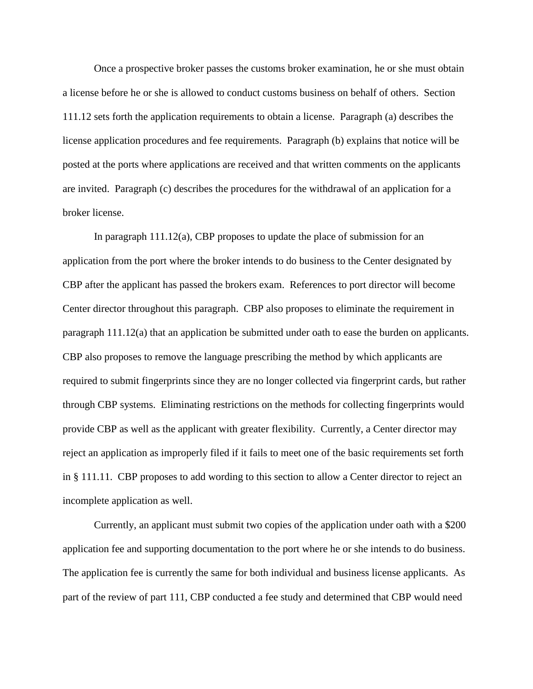Once a prospective broker passes the customs broker examination, he or she must obtain a license before he or she is allowed to conduct customs business on behalf of others. Section 111.12 sets forth the application requirements to obtain a license. Paragraph (a) describes the license application procedures and fee requirements. Paragraph (b) explains that notice will be posted at the ports where applications are received and that written comments on the applicants are invited. Paragraph (c) describes the procedures for the withdrawal of an application for a broker license.

In paragraph 111.12(a), CBP proposes to update the place of submission for an application from the port where the broker intends to do business to the Center designated by CBP after the applicant has passed the brokers exam. References to port director will become Center director throughout this paragraph. CBP also proposes to eliminate the requirement in paragraph 111.12(a) that an application be submitted under oath to ease the burden on applicants. CBP also proposes to remove the language prescribing the method by which applicants are required to submit fingerprints since they are no longer collected via fingerprint cards, but rather through CBP systems. Eliminating restrictions on the methods for collecting fingerprints would provide CBP as well as the applicant with greater flexibility. Currently, a Center director may reject an application as improperly filed if it fails to meet one of the basic requirements set forth in § 111.11. CBP proposes to add wording to this section to allow a Center director to reject an incomplete application as well.

Currently, an applicant must submit two copies of the application under oath with a \$200 application fee and supporting documentation to the port where he or she intends to do business. The application fee is currently the same for both individual and business license applicants. As part of the review of part 111, CBP conducted a fee study and determined that CBP would need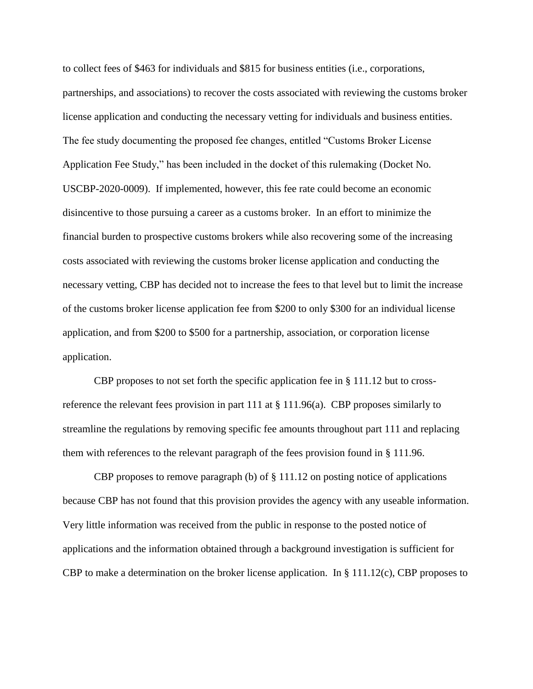to collect fees of \$463 for individuals and \$815 for business entities (i.e., corporations, partnerships, and associations) to recover the costs associated with reviewing the customs broker license application and conducting the necessary vetting for individuals and business entities. The fee study documenting the proposed fee changes, entitled "Customs Broker License Application Fee Study," has been included in the docket of this rulemaking (Docket No. USCBP-2020-0009). If implemented, however, this fee rate could become an economic disincentive to those pursuing a career as a customs broker. In an effort to minimize the financial burden to prospective customs brokers while also recovering some of the increasing costs associated with reviewing the customs broker license application and conducting the necessary vetting, CBP has decided not to increase the fees to that level but to limit the increase of the customs broker license application fee from \$200 to only \$300 for an individual license application, and from \$200 to \$500 for a partnership, association, or corporation license application.

CBP proposes to not set forth the specific application fee in  $\S$  111.12 but to crossreference the relevant fees provision in part 111 at § 111.96(a). CBP proposes similarly to streamline the regulations by removing specific fee amounts throughout part 111 and replacing them with references to the relevant paragraph of the fees provision found in § 111.96.

CBP proposes to remove paragraph (b) of § 111.12 on posting notice of applications because CBP has not found that this provision provides the agency with any useable information. Very little information was received from the public in response to the posted notice of applications and the information obtained through a background investigation is sufficient for CBP to make a determination on the broker license application. In  $\S 111.12(c)$ , CBP proposes to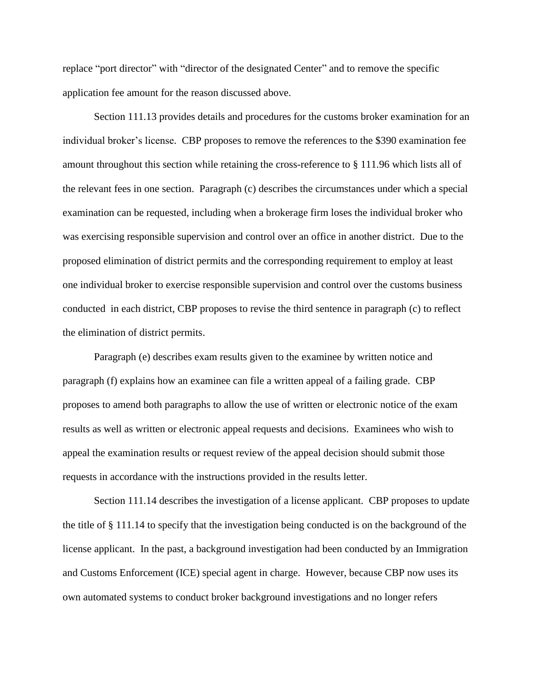replace "port director" with "director of the designated Center" and to remove the specific application fee amount for the reason discussed above.

Section 111.13 provides details and procedures for the customs broker examination for an individual broker's license. CBP proposes to remove the references to the \$390 examination fee amount throughout this section while retaining the cross-reference to § 111.96 which lists all of the relevant fees in one section. Paragraph (c) describes the circumstances under which a special examination can be requested, including when a brokerage firm loses the individual broker who was exercising responsible supervision and control over an office in another district. Due to the proposed elimination of district permits and the corresponding requirement to employ at least one individual broker to exercise responsible supervision and control over the customs business conducted in each district, CBP proposes to revise the third sentence in paragraph (c) to reflect the elimination of district permits.

Paragraph (e) describes exam results given to the examinee by written notice and paragraph (f) explains how an examinee can file a written appeal of a failing grade. CBP proposes to amend both paragraphs to allow the use of written or electronic notice of the exam results as well as written or electronic appeal requests and decisions. Examinees who wish to appeal the examination results or request review of the appeal decision should submit those requests in accordance with the instructions provided in the results letter.

Section 111.14 describes the investigation of a license applicant. CBP proposes to update the title of § 111.14 to specify that the investigation being conducted is on the background of the license applicant. In the past, a background investigation had been conducted by an Immigration and Customs Enforcement (ICE) special agent in charge. However, because CBP now uses its own automated systems to conduct broker background investigations and no longer refers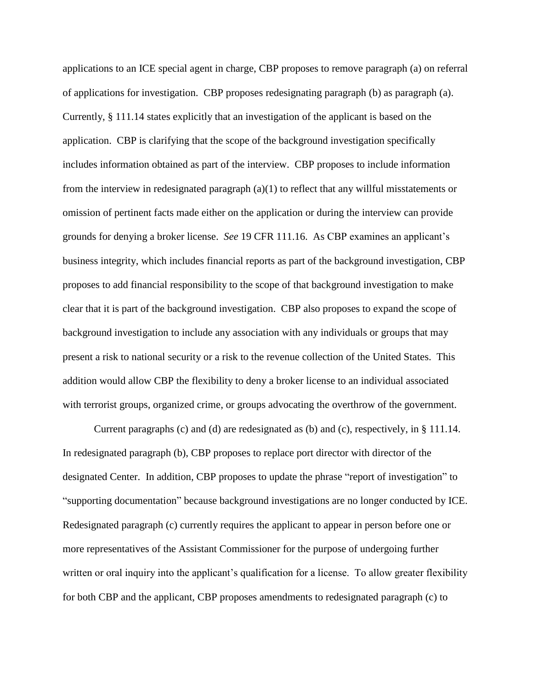applications to an ICE special agent in charge, CBP proposes to remove paragraph (a) on referral of applications for investigation. CBP proposes redesignating paragraph (b) as paragraph (a). Currently, § 111.14 states explicitly that an investigation of the applicant is based on the application. CBP is clarifying that the scope of the background investigation specifically includes information obtained as part of the interview. CBP proposes to include information from the interview in redesignated paragraph (a)(1) to reflect that any willful misstatements or omission of pertinent facts made either on the application or during the interview can provide grounds for denying a broker license. *See* 19 CFR 111.16. As CBP examines an applicant's business integrity, which includes financial reports as part of the background investigation, CBP proposes to add financial responsibility to the scope of that background investigation to make clear that it is part of the background investigation. CBP also proposes to expand the scope of background investigation to include any association with any individuals or groups that may present a risk to national security or a risk to the revenue collection of the United States. This addition would allow CBP the flexibility to deny a broker license to an individual associated with terrorist groups, organized crime, or groups advocating the overthrow of the government.

Current paragraphs (c) and (d) are redesignated as (b) and (c), respectively, in § 111.14. In redesignated paragraph (b), CBP proposes to replace port director with director of the designated Center. In addition, CBP proposes to update the phrase "report of investigation" to "supporting documentation" because background investigations are no longer conducted by ICE. Redesignated paragraph (c) currently requires the applicant to appear in person before one or more representatives of the Assistant Commissioner for the purpose of undergoing further written or oral inquiry into the applicant's qualification for a license. To allow greater flexibility for both CBP and the applicant, CBP proposes amendments to redesignated paragraph (c) to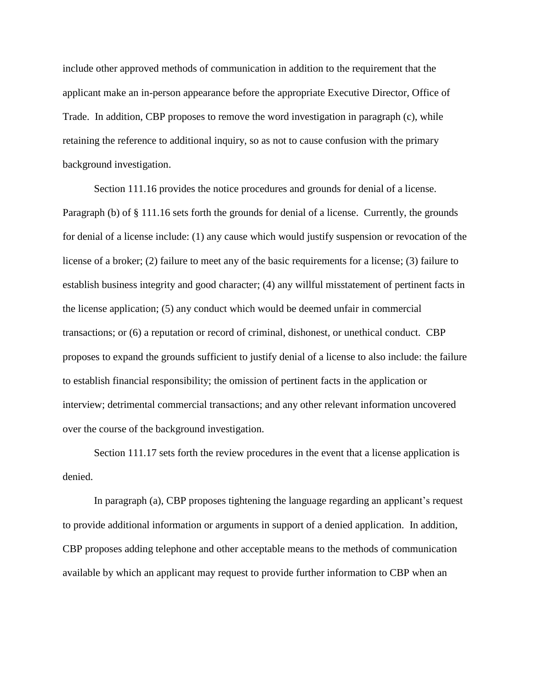include other approved methods of communication in addition to the requirement that the applicant make an in-person appearance before the appropriate Executive Director, Office of Trade. In addition, CBP proposes to remove the word investigation in paragraph (c), while retaining the reference to additional inquiry, so as not to cause confusion with the primary background investigation.

Section 111.16 provides the notice procedures and grounds for denial of a license. Paragraph (b) of § 111.16 sets forth the grounds for denial of a license. Currently, the grounds for denial of a license include: (1) any cause which would justify suspension or revocation of the license of a broker; (2) failure to meet any of the basic requirements for a license; (3) failure to establish business integrity and good character; (4) any willful misstatement of pertinent facts in the license application; (5) any conduct which would be deemed unfair in commercial transactions; or (6) a reputation or record of criminal, dishonest, or unethical conduct. CBP proposes to expand the grounds sufficient to justify denial of a license to also include: the failure to establish financial responsibility; the omission of pertinent facts in the application or interview; detrimental commercial transactions; and any other relevant information uncovered over the course of the background investigation.

Section 111.17 sets forth the review procedures in the event that a license application is denied.

In paragraph (a), CBP proposes tightening the language regarding an applicant's request to provide additional information or arguments in support of a denied application. In addition, CBP proposes adding telephone and other acceptable means to the methods of communication available by which an applicant may request to provide further information to CBP when an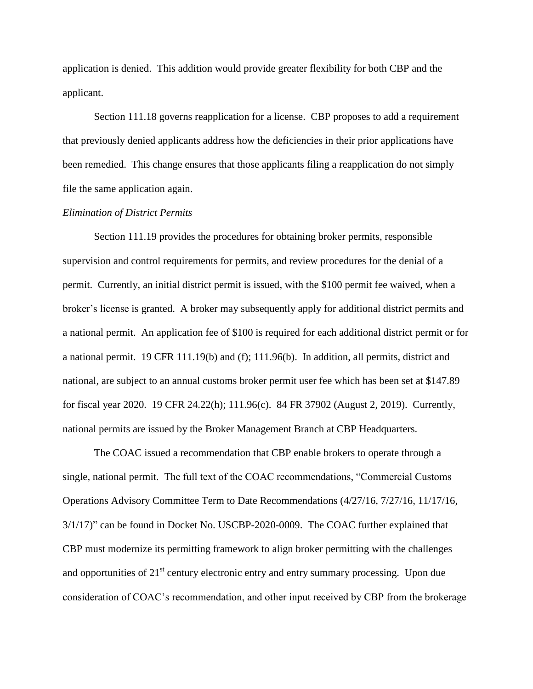application is denied. This addition would provide greater flexibility for both CBP and the applicant.

Section 111.18 governs reapplication for a license. CBP proposes to add a requirement that previously denied applicants address how the deficiencies in their prior applications have been remedied. This change ensures that those applicants filing a reapplication do not simply file the same application again.

# *Elimination of District Permits*

Section 111.19 provides the procedures for obtaining broker permits, responsible supervision and control requirements for permits, and review procedures for the denial of a permit. Currently, an initial district permit is issued, with the \$100 permit fee waived, when a broker's license is granted. A broker may subsequently apply for additional district permits and a national permit. An application fee of \$100 is required for each additional district permit or for a national permit. 19 CFR 111.19(b) and (f); 111.96(b). In addition, all permits, district and national, are subject to an annual customs broker permit user fee which has been set at \$147.89 for fiscal year 2020. 19 CFR 24.22(h); 111.96(c). 84 FR 37902 (August 2, 2019). Currently, national permits are issued by the Broker Management Branch at CBP Headquarters.

The COAC issued a recommendation that CBP enable brokers to operate through a single, national permit. The full text of the COAC recommendations, "Commercial Customs Operations Advisory Committee Term to Date Recommendations (4/27/16, 7/27/16, 11/17/16, 3/1/17)" can be found in Docket No. USCBP-2020-0009. The COAC further explained that CBP must modernize its permitting framework to align broker permitting with the challenges and opportunities of  $21<sup>st</sup>$  century electronic entry and entry summary processing. Upon due consideration of COAC's recommendation, and other input received by CBP from the brokerage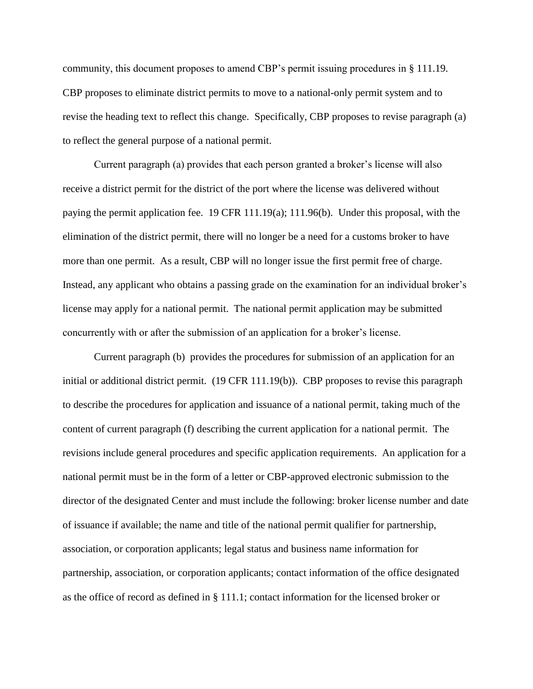community, this document proposes to amend CBP's permit issuing procedures in § 111.19. CBP proposes to eliminate district permits to move to a national-only permit system and to revise the heading text to reflect this change. Specifically, CBP proposes to revise paragraph (a) to reflect the general purpose of a national permit.

Current paragraph (a) provides that each person granted a broker's license will also receive a district permit for the district of the port where the license was delivered without paying the permit application fee. 19 CFR 111.19(a); 111.96(b). Under this proposal, with the elimination of the district permit, there will no longer be a need for a customs broker to have more than one permit. As a result, CBP will no longer issue the first permit free of charge. Instead, any applicant who obtains a passing grade on the examination for an individual broker's license may apply for a national permit. The national permit application may be submitted concurrently with or after the submission of an application for a broker's license.

Current paragraph (b) provides the procedures for submission of an application for an initial or additional district permit. (19 CFR 111.19(b)). CBP proposes to revise this paragraph to describe the procedures for application and issuance of a national permit, taking much of the content of current paragraph (f) describing the current application for a national permit. The revisions include general procedures and specific application requirements. An application for a national permit must be in the form of a letter or CBP-approved electronic submission to the director of the designated Center and must include the following: broker license number and date of issuance if available; the name and title of the national permit qualifier for partnership, association, or corporation applicants; legal status and business name information for partnership, association, or corporation applicants; contact information of the office designated as the office of record as defined in § 111.1; contact information for the licensed broker or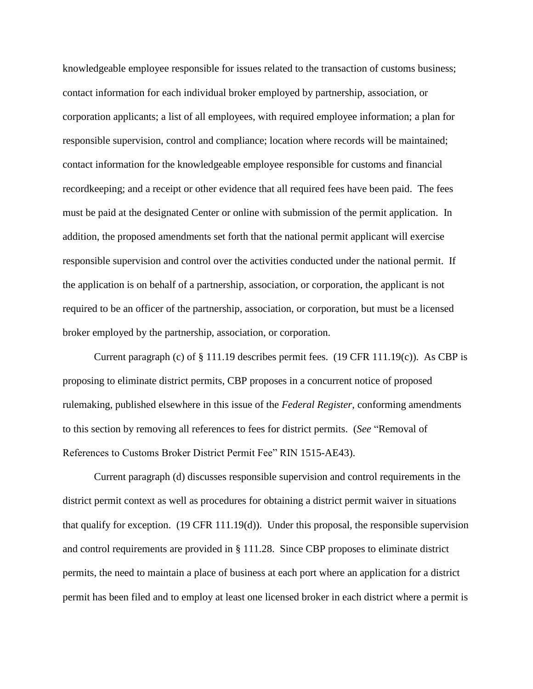knowledgeable employee responsible for issues related to the transaction of customs business; contact information for each individual broker employed by partnership, association, or corporation applicants; a list of all employees, with required employee information; a plan for responsible supervision, control and compliance; location where records will be maintained; contact information for the knowledgeable employee responsible for customs and financial recordkeeping; and a receipt or other evidence that all required fees have been paid. The fees must be paid at the designated Center or online with submission of the permit application. In addition, the proposed amendments set forth that the national permit applicant will exercise responsible supervision and control over the activities conducted under the national permit. If the application is on behalf of a partnership, association, or corporation, the applicant is not required to be an officer of the partnership, association, or corporation, but must be a licensed broker employed by the partnership, association, or corporation.

Current paragraph (c) of  $\S 111.19$  describes permit fees. (19 CFR 111.19(c)). As CBP is proposing to eliminate district permits, CBP proposes in a concurrent notice of proposed rulemaking, published elsewhere in this issue of the *Federal Register*, conforming amendments to this section by removing all references to fees for district permits. (*See* "Removal of References to Customs Broker District Permit Fee" RIN 1515-AE43).

Current paragraph (d) discusses responsible supervision and control requirements in the district permit context as well as procedures for obtaining a district permit waiver in situations that qualify for exception. (19 CFR 111.19(d)). Under this proposal, the responsible supervision and control requirements are provided in § 111.28. Since CBP proposes to eliminate district permits, the need to maintain a place of business at each port where an application for a district permit has been filed and to employ at least one licensed broker in each district where a permit is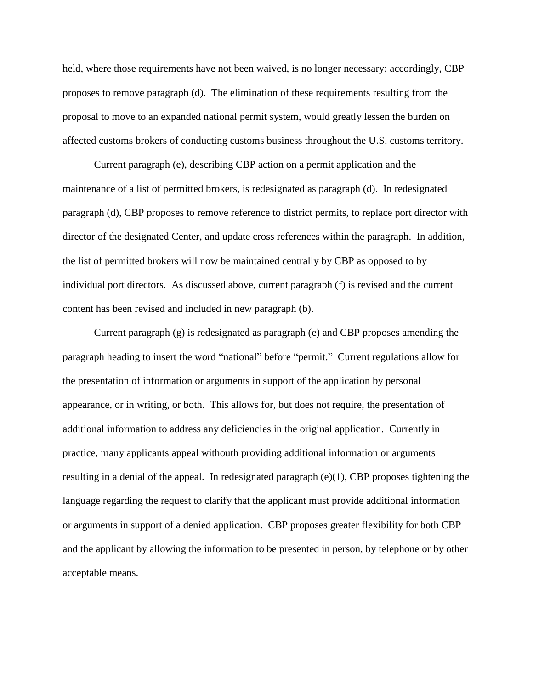held, where those requirements have not been waived, is no longer necessary; accordingly, CBP proposes to remove paragraph (d). The elimination of these requirements resulting from the proposal to move to an expanded national permit system, would greatly lessen the burden on affected customs brokers of conducting customs business throughout the U.S. customs territory.

Current paragraph (e), describing CBP action on a permit application and the maintenance of a list of permitted brokers, is redesignated as paragraph (d). In redesignated paragraph (d), CBP proposes to remove reference to district permits, to replace port director with director of the designated Center, and update cross references within the paragraph. In addition, the list of permitted brokers will now be maintained centrally by CBP as opposed to by individual port directors. As discussed above, current paragraph (f) is revised and the current content has been revised and included in new paragraph (b).

Current paragraph (g) is redesignated as paragraph (e) and CBP proposes amending the paragraph heading to insert the word "national" before "permit." Current regulations allow for the presentation of information or arguments in support of the application by personal appearance, or in writing, or both. This allows for, but does not require, the presentation of additional information to address any deficiencies in the original application. Currently in practice, many applicants appeal withouth providing additional information or arguments resulting in a denial of the appeal. In redesignated paragraph (e)(1), CBP proposes tightening the language regarding the request to clarify that the applicant must provide additional information or arguments in support of a denied application. CBP proposes greater flexibility for both CBP and the applicant by allowing the information to be presented in person, by telephone or by other acceptable means.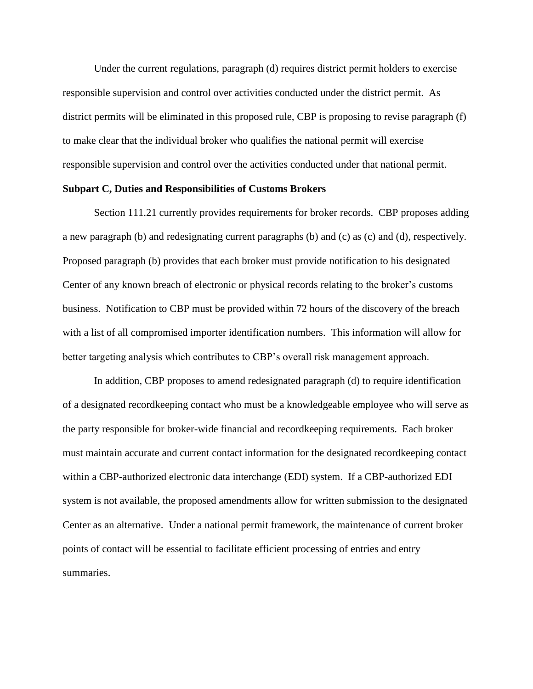Under the current regulations, paragraph (d) requires district permit holders to exercise responsible supervision and control over activities conducted under the district permit. As district permits will be eliminated in this proposed rule, CBP is proposing to revise paragraph (f) to make clear that the individual broker who qualifies the national permit will exercise responsible supervision and control over the activities conducted under that national permit.

# **Subpart C, Duties and Responsibilities of Customs Brokers**

Section 111.21 currently provides requirements for broker records. CBP proposes adding a new paragraph (b) and redesignating current paragraphs (b) and (c) as (c) and (d), respectively. Proposed paragraph (b) provides that each broker must provide notification to his designated Center of any known breach of electronic or physical records relating to the broker's customs business. Notification to CBP must be provided within 72 hours of the discovery of the breach with a list of all compromised importer identification numbers. This information will allow for better targeting analysis which contributes to CBP's overall risk management approach.

In addition, CBP proposes to amend redesignated paragraph (d) to require identification of a designated recordkeeping contact who must be a knowledgeable employee who will serve as the party responsible for broker-wide financial and recordkeeping requirements. Each broker must maintain accurate and current contact information for the designated recordkeeping contact within a CBP-authorized electronic data interchange (EDI) system. If a CBP-authorized EDI system is not available, the proposed amendments allow for written submission to the designated Center as an alternative. Under a national permit framework, the maintenance of current broker points of contact will be essential to facilitate efficient processing of entries and entry summaries.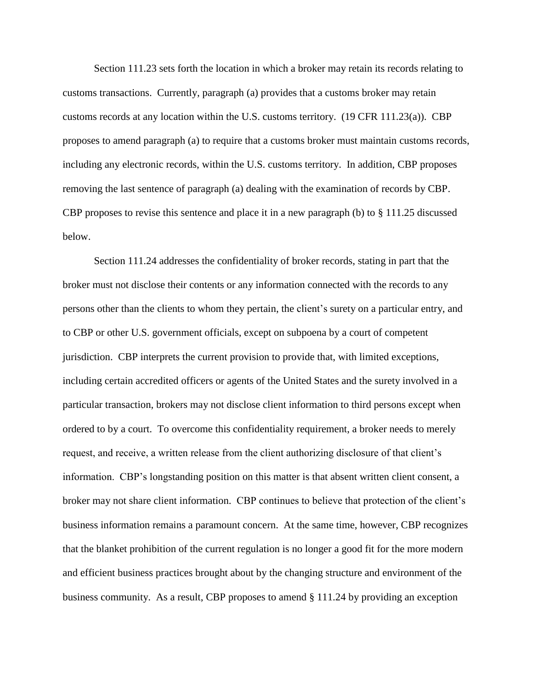Section 111.23 sets forth the location in which a broker may retain its records relating to customs transactions. Currently, paragraph (a) provides that a customs broker may retain customs records at any location within the U.S. customs territory. (19 CFR 111.23(a)). CBP proposes to amend paragraph (a) to require that a customs broker must maintain customs records, including any electronic records, within the U.S. customs territory. In addition, CBP proposes removing the last sentence of paragraph (a) dealing with the examination of records by CBP. CBP proposes to revise this sentence and place it in a new paragraph (b) to § 111.25 discussed below.

Section 111.24 addresses the confidentiality of broker records, stating in part that the broker must not disclose their contents or any information connected with the records to any persons other than the clients to whom they pertain, the client's surety on a particular entry, and to CBP or other U.S. government officials, except on subpoena by a court of competent jurisdiction. CBP interprets the current provision to provide that, with limited exceptions, including certain accredited officers or agents of the United States and the surety involved in a particular transaction, brokers may not disclose client information to third persons except when ordered to by a court. To overcome this confidentiality requirement, a broker needs to merely request, and receive, a written release from the client authorizing disclosure of that client's information. CBP's longstanding position on this matter is that absent written client consent, a broker may not share client information. CBP continues to believe that protection of the client's business information remains a paramount concern. At the same time, however, CBP recognizes that the blanket prohibition of the current regulation is no longer a good fit for the more modern and efficient business practices brought about by the changing structure and environment of the business community. As a result, CBP proposes to amend § 111.24 by providing an exception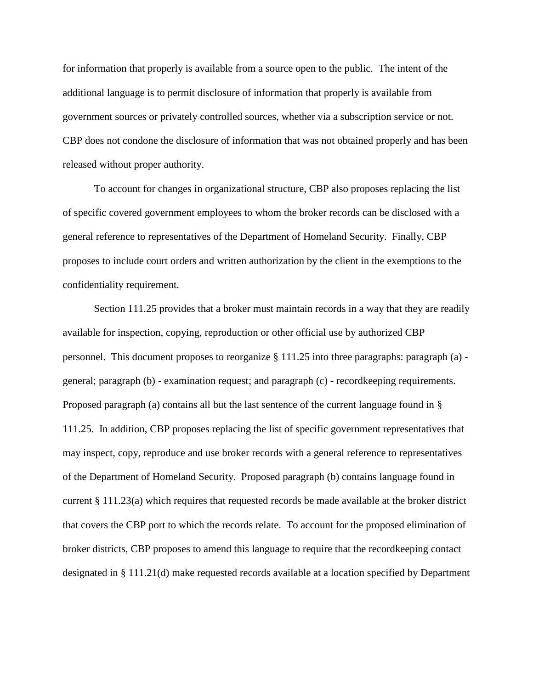for information that properly is available from a source open to the public. The intent of the additional language is to permit disclosure of information that properly is available from government sources or privately controlled sources, whether via a subscription service or not. CBP does not condone the disclosure of information that was not obtained properly and has been released without proper authority.

To account for changes in organizational structure, CBP also proposes replacing the list of specific covered government employees to whom the broker records can be disclosed with a general reference to representatives of the Department of Homeland Security. Finally, CBP proposes to include court orders and written authorization by the client in the exemptions to the confidentiality requirement.

Section 111.25 provides that a broker must maintain records in a way that they are readily available for inspection, copying, reproduction or other official use by authorized CBP personnel. This document proposes to reorganize § 111.25 into three paragraphs: paragraph (a) general; paragraph (b) - examination request; and paragraph (c) - recordkeeping requirements. Proposed paragraph (a) contains all but the last sentence of the current language found in § 111.25. In addition, CBP proposes replacing the list of specific government representatives that may inspect, copy, reproduce and use broker records with a general reference to representatives of the Department of Homeland Security. Proposed paragraph (b) contains language found in current § 111.23(a) which requires that requested records be made available at the broker district that covers the CBP port to which the records relate. To account for the proposed elimination of broker districts, CBP proposes to amend this language to require that the recordkeeping contact designated in § 111.21(d) make requested records available at a location specified by Department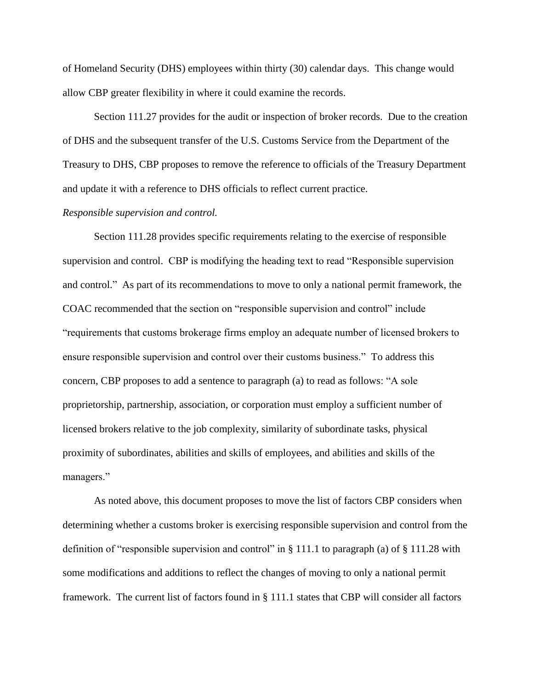of Homeland Security (DHS) employees within thirty (30) calendar days. This change would allow CBP greater flexibility in where it could examine the records.

Section 111.27 provides for the audit or inspection of broker records. Due to the creation of DHS and the subsequent transfer of the U.S. Customs Service from the Department of the Treasury to DHS, CBP proposes to remove the reference to officials of the Treasury Department and update it with a reference to DHS officials to reflect current practice.

# *Responsible supervision and control.*

Section 111.28 provides specific requirements relating to the exercise of responsible supervision and control. CBP is modifying the heading text to read "Responsible supervision and control." As part of its recommendations to move to only a national permit framework, the COAC recommended that the section on "responsible supervision and control" include "requirements that customs brokerage firms employ an adequate number of licensed brokers to ensure responsible supervision and control over their customs business." To address this concern, CBP proposes to add a sentence to paragraph (a) to read as follows: "A sole proprietorship, partnership, association, or corporation must employ a sufficient number of licensed brokers relative to the job complexity, similarity of subordinate tasks, physical proximity of subordinates, abilities and skills of employees, and abilities and skills of the managers."

As noted above, this document proposes to move the list of factors CBP considers when determining whether a customs broker is exercising responsible supervision and control from the definition of "responsible supervision and control" in § 111.1 to paragraph (a) of § 111.28 with some modifications and additions to reflect the changes of moving to only a national permit framework. The current list of factors found in § 111.1 states that CBP will consider all factors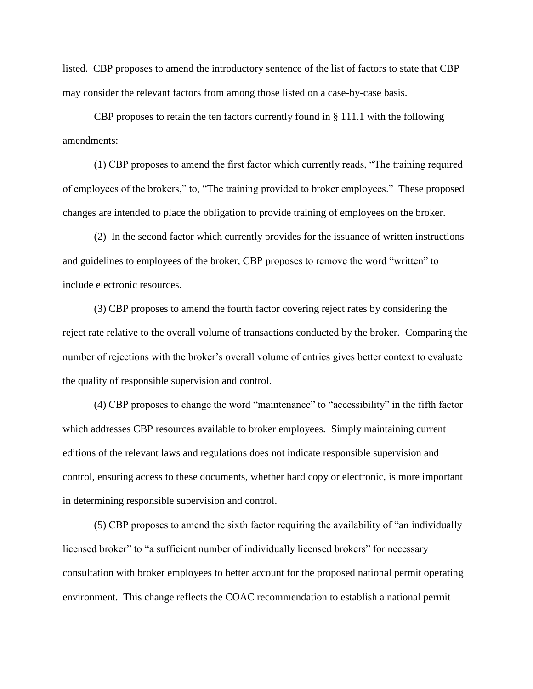listed. CBP proposes to amend the introductory sentence of the list of factors to state that CBP may consider the relevant factors from among those listed on a case-by-case basis.

CBP proposes to retain the ten factors currently found in  $\S 111.1$  with the following amendments:

(1) CBP proposes to amend the first factor which currently reads, "The training required of employees of the brokers," to, "The training provided to broker employees." These proposed changes are intended to place the obligation to provide training of employees on the broker.

(2) In the second factor which currently provides for the issuance of written instructions and guidelines to employees of the broker, CBP proposes to remove the word "written" to include electronic resources.

(3) CBP proposes to amend the fourth factor covering reject rates by considering the reject rate relative to the overall volume of transactions conducted by the broker. Comparing the number of rejections with the broker's overall volume of entries gives better context to evaluate the quality of responsible supervision and control.

(4) CBP proposes to change the word "maintenance" to "accessibility" in the fifth factor which addresses CBP resources available to broker employees. Simply maintaining current editions of the relevant laws and regulations does not indicate responsible supervision and control, ensuring access to these documents, whether hard copy or electronic, is more important in determining responsible supervision and control.

(5) CBP proposes to amend the sixth factor requiring the availability of "an individually licensed broker" to "a sufficient number of individually licensed brokers" for necessary consultation with broker employees to better account for the proposed national permit operating environment. This change reflects the COAC recommendation to establish a national permit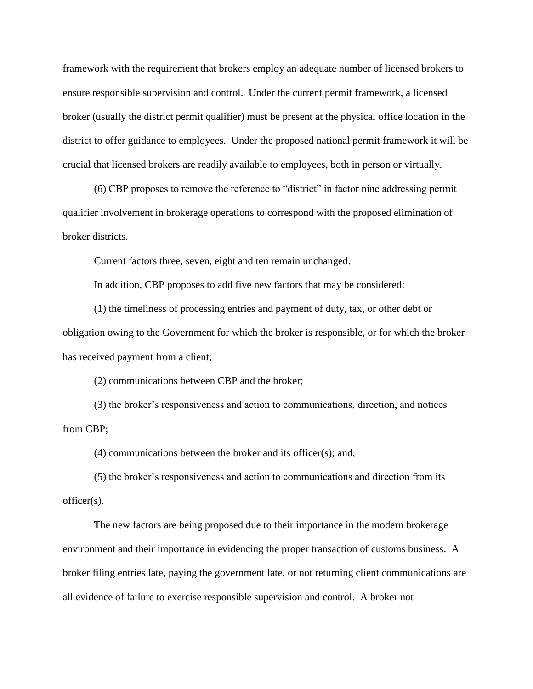framework with the requirement that brokers employ an adequate number of licensed brokers to ensure responsible supervision and control. Under the current permit framework, a licensed broker (usually the district permit qualifier) must be present at the physical office location in the district to offer guidance to employees. Under the proposed national permit framework it will be crucial that licensed brokers are readily available to employees, both in person or virtually.

(6) CBP proposes to remove the reference to "district" in factor nine addressing permit qualifier involvement in brokerage operations to correspond with the proposed elimination of broker districts.

Current factors three, seven, eight and ten remain unchanged.

In addition, CBP proposes to add five new factors that may be considered:

(1) the timeliness of processing entries and payment of duty, tax, or other debt or obligation owing to the Government for which the broker is responsible, or for which the broker has received payment from a client;

(2) communications between CBP and the broker;

(3) the broker's responsiveness and action to communications, direction, and notices from CBP;

(4) communications between the broker and its officer(s); and,

(5) the broker's responsiveness and action to communications and direction from its officer(s).

The new factors are being proposed due to their importance in the modern brokerage environment and their importance in evidencing the proper transaction of customs business. A broker filing entries late, paying the government late, or not returning client communications are all evidence of failure to exercise responsible supervision and control. A broker not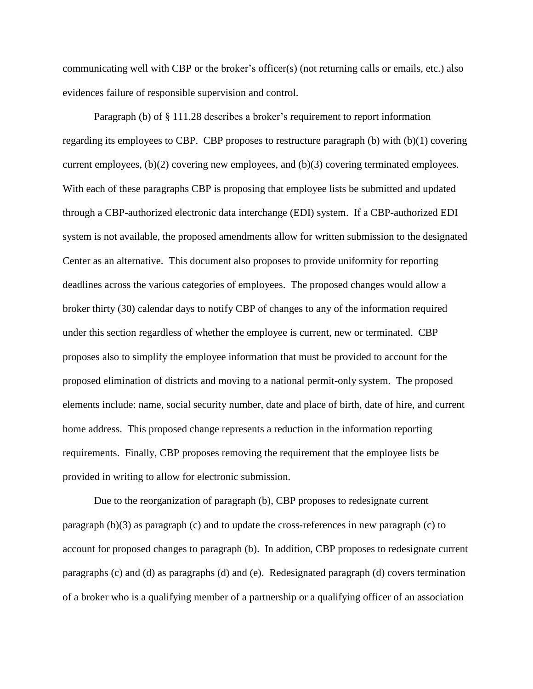communicating well with CBP or the broker's officer(s) (not returning calls or emails, etc.) also evidences failure of responsible supervision and control.

Paragraph (b) of § 111.28 describes a broker's requirement to report information regarding its employees to CBP. CBP proposes to restructure paragraph  $(b)$  with  $(b)(1)$  covering current employees, (b)(2) covering new employees, and (b)(3) covering terminated employees. With each of these paragraphs CBP is proposing that employee lists be submitted and updated through a CBP-authorized electronic data interchange (EDI) system. If a CBP-authorized EDI system is not available, the proposed amendments allow for written submission to the designated Center as an alternative. This document also proposes to provide uniformity for reporting deadlines across the various categories of employees. The proposed changes would allow a broker thirty (30) calendar days to notify CBP of changes to any of the information required under this section regardless of whether the employee is current, new or terminated. CBP proposes also to simplify the employee information that must be provided to account for the proposed elimination of districts and moving to a national permit-only system. The proposed elements include: name, social security number, date and place of birth, date of hire, and current home address. This proposed change represents a reduction in the information reporting requirements. Finally, CBP proposes removing the requirement that the employee lists be provided in writing to allow for electronic submission.

Due to the reorganization of paragraph (b), CBP proposes to redesignate current paragraph (b)(3) as paragraph (c) and to update the cross-references in new paragraph (c) to account for proposed changes to paragraph (b). In addition, CBP proposes to redesignate current paragraphs (c) and (d) as paragraphs (d) and (e). Redesignated paragraph (d) covers termination of a broker who is a qualifying member of a partnership or a qualifying officer of an association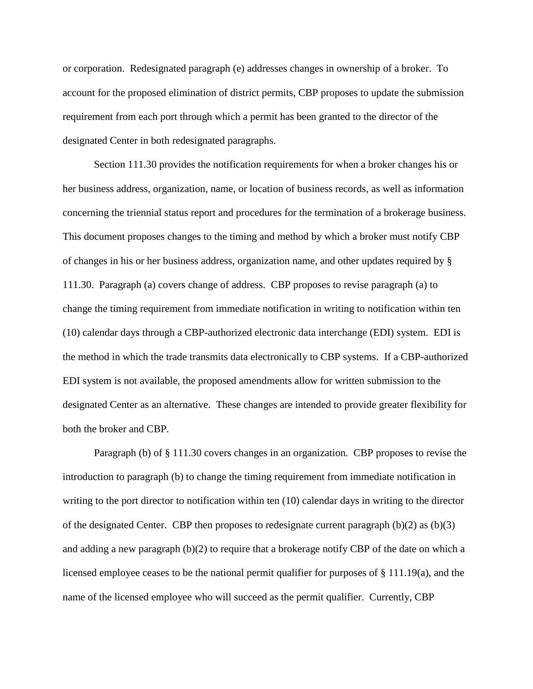or corporation. Redesignated paragraph (e) addresses changes in ownership of a broker. To account for the proposed elimination of district permits, CBP proposes to update the submission requirement from each port through which a permit has been granted to the director of the designated Center in both redesignated paragraphs.

Section 111.30 provides the notification requirements for when a broker changes his or her business address, organization, name, or location of business records, as well as information concerning the triennial status report and procedures for the termination of a brokerage business. This document proposes changes to the timing and method by which a broker must notify CBP of changes in his or her business address, organization name, and other updates required by § 111.30. Paragraph (a) covers change of address. CBP proposes to revise paragraph (a) to change the timing requirement from immediate notification in writing to notification within ten (10) calendar days through a CBP-authorized electronic data interchange (EDI) system. EDI is the method in which the trade transmits data electronically to CBP systems. If a CBP-authorized EDI system is not available, the proposed amendments allow for written submission to the designated Center as an alternative. These changes are intended to provide greater flexibility for both the broker and CBP.

Paragraph (b) of § 111.30 covers changes in an organization. CBP proposes to revise the introduction to paragraph (b) to change the timing requirement from immediate notification in writing to the port director to notification within ten (10) calendar days in writing to the director of the designated Center. CBP then proposes to redesignate current paragraph (b)(2) as (b)(3) and adding a new paragraph (b)(2) to require that a brokerage notify CBP of the date on which a licensed employee ceases to be the national permit qualifier for purposes of § 111.19(a), and the name of the licensed employee who will succeed as the permit qualifier. Currently, CBP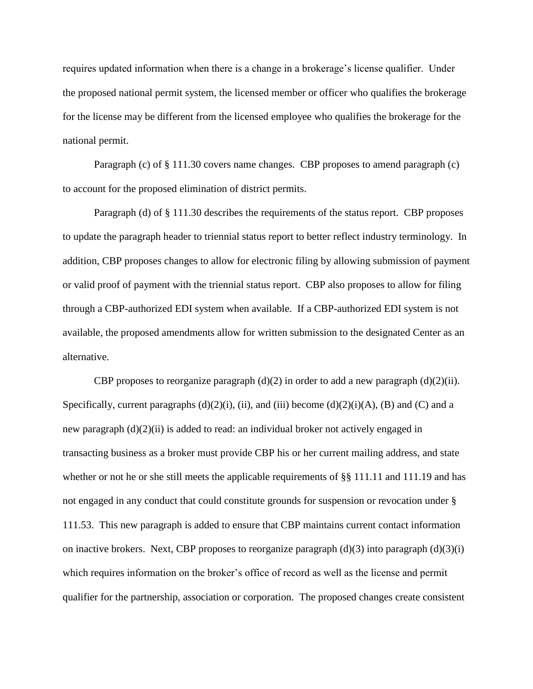requires updated information when there is a change in a brokerage's license qualifier. Under the proposed national permit system, the licensed member or officer who qualifies the brokerage for the license may be different from the licensed employee who qualifies the brokerage for the national permit.

Paragraph (c) of § 111.30 covers name changes. CBP proposes to amend paragraph (c) to account for the proposed elimination of district permits.

Paragraph (d) of § 111.30 describes the requirements of the status report. CBP proposes to update the paragraph header to triennial status report to better reflect industry terminology. In addition, CBP proposes changes to allow for electronic filing by allowing submission of payment or valid proof of payment with the triennial status report. CBP also proposes to allow for filing through a CBP-authorized EDI system when available. If a CBP-authorized EDI system is not available, the proposed amendments allow for written submission to the designated Center as an alternative.

CBP proposes to reorganize paragraph  $(d)(2)$  in order to add a new paragraph  $(d)(2)(ii)$ . Specifically, current paragraphs  $(d)(2)(i)$ ,  $(ii)$ , and  $(iii)$  become  $(d)(2)(i)(A)$ ,  $(B)$  and  $(C)$  and a new paragraph (d)(2)(ii) is added to read: an individual broker not actively engaged in transacting business as a broker must provide CBP his or her current mailing address, and state whether or not he or she still meets the applicable requirements of §§ 111.11 and 111.19 and has not engaged in any conduct that could constitute grounds for suspension or revocation under § 111.53. This new paragraph is added to ensure that CBP maintains current contact information on inactive brokers. Next, CBP proposes to reorganize paragraph  $(d)(3)$  into paragraph  $(d)(3)(i)$ which requires information on the broker's office of record as well as the license and permit qualifier for the partnership, association or corporation. The proposed changes create consistent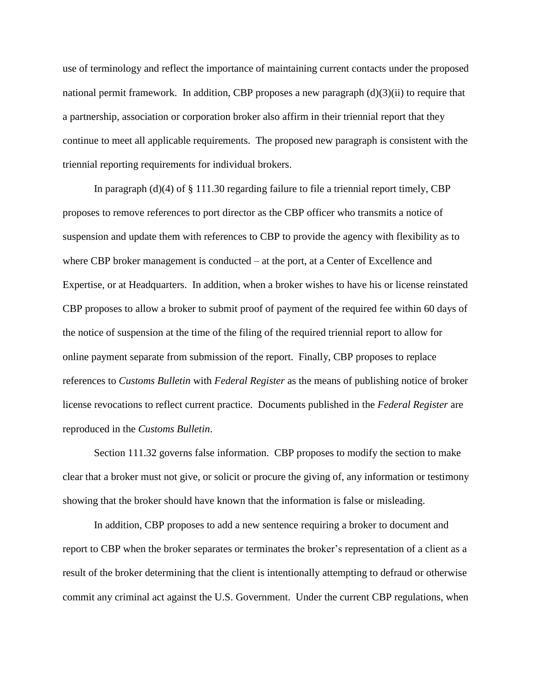use of terminology and reflect the importance of maintaining current contacts under the proposed national permit framework. In addition, CBP proposes a new paragraph (d)(3)(ii) to require that a partnership, association or corporation broker also affirm in their triennial report that they continue to meet all applicable requirements. The proposed new paragraph is consistent with the triennial reporting requirements for individual brokers.

In paragraph  $(d)(4)$  of  $\S$  111.30 regarding failure to file a triennial report timely, CBP proposes to remove references to port director as the CBP officer who transmits a notice of suspension and update them with references to CBP to provide the agency with flexibility as to where CBP broker management is conducted – at the port, at a Center of Excellence and Expertise, or at Headquarters. In addition, when a broker wishes to have his or license reinstated CBP proposes to allow a broker to submit proof of payment of the required fee within 60 days of the notice of suspension at the time of the filing of the required triennial report to allow for online payment separate from submission of the report. Finally, CBP proposes to replace references to *Customs Bulletin* with *Federal Register* as the means of publishing notice of broker license revocations to reflect current practice. Documents published in the *Federal Register* are reproduced in the *Customs Bulletin*.

Section 111.32 governs false information. CBP proposes to modify the section to make clear that a broker must not give, or solicit or procure the giving of, any information or testimony showing that the broker should have known that the information is false or misleading.

In addition, CBP proposes to add a new sentence requiring a broker to document and report to CBP when the broker separates or terminates the broker's representation of a client as a result of the broker determining that the client is intentionally attempting to defraud or otherwise commit any criminal act against the U.S. Government. Under the current CBP regulations, when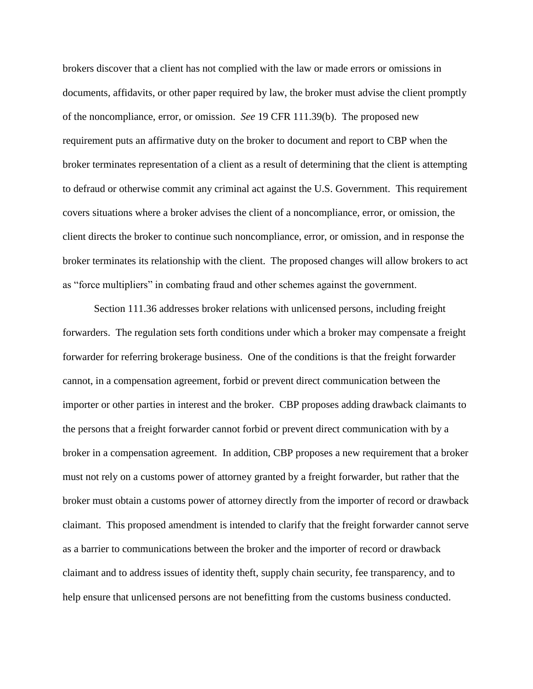brokers discover that a client has not complied with the law or made errors or omissions in documents, affidavits, or other paper required by law, the broker must advise the client promptly of the noncompliance, error, or omission. *See* 19 CFR 111.39(b). The proposed new requirement puts an affirmative duty on the broker to document and report to CBP when the broker terminates representation of a client as a result of determining that the client is attempting to defraud or otherwise commit any criminal act against the U.S. Government. This requirement covers situations where a broker advises the client of a noncompliance, error, or omission, the client directs the broker to continue such noncompliance, error, or omission, and in response the broker terminates its relationship with the client. The proposed changes will allow brokers to act as "force multipliers" in combating fraud and other schemes against the government.

Section 111.36 addresses broker relations with unlicensed persons, including freight forwarders. The regulation sets forth conditions under which a broker may compensate a freight forwarder for referring brokerage business. One of the conditions is that the freight forwarder cannot, in a compensation agreement, forbid or prevent direct communication between the importer or other parties in interest and the broker. CBP proposes adding drawback claimants to the persons that a freight forwarder cannot forbid or prevent direct communication with by a broker in a compensation agreement. In addition, CBP proposes a new requirement that a broker must not rely on a customs power of attorney granted by a freight forwarder, but rather that the broker must obtain a customs power of attorney directly from the importer of record or drawback claimant. This proposed amendment is intended to clarify that the freight forwarder cannot serve as a barrier to communications between the broker and the importer of record or drawback claimant and to address issues of identity theft, supply chain security, fee transparency, and to help ensure that unlicensed persons are not benefitting from the customs business conducted.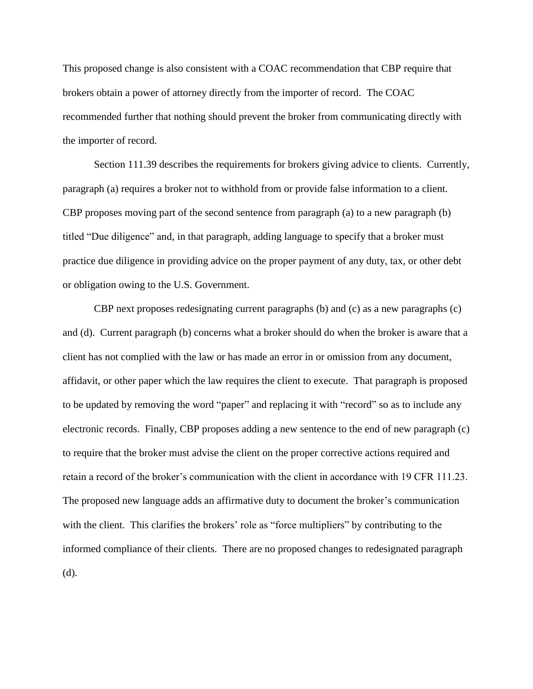This proposed change is also consistent with a COAC recommendation that CBP require that brokers obtain a power of attorney directly from the importer of record. The COAC recommended further that nothing should prevent the broker from communicating directly with the importer of record.

Section 111.39 describes the requirements for brokers giving advice to clients. Currently, paragraph (a) requires a broker not to withhold from or provide false information to a client. CBP proposes moving part of the second sentence from paragraph (a) to a new paragraph (b) titled "Due diligence" and, in that paragraph, adding language to specify that a broker must practice due diligence in providing advice on the proper payment of any duty, tax, or other debt or obligation owing to the U.S. Government.

CBP next proposes redesignating current paragraphs (b) and (c) as a new paragraphs (c) and (d). Current paragraph (b) concerns what a broker should do when the broker is aware that a client has not complied with the law or has made an error in or omission from any document, affidavit, or other paper which the law requires the client to execute. That paragraph is proposed to be updated by removing the word "paper" and replacing it with "record" so as to include any electronic records. Finally, CBP proposes adding a new sentence to the end of new paragraph (c) to require that the broker must advise the client on the proper corrective actions required and retain a record of the broker's communication with the client in accordance with 19 CFR 111.23. The proposed new language adds an affirmative duty to document the broker's communication with the client. This clarifies the brokers' role as "force multipliers" by contributing to the informed compliance of their clients. There are no proposed changes to redesignated paragraph (d).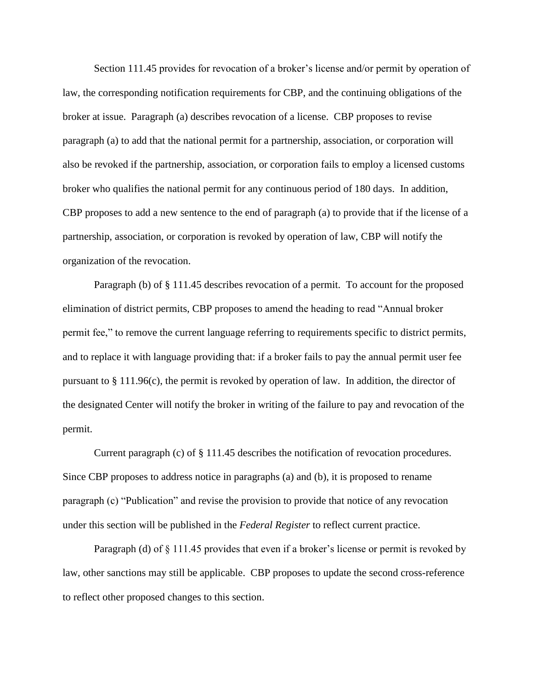Section 111.45 provides for revocation of a broker's license and/or permit by operation of law, the corresponding notification requirements for CBP, and the continuing obligations of the broker at issue. Paragraph (a) describes revocation of a license. CBP proposes to revise paragraph (a) to add that the national permit for a partnership, association, or corporation will also be revoked if the partnership, association, or corporation fails to employ a licensed customs broker who qualifies the national permit for any continuous period of 180 days. In addition, CBP proposes to add a new sentence to the end of paragraph (a) to provide that if the license of a partnership, association, or corporation is revoked by operation of law, CBP will notify the organization of the revocation.

Paragraph (b) of § 111.45 describes revocation of a permit. To account for the proposed elimination of district permits, CBP proposes to amend the heading to read "Annual broker permit fee," to remove the current language referring to requirements specific to district permits, and to replace it with language providing that: if a broker fails to pay the annual permit user fee pursuant to § 111.96(c), the permit is revoked by operation of law. In addition, the director of the designated Center will notify the broker in writing of the failure to pay and revocation of the permit.

Current paragraph (c) of § 111.45 describes the notification of revocation procedures. Since CBP proposes to address notice in paragraphs (a) and (b), it is proposed to rename paragraph (c) "Publication" and revise the provision to provide that notice of any revocation under this section will be published in the *Federal Register* to reflect current practice.

Paragraph (d) of § 111.45 provides that even if a broker's license or permit is revoked by law, other sanctions may still be applicable. CBP proposes to update the second cross-reference to reflect other proposed changes to this section.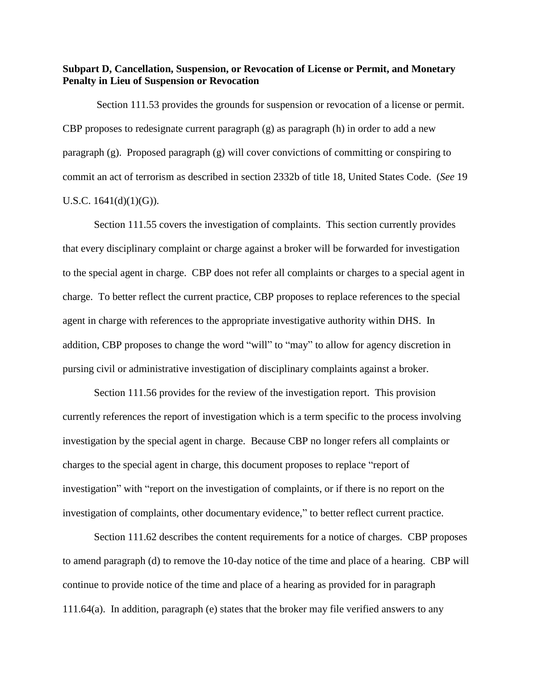**Subpart D, Cancellation, Suspension, or Revocation of License or Permit, and Monetary Penalty in Lieu of Suspension or Revocation**

Section 111.53 provides the grounds for suspension or revocation of a license or permit. CBP proposes to redesignate current paragraph (g) as paragraph (h) in order to add a new paragraph (g). Proposed paragraph (g) will cover convictions of committing or conspiring to commit an act of terrorism as described in section 2332b of title 18, United States Code. (*See* 19 U.S.C.  $1641(d)(1)(G)$ .

Section 111.55 covers the investigation of complaints. This section currently provides that every disciplinary complaint or charge against a broker will be forwarded for investigation to the special agent in charge. CBP does not refer all complaints or charges to a special agent in charge. To better reflect the current practice, CBP proposes to replace references to the special agent in charge with references to the appropriate investigative authority within DHS. In addition, CBP proposes to change the word "will" to "may" to allow for agency discretion in pursing civil or administrative investigation of disciplinary complaints against a broker.

Section 111.56 provides for the review of the investigation report. This provision currently references the report of investigation which is a term specific to the process involving investigation by the special agent in charge. Because CBP no longer refers all complaints or charges to the special agent in charge, this document proposes to replace "report of investigation" with "report on the investigation of complaints, or if there is no report on the investigation of complaints, other documentary evidence," to better reflect current practice.

Section 111.62 describes the content requirements for a notice of charges. CBP proposes to amend paragraph (d) to remove the 10-day notice of the time and place of a hearing. CBP will continue to provide notice of the time and place of a hearing as provided for in paragraph 111.64(a). In addition, paragraph (e) states that the broker may file verified answers to any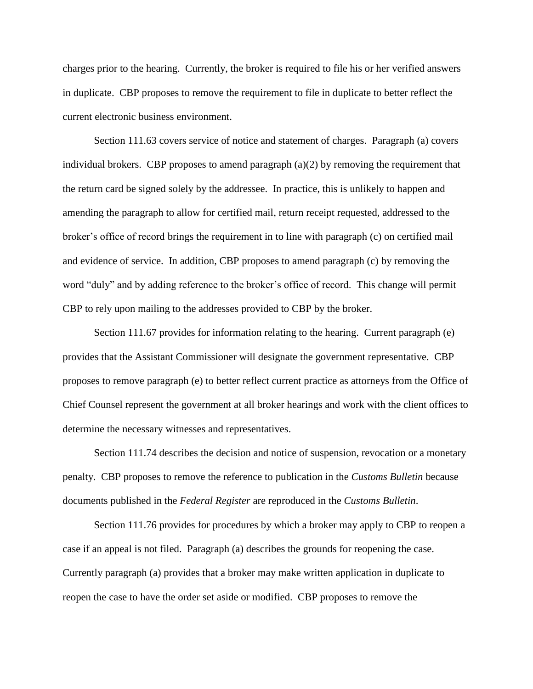charges prior to the hearing. Currently, the broker is required to file his or her verified answers in duplicate. CBP proposes to remove the requirement to file in duplicate to better reflect the current electronic business environment.

Section 111.63 covers service of notice and statement of charges. Paragraph (a) covers individual brokers. CBP proposes to amend paragraph  $(a)(2)$  by removing the requirement that the return card be signed solely by the addressee. In practice, this is unlikely to happen and amending the paragraph to allow for certified mail, return receipt requested, addressed to the broker's office of record brings the requirement in to line with paragraph (c) on certified mail and evidence of service. In addition, CBP proposes to amend paragraph (c) by removing the word "duly" and by adding reference to the broker's office of record. This change will permit CBP to rely upon mailing to the addresses provided to CBP by the broker.

Section 111.67 provides for information relating to the hearing. Current paragraph (e) provides that the Assistant Commissioner will designate the government representative. CBP proposes to remove paragraph (e) to better reflect current practice as attorneys from the Office of Chief Counsel represent the government at all broker hearings and work with the client offices to determine the necessary witnesses and representatives.

Section 111.74 describes the decision and notice of suspension, revocation or a monetary penalty. CBP proposes to remove the reference to publication in the *Customs Bulletin* because documents published in the *Federal Register* are reproduced in the *Customs Bulletin*.

Section 111.76 provides for procedures by which a broker may apply to CBP to reopen a case if an appeal is not filed. Paragraph (a) describes the grounds for reopening the case. Currently paragraph (a) provides that a broker may make written application in duplicate to reopen the case to have the order set aside or modified. CBP proposes to remove the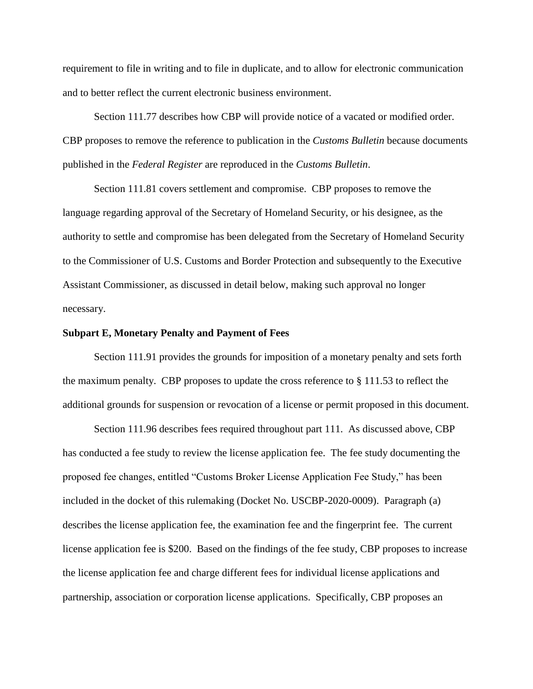requirement to file in writing and to file in duplicate, and to allow for electronic communication and to better reflect the current electronic business environment.

Section 111.77 describes how CBP will provide notice of a vacated or modified order. CBP proposes to remove the reference to publication in the *Customs Bulletin* because documents published in the *Federal Register* are reproduced in the *Customs Bulletin*.

Section 111.81 covers settlement and compromise. CBP proposes to remove the language regarding approval of the Secretary of Homeland Security, or his designee, as the authority to settle and compromise has been delegated from the Secretary of Homeland Security to the Commissioner of U.S. Customs and Border Protection and subsequently to the Executive Assistant Commissioner, as discussed in detail below, making such approval no longer necessary.

### **Subpart E, Monetary Penalty and Payment of Fees**

Section 111.91 provides the grounds for imposition of a monetary penalty and sets forth the maximum penalty. CBP proposes to update the cross reference to § 111.53 to reflect the additional grounds for suspension or revocation of a license or permit proposed in this document.

Section 111.96 describes fees required throughout part 111. As discussed above, CBP has conducted a fee study to review the license application fee. The fee study documenting the proposed fee changes, entitled "Customs Broker License Application Fee Study," has been included in the docket of this rulemaking (Docket No. USCBP-2020-0009). Paragraph (a) describes the license application fee, the examination fee and the fingerprint fee. The current license application fee is \$200. Based on the findings of the fee study, CBP proposes to increase the license application fee and charge different fees for individual license applications and partnership, association or corporation license applications. Specifically, CBP proposes an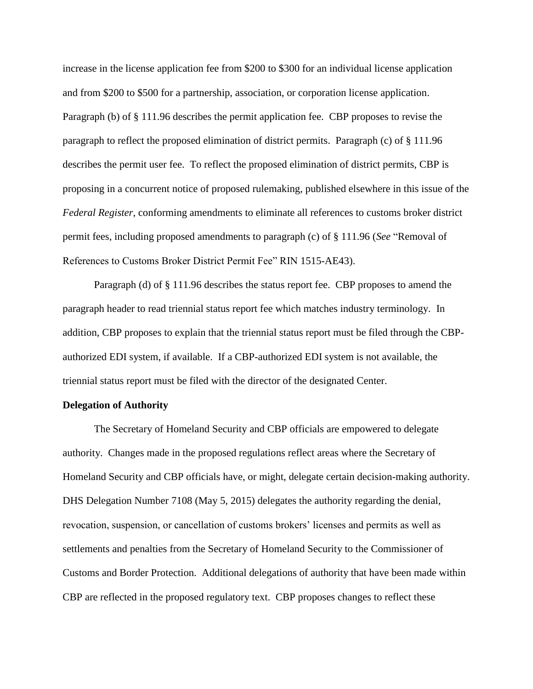increase in the license application fee from \$200 to \$300 for an individual license application and from \$200 to \$500 for a partnership, association, or corporation license application. Paragraph (b) of § 111.96 describes the permit application fee. CBP proposes to revise the paragraph to reflect the proposed elimination of district permits. Paragraph (c) of § 111.96 describes the permit user fee. To reflect the proposed elimination of district permits, CBP is proposing in a concurrent notice of proposed rulemaking, published elsewhere in this issue of the *Federal Register*, conforming amendments to eliminate all references to customs broker district permit fees, including proposed amendments to paragraph (c) of § 111.96 (*See* "Removal of References to Customs Broker District Permit Fee" RIN 1515-AE43).

Paragraph (d) of § 111.96 describes the status report fee. CBP proposes to amend the paragraph header to read triennial status report fee which matches industry terminology. In addition, CBP proposes to explain that the triennial status report must be filed through the CBPauthorized EDI system, if available. If a CBP-authorized EDI system is not available, the triennial status report must be filed with the director of the designated Center.

### **Delegation of Authority**

The Secretary of Homeland Security and CBP officials are empowered to delegate authority. Changes made in the proposed regulations reflect areas where the Secretary of Homeland Security and CBP officials have, or might, delegate certain decision-making authority. DHS Delegation Number 7108 (May 5, 2015) delegates the authority regarding the denial, revocation, suspension, or cancellation of customs brokers' licenses and permits as well as settlements and penalties from the Secretary of Homeland Security to the Commissioner of Customs and Border Protection. Additional delegations of authority that have been made within CBP are reflected in the proposed regulatory text. CBP proposes changes to reflect these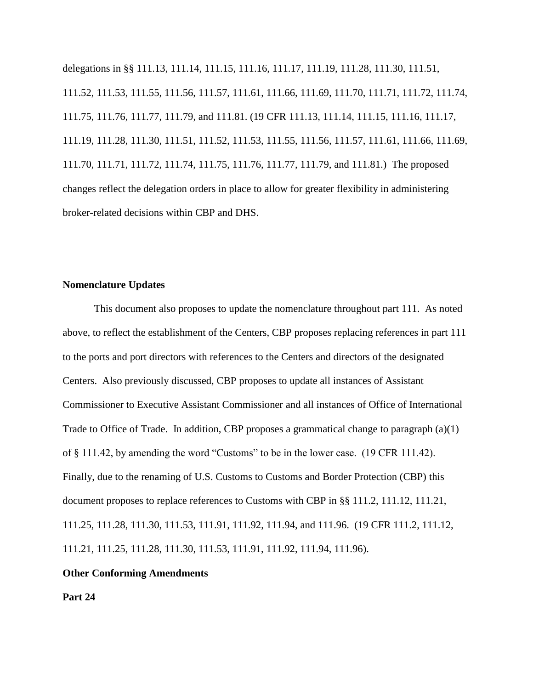delegations in §§ 111.13, 111.14, 111.15, 111.16, 111.17, 111.19, 111.28, 111.30, 111.51, 111.52, 111.53, 111.55, 111.56, 111.57, 111.61, 111.66, 111.69, 111.70, 111.71, 111.72, 111.74, 111.75, 111.76, 111.77, 111.79, and 111.81. (19 CFR 111.13, 111.14, 111.15, 111.16, 111.17, 111.19, 111.28, 111.30, 111.51, 111.52, 111.53, 111.55, 111.56, 111.57, 111.61, 111.66, 111.69, 111.70, 111.71, 111.72, 111.74, 111.75, 111.76, 111.77, 111.79, and 111.81.) The proposed changes reflect the delegation orders in place to allow for greater flexibility in administering broker-related decisions within CBP and DHS.

## **Nomenclature Updates**

This document also proposes to update the nomenclature throughout part 111. As noted above, to reflect the establishment of the Centers, CBP proposes replacing references in part 111 to the ports and port directors with references to the Centers and directors of the designated Centers. Also previously discussed, CBP proposes to update all instances of Assistant Commissioner to Executive Assistant Commissioner and all instances of Office of International Trade to Office of Trade. In addition, CBP proposes a grammatical change to paragraph (a)(1) of § 111.42, by amending the word "Customs" to be in the lower case. (19 CFR 111.42). Finally, due to the renaming of U.S. Customs to Customs and Border Protection (CBP) this document proposes to replace references to Customs with CBP in §§ 111.2, 111.12, 111.21, 111.25, 111.28, 111.30, 111.53, 111.91, 111.92, 111.94, and 111.96. (19 CFR 111.2, 111.12, 111.21, 111.25, 111.28, 111.30, 111.53, 111.91, 111.92, 111.94, 111.96).

## **Other Conforming Amendments**

**Part 24**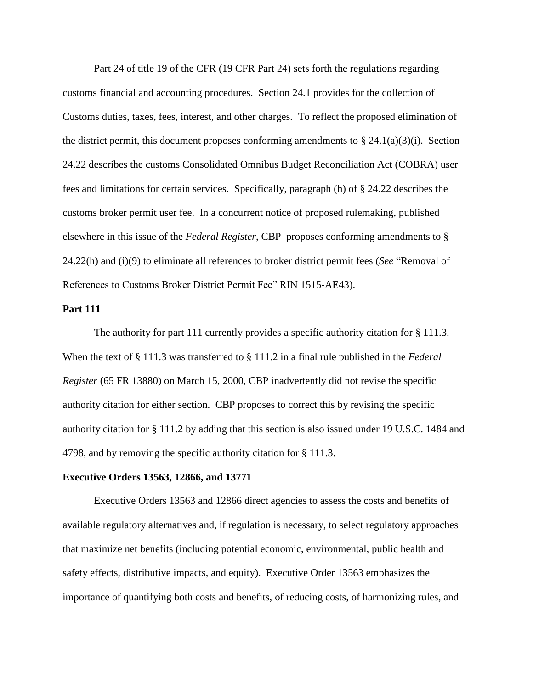Part 24 of title 19 of the CFR (19 CFR Part 24) sets forth the regulations regarding customs financial and accounting procedures. Section 24.1 provides for the collection of Customs duties, taxes, fees, interest, and other charges. To reflect the proposed elimination of the district permit, this document proposes conforming amendments to  $\S 24.1(a)(3)(i)$ . Section 24.22 describes the customs Consolidated Omnibus Budget Reconciliation Act (COBRA) user fees and limitations for certain services. Specifically, paragraph (h) of § 24.22 describes the customs broker permit user fee. In a concurrent notice of proposed rulemaking, published elsewhere in this issue of the *Federal Register*, CBP proposes conforming amendments to § 24.22(h) and (i)(9) to eliminate all references to broker district permit fees (*See* "Removal of References to Customs Broker District Permit Fee" RIN 1515-AE43).

#### **Part 111**

The authority for part 111 currently provides a specific authority citation for § 111.3. When the text of § 111.3 was transferred to § 111.2 in a final rule published in the *Federal Register* (65 FR 13880) on March 15, 2000, CBP inadvertently did not revise the specific authority citation for either section. CBP proposes to correct this by revising the specific authority citation for § 111.2 by adding that this section is also issued under 19 U.S.C. 1484 and 4798, and by removing the specific authority citation for § 111.3.

### **Executive Orders 13563, 12866, and 13771**

Executive Orders 13563 and 12866 direct agencies to assess the costs and benefits of available regulatory alternatives and, if regulation is necessary, to select regulatory approaches that maximize net benefits (including potential economic, environmental, public health and safety effects, distributive impacts, and equity). Executive Order 13563 emphasizes the importance of quantifying both costs and benefits, of reducing costs, of harmonizing rules, and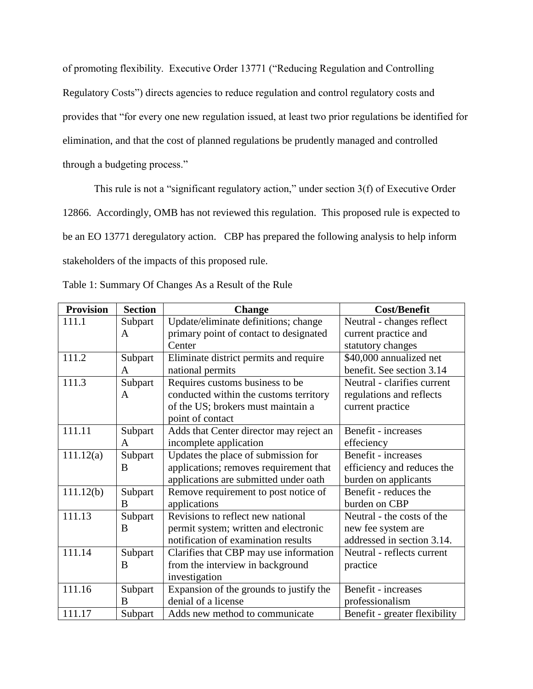of promoting flexibility. Executive Order 13771 ("Reducing Regulation and Controlling Regulatory Costs") directs agencies to reduce regulation and control regulatory costs and provides that "for every one new regulation issued, at least two prior regulations be identified for elimination, and that the cost of planned regulations be prudently managed and controlled through a budgeting process."

This rule is not a "significant regulatory action," under section 3(f) of Executive Order 12866. Accordingly, OMB has not reviewed this regulation. This proposed rule is expected to be an EO 13771 deregulatory action. CBP has prepared the following analysis to help inform stakeholders of the impacts of this proposed rule.

| <b>Provision</b> | <b>Section</b> | <b>Change</b>                           | <b>Cost/Benefit</b>           |
|------------------|----------------|-----------------------------------------|-------------------------------|
| 111.1            | Subpart        | Update/eliminate definitions; change    | Neutral - changes reflect     |
|                  | A              | primary point of contact to designated  | current practice and          |
|                  |                | Center                                  | statutory changes             |
| 111.2            | Subpart        | Eliminate district permits and require  | \$40,000 annualized net       |
|                  | A              | national permits                        | benefit. See section 3.14     |
| 111.3            | Subpart        | Requires customs business to be         | Neutral - clarifies current   |
|                  | A              | conducted within the customs territory  | regulations and reflects      |
|                  |                | of the US; brokers must maintain a      | current practice              |
|                  |                | point of contact                        |                               |
| 111.11           | Subpart        | Adds that Center director may reject an | <b>Benefit</b> - increases    |
|                  | A              | incomplete application                  | effeciency                    |
| 111.12(a)        | Subpart        | Updates the place of submission for     | <b>Benefit</b> - increases    |
|                  | B              | applications; removes requirement that  | efficiency and reduces the    |
|                  |                | applications are submitted under oath   | burden on applicants          |
| 111.12(b)        | Subpart        | Remove requirement to post notice of    | Benefit - reduces the         |
|                  | B              | applications                            | burden on CBP                 |
| 111.13           | Subpart        | Revisions to reflect new national       | Neutral - the costs of the    |
|                  | B              | permit system; written and electronic   | new fee system are            |
|                  |                | notification of examination results     | addressed in section 3.14.    |
| 111.14           | Subpart        | Clarifies that CBP may use information  | Neutral - reflects current    |
|                  | B              | from the interview in background        | practice                      |
|                  |                | investigation                           |                               |
| 111.16           | Subpart        | Expansion of the grounds to justify the | <b>Benefit</b> - increases    |
|                  | B              | denial of a license                     | professionalism               |
| 111.17           | Subpart        | Adds new method to communicate          | Benefit - greater flexibility |

Table 1: Summary Of Changes As a Result of the Rule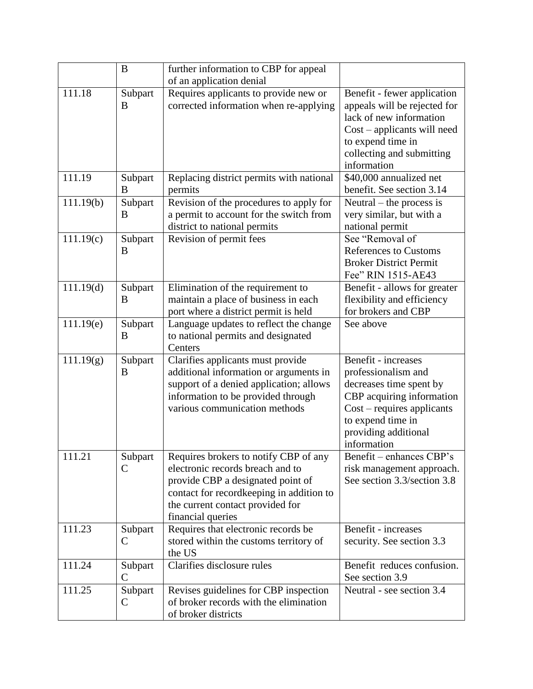|           | B                        | further information to CBP for appeal                                                                                                                                                                               |                                                                                                                                                                                                       |
|-----------|--------------------------|---------------------------------------------------------------------------------------------------------------------------------------------------------------------------------------------------------------------|-------------------------------------------------------------------------------------------------------------------------------------------------------------------------------------------------------|
|           |                          | of an application denial                                                                                                                                                                                            |                                                                                                                                                                                                       |
| 111.18    | Subpart<br>B             | Requires applicants to provide new or<br>corrected information when re-applying                                                                                                                                     | Benefit - fewer application<br>appeals will be rejected for<br>lack of new information<br>$Cost$ – applicants will need<br>to expend time in<br>collecting and submitting<br>information              |
| 111.19    | Subpart<br>B             | Replacing district permits with national<br>permits                                                                                                                                                                 | \$40,000 annualized net<br>benefit. See section 3.14                                                                                                                                                  |
| 111.19(b) | Subpart<br>B             | Revision of the procedures to apply for<br>a permit to account for the switch from<br>district to national permits                                                                                                  | Neutral $-$ the process is<br>very similar, but with a<br>national permit                                                                                                                             |
| 111.19(c) | Subpart<br>B             | Revision of permit fees                                                                                                                                                                                             | See "Removal of<br><b>References to Customs</b><br><b>Broker District Permit</b><br>Fee" RIN 1515-AE43                                                                                                |
| 111.19(d) | Subpart<br>B             | Elimination of the requirement to<br>maintain a place of business in each<br>port where a district permit is held                                                                                                   | Benefit - allows for greater<br>flexibility and efficiency<br>for brokers and CBP                                                                                                                     |
| 111.19(e) | Subpart<br>B             | Language updates to reflect the change<br>to national permits and designated<br>Centers                                                                                                                             | See above                                                                                                                                                                                             |
| 111.19(g) | Subpart<br>B             | Clarifies applicants must provide<br>additional information or arguments in<br>support of a denied application; allows<br>information to be provided through<br>various communication methods                       | <b>Benefit</b> - increases<br>professionalism and<br>decreases time spent by<br>CBP acquiring information<br>$Cost$ – requires applicants<br>to expend time in<br>providing additional<br>information |
| 111.21    | Subpart<br>$\mathsf{C}$  | Requires brokers to notify CBP of any<br>electronic records breach and to<br>provide CBP a designated point of<br>contact for recordkeeping in addition to<br>the current contact provided for<br>financial queries | Benefit - enhances CBP's<br>risk management approach.<br>See section 3.3/section 3.8                                                                                                                  |
| 111.23    | Subpart<br>C             | Requires that electronic records be<br>stored within the customs territory of<br>the US                                                                                                                             | Benefit - increases<br>security. See section 3.3                                                                                                                                                      |
| 111.24    | Subpart<br>$\mathcal{C}$ | Clarifies disclosure rules                                                                                                                                                                                          | Benefit reduces confusion.<br>See section 3.9                                                                                                                                                         |
| 111.25    | Subpart<br>$\mathsf{C}$  | Revises guidelines for CBP inspection<br>of broker records with the elimination<br>of broker districts                                                                                                              | Neutral - see section 3.4                                                                                                                                                                             |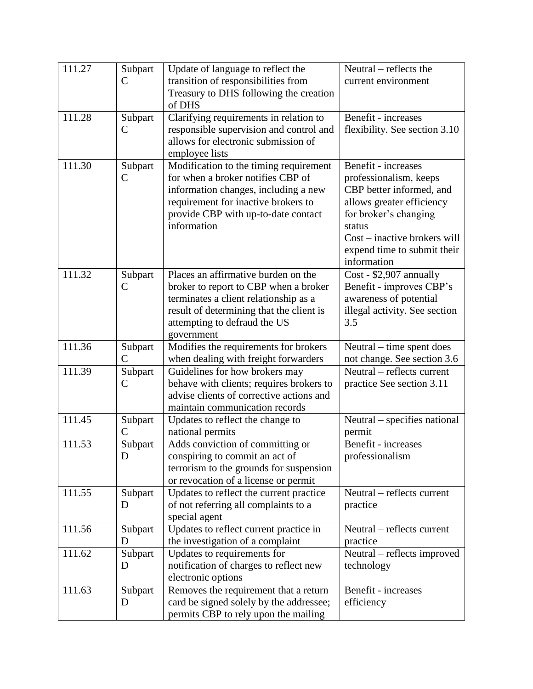| 111.27 | Subpart                  | Update of language to reflect the                                               | Neutral – reflects the                                   |
|--------|--------------------------|---------------------------------------------------------------------------------|----------------------------------------------------------|
|        | $\mathsf{C}$             | transition of responsibilities from                                             | current environment                                      |
|        |                          | Treasury to DHS following the creation                                          |                                                          |
|        |                          | of DHS                                                                          |                                                          |
| 111.28 | Subpart                  | Clarifying requirements in relation to                                          | <b>Benefit</b> - increases                               |
|        | $\mathsf{C}$             | responsible supervision and control and                                         | flexibility. See section 3.10                            |
|        |                          | allows for electronic submission of                                             |                                                          |
|        |                          | employee lists                                                                  |                                                          |
| 111.30 | Subpart                  | Modification to the timing requirement                                          | <b>Benefit</b> - increases                               |
|        | $\mathsf{C}$             | for when a broker notifies CBP of                                               | professionalism, keeps                                   |
|        |                          | information changes, including a new                                            | CBP better informed, and                                 |
|        |                          | requirement for inactive brokers to                                             | allows greater efficiency                                |
|        |                          | provide CBP with up-to-date contact                                             | for broker's changing                                    |
|        |                          | information                                                                     | status                                                   |
|        |                          |                                                                                 | Cost – inactive brokers will                             |
|        |                          |                                                                                 | expend time to submit their                              |
|        |                          |                                                                                 | information                                              |
| 111.32 | Subpart                  | Places an affirmative burden on the                                             | $\overline{\text{Cost}}$ - \$2,907 annually              |
|        | C                        | broker to report to CBP when a broker                                           | Benefit - improves CBP's                                 |
|        |                          | terminates a client relationship as a                                           | awareness of potential                                   |
|        |                          | result of determining that the client is                                        | illegal activity. See section                            |
|        |                          | attempting to defraud the US                                                    | 3.5                                                      |
| 111.36 |                          | government                                                                      |                                                          |
|        | Subpart<br>$\mathcal{C}$ | Modifies the requirements for brokers<br>when dealing with freight forwarders   | Neutral – time spent does<br>not change. See section 3.6 |
| 111.39 | Subpart                  | Guidelines for how brokers may                                                  | Neutral – reflects current                               |
|        | $\mathsf{C}$             | behave with clients; requires brokers to                                        | practice See section 3.11                                |
|        |                          | advise clients of corrective actions and                                        |                                                          |
|        |                          | maintain communication records                                                  |                                                          |
| 111.45 | Subpart                  | Updates to reflect the change to                                                | Neutral – specifies national                             |
|        | $\overline{C}$           | national permits                                                                | permit                                                   |
| 111.53 | Subpart                  | Adds conviction of committing or                                                | <b>Benefit</b> - increases                               |
|        | D                        | conspiring to commit an act of                                                  | professionalism                                          |
|        |                          | terrorism to the grounds for suspension                                         |                                                          |
|        |                          | or revocation of a license or permit                                            |                                                          |
| 111.55 | Subpart                  | Updates to reflect the current practice                                         | Neutral – reflects current                               |
|        | D                        | of not referring all complaints to a                                            | practice                                                 |
|        |                          | special agent                                                                   |                                                          |
| 111.56 | Subpart                  | Updates to reflect current practice in                                          | Neutral – reflects current                               |
|        | D                        | the investigation of a complaint                                                | practice                                                 |
| 111.62 | Subpart                  | Updates to requirements for                                                     | Neutral – reflects improved                              |
|        | D                        | notification of charges to reflect new                                          | technology                                               |
|        |                          |                                                                                 |                                                          |
|        |                          | electronic options                                                              |                                                          |
| 111.63 | Subpart                  | Removes the requirement that a return                                           | <b>Benefit</b> - increases                               |
|        | D                        | card be signed solely by the addressee;<br>permits CBP to rely upon the mailing | efficiency                                               |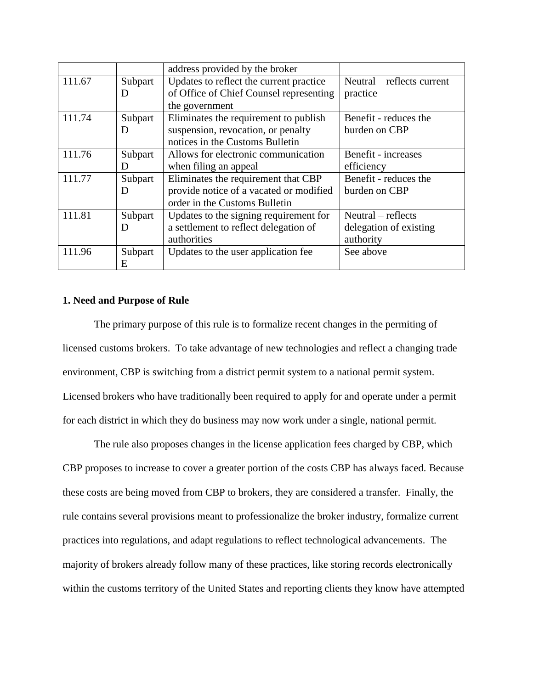|        |         | address provided by the broker          |                            |
|--------|---------|-----------------------------------------|----------------------------|
| 111.67 | Subpart | Updates to reflect the current practice | Neutral – reflects current |
|        | D       | of Office of Chief Counsel representing | practice                   |
|        |         | the government                          |                            |
| 111.74 | Subpart | Eliminates the requirement to publish   | Benefit - reduces the      |
|        | D       | suspension, revocation, or penalty      | burden on CBP              |
|        |         | notices in the Customs Bulletin         |                            |
| 111.76 | Subpart | Allows for electronic communication     | Benefit - increases        |
|        | D       | when filing an appeal                   | efficiency                 |
| 111.77 | Subpart | Eliminates the requirement that CBP     | Benefit - reduces the      |
|        | D       | provide notice of a vacated or modified | burden on CBP              |
|        |         | order in the Customs Bulletin           |                            |
| 111.81 | Subpart | Updates to the signing requirement for  | $Neutral - reflects$       |
|        | D       | a settlement to reflect delegation of   | delegation of existing     |
|        |         | authorities                             | authority                  |
| 111.96 | Subpart | Updates to the user application fee     | See above                  |
|        | Ε       |                                         |                            |

### **1. Need and Purpose of Rule**

The primary purpose of this rule is to formalize recent changes in the permiting of licensed customs brokers. To take advantage of new technologies and reflect a changing trade environment, CBP is switching from a district permit system to a national permit system. Licensed brokers who have traditionally been required to apply for and operate under a permit for each district in which they do business may now work under a single, national permit.

The rule also proposes changes in the license application fees charged by CBP, which CBP proposes to increase to cover a greater portion of the costs CBP has always faced. Because these costs are being moved from CBP to brokers, they are considered a transfer. Finally, the rule contains several provisions meant to professionalize the broker industry, formalize current practices into regulations, and adapt regulations to reflect technological advancements. The majority of brokers already follow many of these practices, like storing records electronically within the customs territory of the United States and reporting clients they know have attempted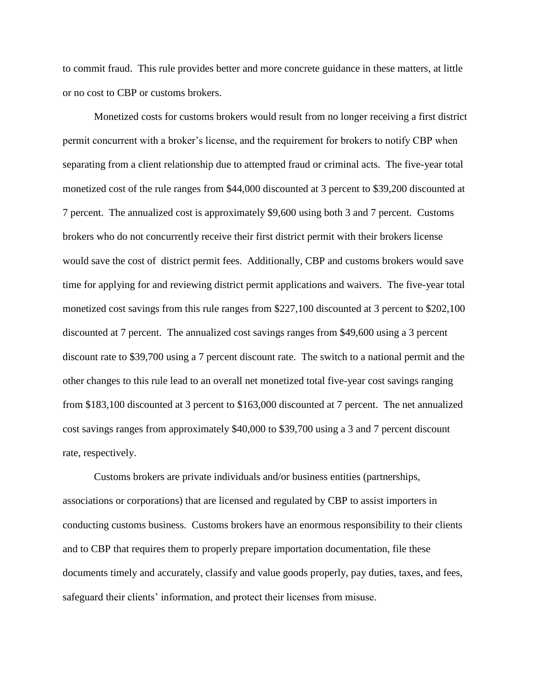to commit fraud. This rule provides better and more concrete guidance in these matters, at little or no cost to CBP or customs brokers.

Monetized costs for customs brokers would result from no longer receiving a first district permit concurrent with a broker's license, and the requirement for brokers to notify CBP when separating from a client relationship due to attempted fraud or criminal acts. The five-year total monetized cost of the rule ranges from \$44,000 discounted at 3 percent to \$39,200 discounted at 7 percent. The annualized cost is approximately \$9,600 using both 3 and 7 percent. Customs brokers who do not concurrently receive their first district permit with their brokers license would save the cost of district permit fees. Additionally, CBP and customs brokers would save time for applying for and reviewing district permit applications and waivers. The five-year total monetized cost savings from this rule ranges from \$227,100 discounted at 3 percent to \$202,100 discounted at 7 percent. The annualized cost savings ranges from \$49,600 using a 3 percent discount rate to \$39,700 using a 7 percent discount rate. The switch to a national permit and the other changes to this rule lead to an overall net monetized total five-year cost savings ranging from \$183,100 discounted at 3 percent to \$163,000 discounted at 7 percent. The net annualized cost savings ranges from approximately \$40,000 to \$39,700 using a 3 and 7 percent discount rate, respectively.

Customs brokers are private individuals and/or business entities (partnerships, associations or corporations) that are licensed and regulated by CBP to assist importers in conducting customs business. Customs brokers have an enormous responsibility to their clients and to CBP that requires them to properly prepare importation documentation, file these documents timely and accurately, classify and value goods properly, pay duties, taxes, and fees, safeguard their clients' information, and protect their licenses from misuse.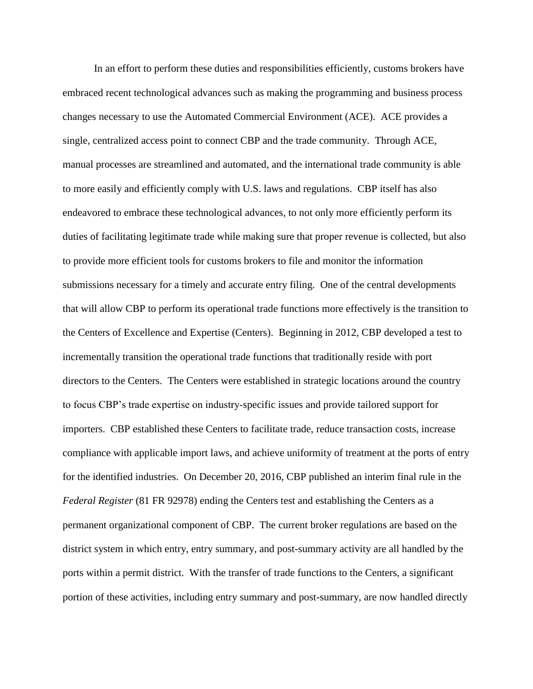In an effort to perform these duties and responsibilities efficiently, customs brokers have embraced recent technological advances such as making the programming and business process changes necessary to use the Automated Commercial Environment (ACE). ACE provides a single, centralized access point to connect CBP and the trade community. Through ACE, manual processes are streamlined and automated, and the international trade community is able to more easily and efficiently comply with U.S. laws and regulations. CBP itself has also endeavored to embrace these technological advances, to not only more efficiently perform its duties of facilitating legitimate trade while making sure that proper revenue is collected, but also to provide more efficient tools for customs brokers to file and monitor the information submissions necessary for a timely and accurate entry filing. One of the central developments that will allow CBP to perform its operational trade functions more effectively is the transition to the Centers of Excellence and Expertise (Centers). Beginning in 2012, CBP developed a test to incrementally transition the operational trade functions that traditionally reside with port directors to the Centers. The Centers were established in strategic locations around the country to focus CBP's trade expertise on industry-specific issues and provide tailored support for importers. CBP established these Centers to facilitate trade, reduce transaction costs, increase compliance with applicable import laws, and achieve uniformity of treatment at the ports of entry for the identified industries. On December 20, 2016, CBP published an interim final rule in the *Federal Register* (81 FR 92978) ending the Centers test and establishing the Centers as a permanent organizational component of CBP. The current broker regulations are based on the district system in which entry, entry summary, and post-summary activity are all handled by the ports within a permit district. With the transfer of trade functions to the Centers, a significant portion of these activities, including entry summary and post-summary, are now handled directly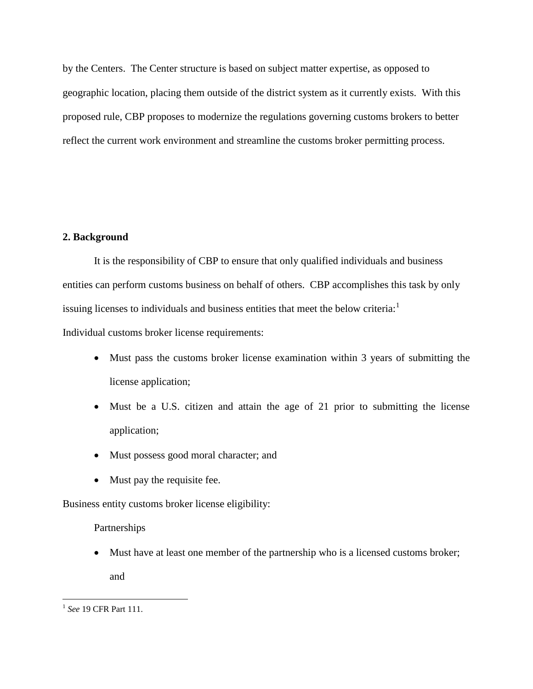by the Centers. The Center structure is based on subject matter expertise, as opposed to geographic location, placing them outside of the district system as it currently exists. With this proposed rule, CBP proposes to modernize the regulations governing customs brokers to better reflect the current work environment and streamline the customs broker permitting process.

## **2. Background**

It is the responsibility of CBP to ensure that only qualified individuals and business entities can perform customs business on behalf of others. CBP accomplishes this task by only issuing licenses to individuals and business entities that meet the below criteria:

Individual customs broker license requirements:

- Must pass the customs broker license examination within 3 years of submitting the license application;
- Must be a U.S. citizen and attain the age of 21 prior to submitting the license application;
- Must possess good moral character; and
- Must pay the requisite fee.

Business entity customs broker license eligibility:

Partnerships

 Must have at least one member of the partnership who is a licensed customs broker; and

 1 *See* 19 CFR Part 111.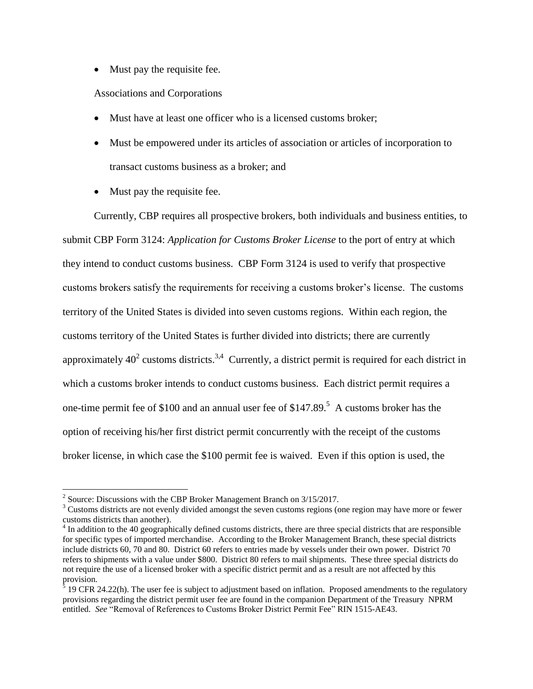• Must pay the requisite fee.

## Associations and Corporations

- Must have at least one officer who is a licensed customs broker;
- Must be empowered under its articles of association or articles of incorporation to transact customs business as a broker; and
- Must pay the requisite fee.

Currently, CBP requires all prospective brokers, both individuals and business entities, to submit CBP Form 3124: *Application for Customs Broker License* to the port of entry at which they intend to conduct customs business. CBP Form 3124 is used to verify that prospective customs brokers satisfy the requirements for receiving a customs broker's license. The customs territory of the United States is divided into seven customs regions. Within each region, the customs territory of the United States is further divided into districts; there are currently approximately  $40^2$  customs districts.<sup>3,4</sup> Currently, a district permit is required for each district in which a customs broker intends to conduct customs business. Each district permit requires a one-time permit fee of \$100 and an annual user fee of \$147.89. 5 A customs broker has the option of receiving his/her first district permit concurrently with the receipt of the customs broker license, in which case the \$100 permit fee is waived. Even if this option is used, the

 $\overline{a}$ 

<sup>&</sup>lt;sup>2</sup> Source: Discussions with the CBP Broker Management Branch on  $3/15/2017$ .

<sup>&</sup>lt;sup>3</sup> Customs districts are not evenly divided amongst the seven customs regions (one region may have more or fewer customs districts than another).

 $4 \text{ In addition to the 40 geographically defined customers districts, there are three special districts that are responsible.}$ for specific types of imported merchandise. According to the Broker Management Branch, these special districts include districts 60, 70 and 80. District 60 refers to entries made by vessels under their own power. District 70 refers to shipments with a value under \$800. District 80 refers to mail shipments. These three special districts do not require the use of a licensed broker with a specific district permit and as a result are not affected by this provision.

 $5$  19 CFR 24.22(h). The user fee is subject to adjustment based on inflation. Proposed amendments to the regulatory provisions regarding the district permit user fee are found in the companion Department of the Treasury NPRM entitled. *See* "Removal of References to Customs Broker District Permit Fee" RIN 1515-AE43.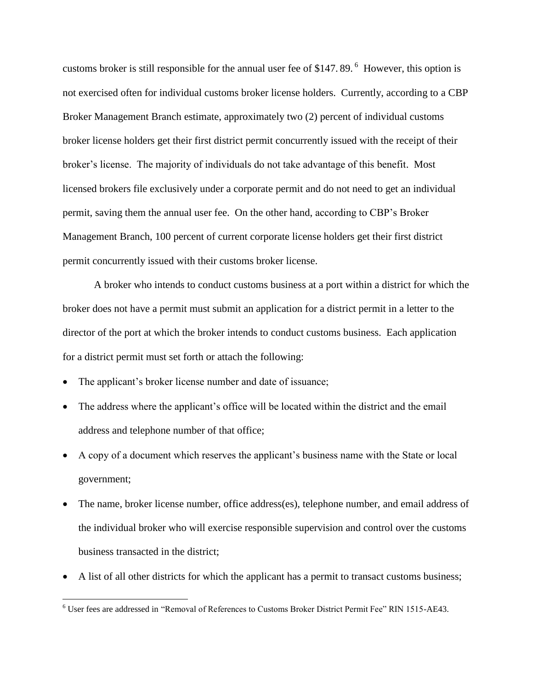customs broker is still responsible for the annual user fee of \$147.89.<sup>6</sup> However, this option is not exercised often for individual customs broker license holders. Currently, according to a CBP Broker Management Branch estimate, approximately two (2) percent of individual customs broker license holders get their first district permit concurrently issued with the receipt of their broker's license. The majority of individuals do not take advantage of this benefit. Most licensed brokers file exclusively under a corporate permit and do not need to get an individual permit, saving them the annual user fee. On the other hand, according to CBP's Broker Management Branch, 100 percent of current corporate license holders get their first district permit concurrently issued with their customs broker license.

A broker who intends to conduct customs business at a port within a district for which the broker does not have a permit must submit an application for a district permit in a letter to the director of the port at which the broker intends to conduct customs business. Each application for a district permit must set forth or attach the following:

• The applicant's broker license number and date of issuance;

 $\overline{a}$ 

- The address where the applicant's office will be located within the district and the email address and telephone number of that office;
- A copy of a document which reserves the applicant's business name with the State or local government;
- The name, broker license number, office address(es), telephone number, and email address of the individual broker who will exercise responsible supervision and control over the customs business transacted in the district;
- A list of all other districts for which the applicant has a permit to transact customs business;

<sup>&</sup>lt;sup>6</sup> User fees are addressed in "Removal of References to Customs Broker District Permit Fee" RIN 1515-AE43.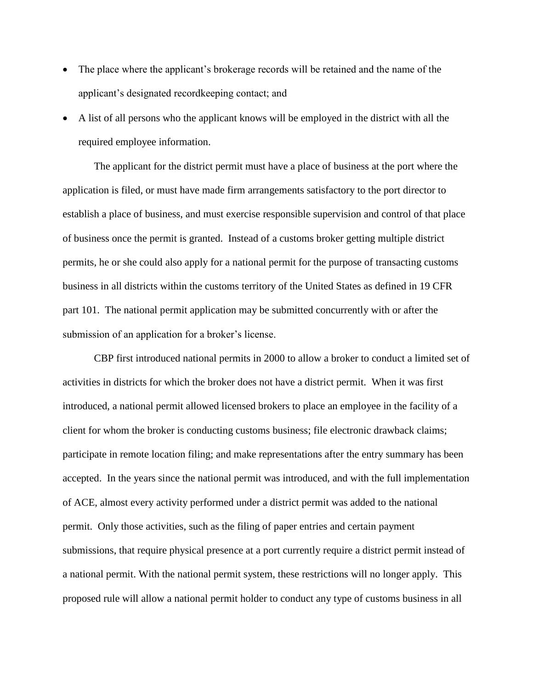- The place where the applicant's brokerage records will be retained and the name of the applicant's designated recordkeeping contact; and
- A list of all persons who the applicant knows will be employed in the district with all the required employee information.

The applicant for the district permit must have a place of business at the port where the application is filed, or must have made firm arrangements satisfactory to the port director to establish a place of business, and must exercise responsible supervision and control of that place of business once the permit is granted. Instead of a customs broker getting multiple district permits, he or she could also apply for a national permit for the purpose of transacting customs business in all districts within the customs territory of the United States as defined in 19 CFR part 101. The national permit application may be submitted concurrently with or after the submission of an application for a broker's license.

CBP first introduced national permits in 2000 to allow a broker to conduct a limited set of activities in districts for which the broker does not have a district permit. When it was first introduced, a national permit allowed licensed brokers to place an employee in the facility of a client for whom the broker is conducting customs business; file electronic drawback claims; participate in remote location filing; and make representations after the entry summary has been accepted. In the years since the national permit was introduced, and with the full implementation of ACE, almost every activity performed under a district permit was added to the national permit. Only those activities, such as the filing of paper entries and certain payment submissions, that require physical presence at a port currently require a district permit instead of a national permit. With the national permit system, these restrictions will no longer apply. This proposed rule will allow a national permit holder to conduct any type of customs business in all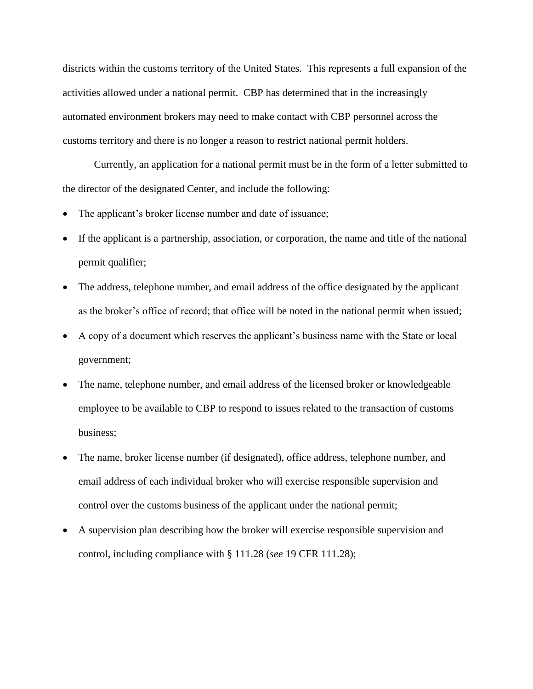districts within the customs territory of the United States. This represents a full expansion of the activities allowed under a national permit. CBP has determined that in the increasingly automated environment brokers may need to make contact with CBP personnel across the customs territory and there is no longer a reason to restrict national permit holders.

Currently, an application for a national permit must be in the form of a letter submitted to the director of the designated Center, and include the following:

- The applicant's broker license number and date of issuance;
- If the applicant is a partnership, association, or corporation, the name and title of the national permit qualifier;
- The address, telephone number, and email address of the office designated by the applicant as the broker's office of record; that office will be noted in the national permit when issued;
- A copy of a document which reserves the applicant's business name with the State or local government;
- The name, telephone number, and email address of the licensed broker or knowledgeable employee to be available to CBP to respond to issues related to the transaction of customs business;
- The name, broker license number (if designated), office address, telephone number, and email address of each individual broker who will exercise responsible supervision and control over the customs business of the applicant under the national permit;
- A supervision plan describing how the broker will exercise responsible supervision and control, including compliance with § 111.28 (*see* 19 CFR 111.28);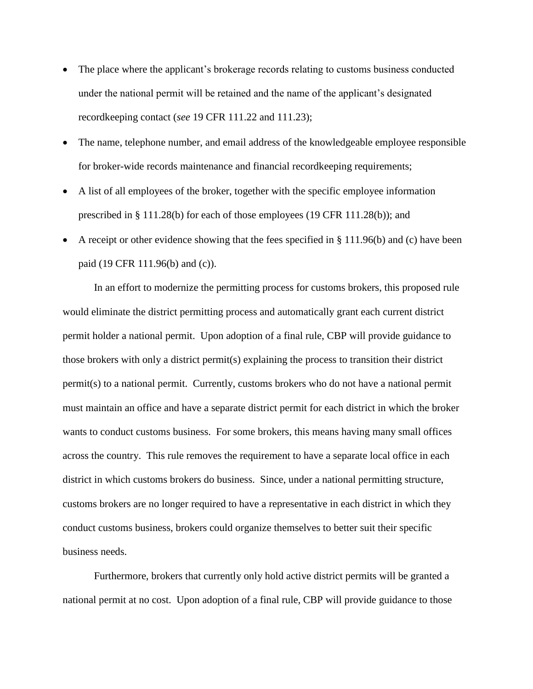- The place where the applicant's brokerage records relating to customs business conducted under the national permit will be retained and the name of the applicant's designated recordkeeping contact (*see* 19 CFR 111.22 and 111.23);
- The name, telephone number, and email address of the knowledgeable employee responsible for broker-wide records maintenance and financial recordkeeping requirements;
- A list of all employees of the broker, together with the specific employee information prescribed in § 111.28(b) for each of those employees (19 CFR 111.28(b)); and
- A receipt or other evidence showing that the fees specified in § 111.96(b) and (c) have been paid (19 CFR 111.96(b) and (c)).

In an effort to modernize the permitting process for customs brokers, this proposed rule would eliminate the district permitting process and automatically grant each current district permit holder a national permit. Upon adoption of a final rule, CBP will provide guidance to those brokers with only a district permit(s) explaining the process to transition their district permit(s) to a national permit. Currently, customs brokers who do not have a national permit must maintain an office and have a separate district permit for each district in which the broker wants to conduct customs business. For some brokers, this means having many small offices across the country. This rule removes the requirement to have a separate local office in each district in which customs brokers do business. Since, under a national permitting structure, customs brokers are no longer required to have a representative in each district in which they conduct customs business, brokers could organize themselves to better suit their specific business needs.

Furthermore, brokers that currently only hold active district permits will be granted a national permit at no cost. Upon adoption of a final rule, CBP will provide guidance to those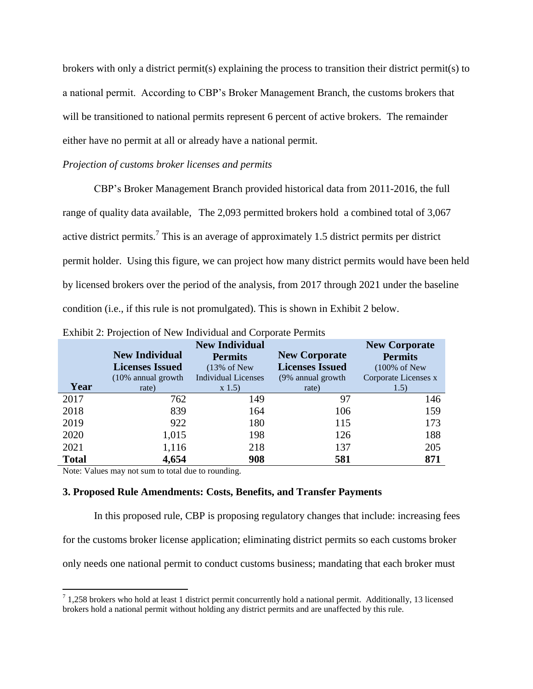brokers with only a district permit(s) explaining the process to transition their district permit(s) to a national permit. According to CBP's Broker Management Branch, the customs brokers that will be transitioned to national permits represent 6 percent of active brokers. The remainder either have no permit at all or already have a national permit.

## *Projection of customs broker licenses and permits*

CBP's Broker Management Branch provided historical data from 2011-2016, the full range of quality data available, The 2,093 permitted brokers hold a combined total of 3,067 active district permits.<sup>7</sup> This is an average of approximately 1.5 district permits per district permit holder. Using this figure, we can project how many district permits would have been held by licensed brokers over the period of the analysis, from 2017 through 2021 under the baseline condition (i.e., if this rule is not promulgated). This is shown in Exhibit 2 below.

|              |                        | <b>New Individual</b>      |                        | <b>New Corporate</b>     |
|--------------|------------------------|----------------------------|------------------------|--------------------------|
|              | <b>New Individual</b>  | <b>Permits</b>             | <b>New Corporate</b>   | <b>Permits</b>           |
|              | <b>Licenses Issued</b> | $(13\% \text{ of New})$    | <b>Licenses Issued</b> | $(100\% \text{ of New})$ |
|              | (10% annual growth     | <b>Individual Licenses</b> | (9% annual growth      | Corporate Licenses x     |
| Year         | rate)                  | x 1.5                      | rate)                  | 1.5)                     |
| 2017         | 762                    | 149                        | 97                     | 146                      |
| 2018         | 839                    | 164                        | 106                    | 159                      |
| 2019         | 922                    | 180                        | 115                    | 173                      |
| 2020         | 1,015                  | 198                        | 126                    | 188                      |
| 2021         | 1,116                  | 218                        | 137                    | 205                      |
| <b>Total</b> | 4,654                  | 908                        | 581                    | 871                      |

| Exhibit 2: Projection of New Individual and Corporate Permits |  |  |  |
|---------------------------------------------------------------|--|--|--|
|                                                               |  |  |  |

Note: Values may not sum to total due to rounding.

 $\overline{a}$ 

### **3. Proposed Rule Amendments: Costs, Benefits, and Transfer Payments**

In this proposed rule, CBP is proposing regulatory changes that include: increasing fees for the customs broker license application; eliminating district permits so each customs broker only needs one national permit to conduct customs business; mandating that each broker must

 $7$  1,258 brokers who hold at least 1 district permit concurrently hold a national permit. Additionally, 13 licensed brokers hold a national permit without holding any district permits and are unaffected by this rule.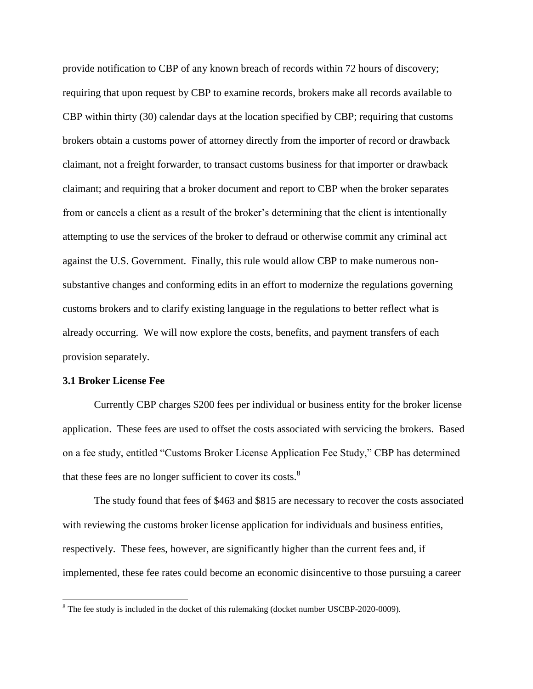provide notification to CBP of any known breach of records within 72 hours of discovery; requiring that upon request by CBP to examine records, brokers make all records available to CBP within thirty (30) calendar days at the location specified by CBP; requiring that customs brokers obtain a customs power of attorney directly from the importer of record or drawback claimant, not a freight forwarder, to transact customs business for that importer or drawback claimant; and requiring that a broker document and report to CBP when the broker separates from or cancels a client as a result of the broker's determining that the client is intentionally attempting to use the services of the broker to defraud or otherwise commit any criminal act against the U.S. Government. Finally, this rule would allow CBP to make numerous nonsubstantive changes and conforming edits in an effort to modernize the regulations governing customs brokers and to clarify existing language in the regulations to better reflect what is already occurring. We will now explore the costs, benefits, and payment transfers of each provision separately.

### **3.1 Broker License Fee**

 $\overline{a}$ 

Currently CBP charges \$200 fees per individual or business entity for the broker license application. These fees are used to offset the costs associated with servicing the brokers. Based on a fee study, entitled "Customs Broker License Application Fee Study," CBP has determined that these fees are no longer sufficient to cover its costs. $8$ 

The study found that fees of \$463 and \$815 are necessary to recover the costs associated with reviewing the customs broker license application for individuals and business entities, respectively. These fees, however, are significantly higher than the current fees and, if implemented, these fee rates could become an economic disincentive to those pursuing a career

 $8$  The fee study is included in the docket of this rulemaking (docket number USCBP-2020-0009).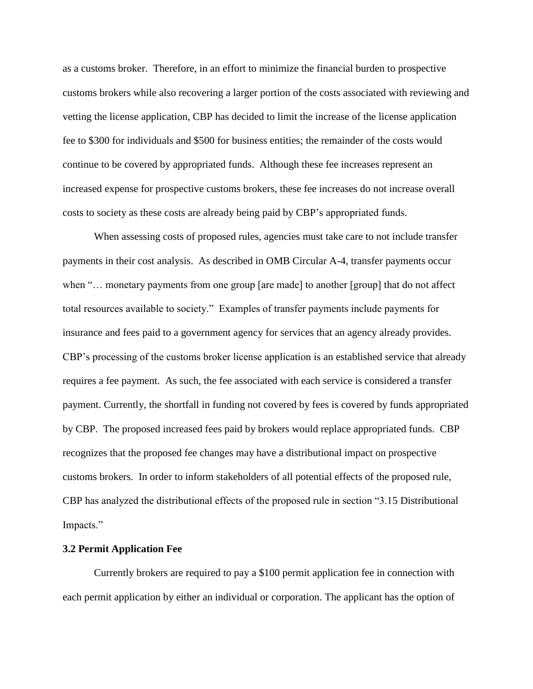as a customs broker. Therefore, in an effort to minimize the financial burden to prospective customs brokers while also recovering a larger portion of the costs associated with reviewing and vetting the license application, CBP has decided to limit the increase of the license application fee to \$300 for individuals and \$500 for business entities; the remainder of the costs would continue to be covered by appropriated funds. Although these fee increases represent an increased expense for prospective customs brokers, these fee increases do not increase overall costs to society as these costs are already being paid by CBP's appropriated funds.

When assessing costs of proposed rules, agencies must take care to not include transfer payments in their cost analysis. As described in OMB Circular A-4, transfer payments occur when "... monetary payments from one group [are made] to another [group] that do not affect total resources available to society." Examples of transfer payments include payments for insurance and fees paid to a government agency for services that an agency already provides. CBP's processing of the customs broker license application is an established service that already requires a fee payment. As such, the fee associated with each service is considered a transfer payment. Currently, the shortfall in funding not covered by fees is covered by funds appropriated by CBP. The proposed increased fees paid by brokers would replace appropriated funds. CBP recognizes that the proposed fee changes may have a distributional impact on prospective customs brokers. In order to inform stakeholders of all potential effects of the proposed rule, CBP has analyzed the distributional effects of the proposed rule in section "3.15 Distributional Impacts."

### **3.2 Permit Application Fee**

Currently brokers are required to pay a \$100 permit application fee in connection with each permit application by either an individual or corporation. The applicant has the option of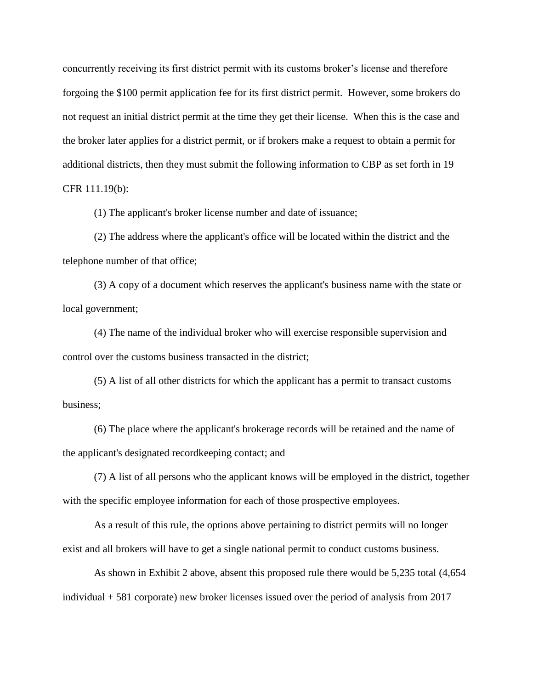concurrently receiving its first district permit with its customs broker's license and therefore forgoing the \$100 permit application fee for its first district permit. However, some brokers do not request an initial district permit at the time they get their license. When this is the case and the broker later applies for a district permit, or if brokers make a request to obtain a permit for additional districts, then they must submit the following information to CBP as set forth in 19 CFR 111.19(b):

(1) The applicant's broker license number and date of issuance;

(2) The address where the applicant's office will be located within the district and the telephone number of that office;

(3) A copy of a document which reserves the applicant's business name with the state or local government;

(4) The name of the individual broker who will exercise responsible supervision and control over the customs business transacted in the district;

(5) A list of all other districts for which the applicant has a permit to transact customs business;

(6) The place where the applicant's brokerage records will be retained and the name of the applicant's designated recordkeeping contact; and

(7) A list of all persons who the applicant knows will be employed in the district, together with the specific employee information for each of those prospective employees.

As a result of this rule, the options above pertaining to district permits will no longer exist and all brokers will have to get a single national permit to conduct customs business.

As shown in Exhibit 2 above, absent this proposed rule there would be 5,235 total (4,654 individual + 581 corporate) new broker licenses issued over the period of analysis from 2017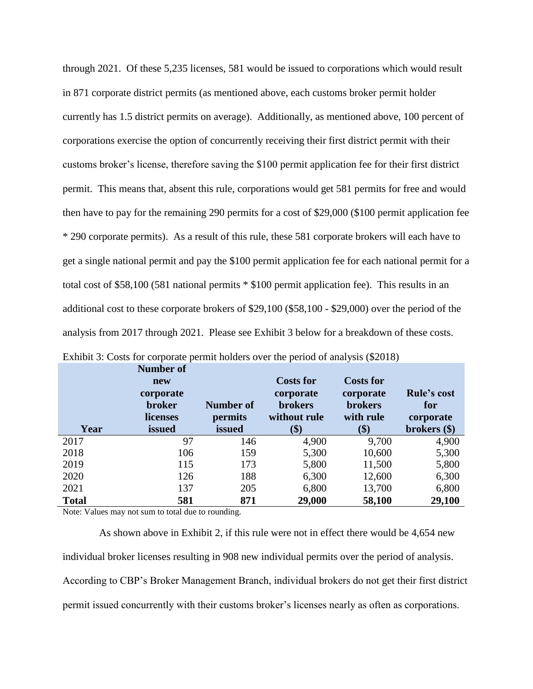through 2021. Of these 5,235 licenses, 581 would be issued to corporations which would result in 871 corporate district permits (as mentioned above, each customs broker permit holder currently has 1.5 district permits on average). Additionally, as mentioned above, 100 percent of corporations exercise the option of concurrently receiving their first district permit with their customs broker's license, therefore saving the \$100 permit application fee for their first district permit. This means that, absent this rule, corporations would get 581 permits for free and would then have to pay for the remaining 290 permits for a cost of \$29,000 (\$100 permit application fee \* 290 corporate permits). As a result of this rule, these 581 corporate brokers will each have to get a single national permit and pay the \$100 permit application fee for each national permit for a total cost of \$58,100 (581 national permits \* \$100 permit application fee). This results in an additional cost to these corporate brokers of \$29,100 (\$58,100 - \$29,000) over the period of the analysis from 2017 through 2021. Please see Exhibit 3 below for a breakdown of these costs.

| Year         | <b>Number of</b><br>new<br>corporate<br>broker<br>licenses<br><b>issued</b> | <b>Number of</b><br>permits<br>issued | <b>Costs for</b><br>corporate<br><b>brokers</b><br>without rule | <b>Costs for</b><br>corporate<br><b>brokers</b><br>with rule | <b>Rule's cost</b><br>for<br>corporate<br>brokers $(\$)$ |
|--------------|-----------------------------------------------------------------------------|---------------------------------------|-----------------------------------------------------------------|--------------------------------------------------------------|----------------------------------------------------------|
|              |                                                                             |                                       | (\$)                                                            | \$)                                                          |                                                          |
| 2017         | 97                                                                          | 146                                   | 4,900                                                           | 9,700                                                        | 4,900                                                    |
| 2018         | 106                                                                         | 159                                   | 5,300                                                           | 10,600                                                       | 5,300                                                    |
| 2019         | 115                                                                         | 173                                   | 5,800                                                           | 11,500                                                       | 5,800                                                    |
| 2020         | 126                                                                         | 188                                   | 6,300                                                           | 12,600                                                       | 6,300                                                    |
| 2021         | 137                                                                         | 205                                   | 6,800                                                           | 13,700                                                       | 6,800                                                    |
| <b>Total</b> | 581                                                                         | 871                                   | 29,000                                                          | 58,100                                                       | 29,100                                                   |

| Exhibit 3: Costs for corporate permit holders over the period of analysis (\$2018) |  |  |  |  |
|------------------------------------------------------------------------------------|--|--|--|--|
|------------------------------------------------------------------------------------|--|--|--|--|

Note: Values may not sum to total due to rounding.

 As shown above in Exhibit 2, if this rule were not in effect there would be 4,654 new individual broker licenses resulting in 908 new individual permits over the period of analysis. According to CBP's Broker Management Branch, individual brokers do not get their first district permit issued concurrently with their customs broker's licenses nearly as often as corporations.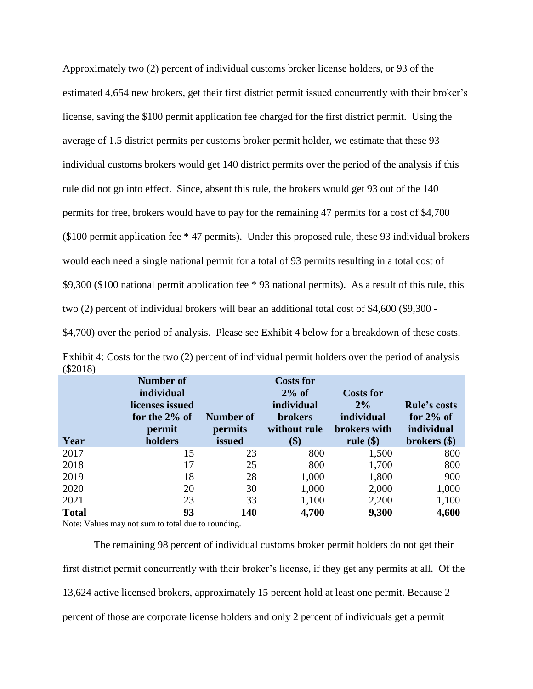Approximately two (2) percent of individual customs broker license holders, or 93 of the estimated 4,654 new brokers, get their first district permit issued concurrently with their broker's license, saving the \$100 permit application fee charged for the first district permit. Using the average of 1.5 district permits per customs broker permit holder, we estimate that these 93 individual customs brokers would get 140 district permits over the period of the analysis if this rule did not go into effect. Since, absent this rule, the brokers would get 93 out of the 140 permits for free, brokers would have to pay for the remaining 47 permits for a cost of \$4,700 (\$100 permit application fee \* 47 permits). Under this proposed rule, these 93 individual brokers would each need a single national permit for a total of 93 permits resulting in a total cost of \$9,300 (\$100 national permit application fee \* 93 national permits). As a result of this rule, this two (2) percent of individual brokers will bear an additional total cost of \$4,600 (\$9,300 -

\$4,700) over the period of analysis. Please see Exhibit 4 below for a breakdown of these costs.

| Year         | <b>Number of</b><br>individual<br>licenses issued<br>for the $2\%$ of<br>permit<br>holders | <b>Number of</b><br>permits<br>issued | <b>Costs for</b><br>$2\%$ of<br>individual<br><b>brokers</b><br>without rule<br>\$) | <b>Costs for</b><br>$2\%$<br>individual<br>brokers with<br>rule $(\$)$ | <b>Rule's costs</b><br>for $2\%$ of<br>individual<br>brokers $(\$)$ |
|--------------|--------------------------------------------------------------------------------------------|---------------------------------------|-------------------------------------------------------------------------------------|------------------------------------------------------------------------|---------------------------------------------------------------------|
| 2017         | 15                                                                                         | 23                                    | 800                                                                                 | 1,500                                                                  | 800                                                                 |
| 2018         | 17                                                                                         | 25                                    | 800                                                                                 | 1,700                                                                  | 800                                                                 |
| 2019         | 18                                                                                         | 28                                    | 1,000                                                                               | 1,800                                                                  | 900                                                                 |
| 2020         | 20                                                                                         | 30                                    | 1,000                                                                               | 2,000                                                                  | 1,000                                                               |
| 2021         | 23                                                                                         | 33                                    | 1,100                                                                               | 2,200                                                                  | 1,100                                                               |
| <b>Total</b> | 93                                                                                         | 140                                   | 4,700                                                                               | 9,300                                                                  | 4,600                                                               |

Exhibit 4: Costs for the two (2) percent of individual permit holders over the period of analysis (\$2018)

Note: Values may not sum to total due to rounding.

The remaining 98 percent of individual customs broker permit holders do not get their first district permit concurrently with their broker's license, if they get any permits at all. Of the 13,624 active licensed brokers, approximately 15 percent hold at least one permit. Because 2 percent of those are corporate license holders and only 2 percent of individuals get a permit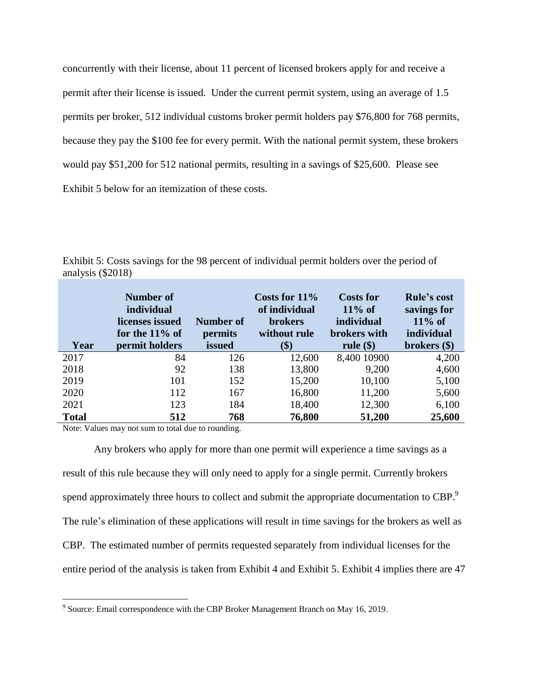concurrently with their license, about 11 percent of licensed brokers apply for and receive a permit after their license is issued. Under the current permit system, using an average of 1.5 permits per broker, 512 individual customs broker permit holders pay \$76,800 for 768 permits, because they pay the \$100 fee for every permit. With the national permit system, these brokers would pay \$51,200 for 512 national permits, resulting in a savings of \$25,600. Please see Exhibit 5 below for an itemization of these costs.

| Year         | Number of<br>individual<br>licenses issued<br>for the $11\%$ of<br>permit holders | <b>Number of</b><br>permits<br>issued | Costs for $11\%$<br>of individual<br><b>brokers</b><br>without rule<br>(\$) | <b>Costs for</b><br>$11\%$ of<br>individual<br>brokers with<br>rule $(\$)$ | <b>Rule's cost</b><br>savings for<br>$11\%$ of<br>individual<br>brokers $(\$)$ |
|--------------|-----------------------------------------------------------------------------------|---------------------------------------|-----------------------------------------------------------------------------|----------------------------------------------------------------------------|--------------------------------------------------------------------------------|
| 2017         | 84                                                                                | 126                                   | 12,600                                                                      | 8,400 10900                                                                | 4,200                                                                          |
| 2018         | 92                                                                                | 138                                   | 13,800                                                                      | 9,200                                                                      | 4,600                                                                          |
| 2019         | 101                                                                               | 152                                   | 15,200                                                                      | 10,100                                                                     | 5,100                                                                          |
| 2020         | 112                                                                               | 167                                   | 16,800                                                                      | 11,200                                                                     | 5,600                                                                          |
| 2021         | 123                                                                               | 184                                   | 18,400                                                                      | 12,300                                                                     | 6,100                                                                          |
| <b>Total</b> | 512                                                                               | 768                                   | 76,800                                                                      | 51,200                                                                     | 25,600                                                                         |

Exhibit 5: Costs savings for the 98 percent of individual permit holders over the period of analysis (\$2018)

Note: Values may not sum to total due to rounding.

Any brokers who apply for more than one permit will experience a time savings as a result of this rule because they will only need to apply for a single permit. Currently brokers spend approximately three hours to collect and submit the appropriate documentation to CBP.<sup>9</sup> The rule's elimination of these applications will result in time savings for the brokers as well as CBP. The estimated number of permits requested separately from individual licenses for the entire period of the analysis is taken from Exhibit 4 and Exhibit 5. Exhibit 4 implies there are 47

 9 Source: Email correspondence with the CBP Broker Management Branch on May 16, 2019.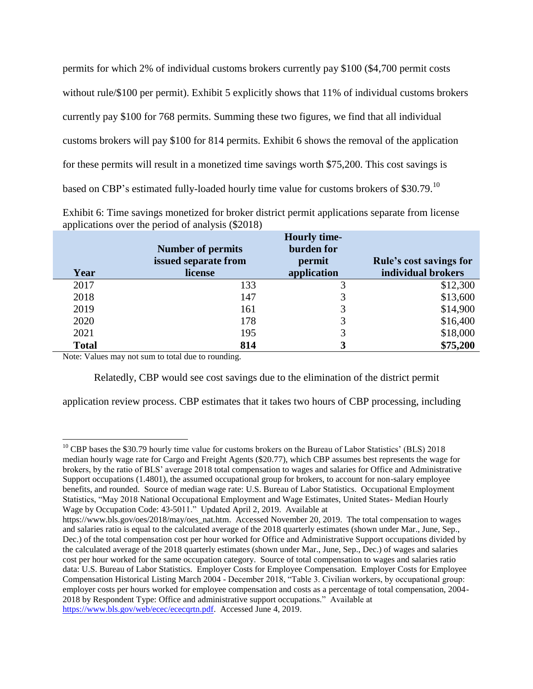permits for which 2% of individual customs brokers currently pay \$100 (\$4,700 permit costs without rule/\$100 per permit). Exhibit 5 explicitly shows that 11% of individual customs brokers currently pay \$100 for 768 permits. Summing these two figures, we find that all individual customs brokers will pay \$100 for 814 permits. Exhibit 6 shows the removal of the application for these permits will result in a monetized time savings worth \$75,200. This cost savings is based on CBP's estimated fully-loaded hourly time value for customs brokers of \$30.79.<sup>10</sup>

| Exhibit 6: Time savings monetized for broker district permit applications separate from license |  |  |  |
|-------------------------------------------------------------------------------------------------|--|--|--|
| applications over the period of analysis (\$2018)                                               |  |  |  |
|                                                                                                 |  |  |  |

|              |                          | <b>Hourly time-</b> |                         |
|--------------|--------------------------|---------------------|-------------------------|
|              | <b>Number of permits</b> | burden for          |                         |
|              | issued separate from     | permit              | Rule's cost savings for |
| Year         | license                  | application         | individual brokers      |
| 2017         | 133                      |                     | \$12,300                |
| 2018         | 147                      |                     | \$13,600                |
| 2019         | 161                      |                     | \$14,900                |
| 2020         | 178                      | 3                   | \$16,400                |
| 2021         | 195                      |                     | \$18,000                |
| <b>Total</b> | 814                      |                     | \$75,200                |

Note: Values may not sum to total due to rounding.

 $\overline{a}$ 

Relatedly, CBP would see cost savings due to the elimination of the district permit

application review process. CBP estimates that it takes two hours of CBP processing, including

<sup>&</sup>lt;sup>10</sup> CBP bases the \$30.79 hourly time value for customs brokers on the Bureau of Labor Statistics' (BLS) 2018 median hourly wage rate for Cargo and Freight Agents (\$20.77), which CBP assumes best represents the wage for brokers, by the ratio of BLS' average 2018 total compensation to wages and salaries for Office and Administrative Support occupations (1.4801), the assumed occupational group for brokers, to account for non-salary employee benefits, and rounded. Source of median wage rate: U.S. Bureau of Labor Statistics. Occupational Employment Statistics, "May 2018 National Occupational Employment and Wage Estimates, United States- Median Hourly Wage by Occupation Code: 43-5011." Updated April 2, 2019. Available at

https://www.bls.gov/oes/2018/may/oes\_nat.htm. Accessed November 20, 2019. The total compensation to wages and salaries ratio is equal to the calculated average of the 2018 quarterly estimates (shown under Mar., June, Sep., Dec.) of the total compensation cost per hour worked for Office and Administrative Support occupations divided by the calculated average of the 2018 quarterly estimates (shown under Mar., June, Sep., Dec.) of wages and salaries cost per hour worked for the same occupation category. Source of total compensation to wages and salaries ratio data: U.S. Bureau of Labor Statistics. Employer Costs for Employee Compensation. Employer Costs for Employee Compensation Historical Listing March 2004 - December 2018, "Table 3. Civilian workers, by occupational group: employer costs per hours worked for employee compensation and costs as a percentage of total compensation, 2004- 2018 by Respondent Type: Office and administrative support occupations." Available at [https://www.bls.gov/web/ecec/ececqrtn.pdf.](https://www.bls.gov/web/ecec/ececqrtn.pdf) Accessed June 4, 2019.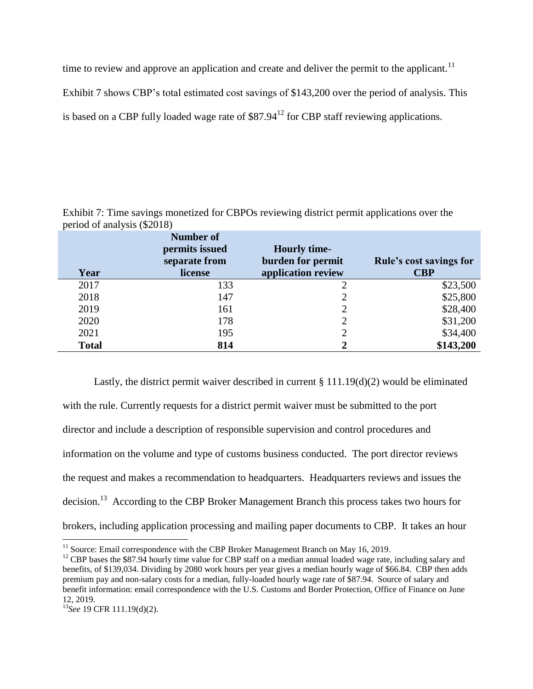time to review and approve an application and create and deliver the permit to the applicant.<sup>11</sup>

Exhibit 7 shows CBP's total estimated cost savings of \$143,200 over the period of analysis. This

is based on a CBP fully loaded wage rate of  $$87.94<sup>12</sup>$  for CBP staff reviewing applications.

Exhibit 7: Time savings monetized for CBPOs reviewing district permit applications over the period of analysis (\$2018)

| Year         | <b>Number of</b><br>permits issued<br>separate from<br>license | <b>Hourly time-</b><br>burden for permit<br>application review | Rule's cost savings for<br><b>CBP</b> |
|--------------|----------------------------------------------------------------|----------------------------------------------------------------|---------------------------------------|
| 2017         | 133                                                            | ∍                                                              | \$23,500                              |
| 2018         | 147                                                            |                                                                | \$25,800                              |
| 2019         | 161                                                            | $\overline{2}$                                                 | \$28,400                              |
| 2020         | 178                                                            | $\mathcal{D}$                                                  | \$31,200                              |
| 2021         | 195                                                            |                                                                | \$34,400                              |
| <b>Total</b> | 814                                                            | 2                                                              | \$143,200                             |

Lastly, the district permit waiver described in current  $\S 111.19(d)(2)$  would be eliminated with the rule. Currently requests for a district permit waiver must be submitted to the port director and include a description of responsible supervision and control procedures and information on the volume and type of customs business conducted. The port director reviews the request and makes a recommendation to headquarters. Headquarters reviews and issues the decision.<sup>13</sup> According to the CBP Broker Management Branch this process takes two hours for brokers, including application processing and mailing paper documents to CBP. It takes an hour

 $\overline{a}$  $11$  Source: Email correspondence with the CBP Broker Management Branch on May 16, 2019.

 $12$  CBP bases the \$87.94 hourly time value for CBP staff on a median annual loaded wage rate, including salary and benefits, of \$139,034. Dividing by 2080 work hours per year gives a median hourly wage of \$66.84. CBP then adds premium pay and non-salary costs for a median, fully-loaded hourly wage rate of \$87.94. Source of salary and benefit information: email correspondence with the U.S. Customs and Border Protection, Office of Finance on June 12, 2019.

<sup>13</sup>*See* 19 CFR 111.19(d)(2).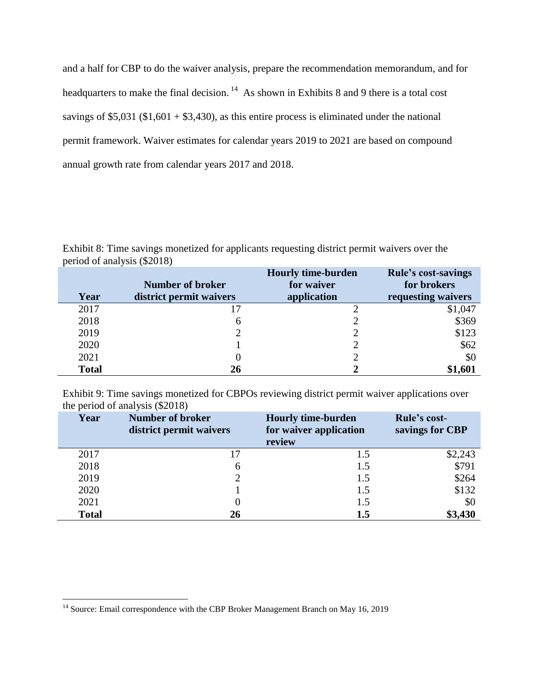and a half for CBP to do the waiver analysis, prepare the recommendation memorandum, and for headquarters to make the final decision.  $14$  As shown in Exhibits 8 and 9 there is a total cost savings of \$5,031 ( $$1,601 + $3,430$ ), as this entire process is eliminated under the national permit framework. Waiver estimates for calendar years 2019 to 2021 are based on compound annual growth rate from calendar years 2017 and 2018.

Exhibit 8: Time savings monetized for applicants requesting district permit waivers over the period of analysis (\$2018)

|              | <b>Number of broker</b> | <b>Hourly time-burden</b><br>for waiver | <b>Rule's cost-savings</b><br>for brokers |
|--------------|-------------------------|-----------------------------------------|-------------------------------------------|
| Year         | district permit waivers | application                             | requesting waivers                        |
| 2017         |                         |                                         | \$1,047                                   |
| 2018         | 6                       |                                         | \$369                                     |
| 2019         |                         |                                         | \$123                                     |
| 2020         |                         |                                         | \$62                                      |
| 2021         | O                       |                                         | \$0                                       |
| <b>Total</b> | 26                      |                                         | \$1,601                                   |

Exhibit 9: Time savings monetized for CBPOs reviewing district permit waiver applications over the period of analysis (\$2018)

| л.<br>Year   | <b>Number of broker</b><br>district permit waivers | <b>Hourly time-burden</b><br>for waiver application<br>review | <b>Rule's cost-</b><br>savings for CBP |
|--------------|----------------------------------------------------|---------------------------------------------------------------|----------------------------------------|
| 2017         | 17                                                 | 1.5                                                           | \$2,243                                |
| 2018         | 6                                                  | 1.5                                                           | \$791                                  |
| 2019         |                                                    | 1.5                                                           | \$264                                  |
| 2020         |                                                    | 1.5                                                           | \$132                                  |
| 2021         |                                                    | 1.5                                                           | \$0                                    |
| <b>Total</b> | 26                                                 | 1.5                                                           | \$3,430                                |

 $\overline{a}$ 

 $14$  Source: Email correspondence with the CBP Broker Management Branch on May 16, 2019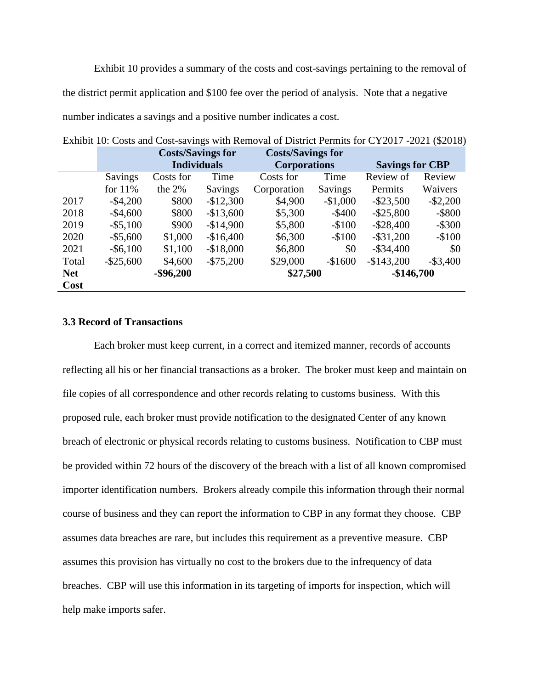Exhibit 10 provides a summary of the costs and cost-savings pertaining to the removal of the district permit application and \$100 fee over the period of analysis. Note that a negative number indicates a savings and a positive number indicates a cost.

|            |              | <b>Costs/Savings for</b> |                | <b>Costs/Savings for</b> |           |                        |             |
|------------|--------------|--------------------------|----------------|--------------------------|-----------|------------------------|-------------|
|            |              | <b>Individuals</b>       |                | <b>Corporations</b>      |           | <b>Savings for CBP</b> |             |
|            | Savings      | Costs for                | Time           | Costs for                | Time      | Review of              | Review      |
|            | for $11\%$   | the $2\%$                | <b>Savings</b> | Corporation              | Savings   | Permits                | Waivers     |
| 2017       | $-$4,200$    | \$800                    | $-$12,300$     | \$4,900                  | $-$1,000$ | $-$ \$23,500           | $-$ \$2,200 |
| 2018       | $-$4,600$    | \$800                    | $-$13,600$     | \$5,300                  | $-$ \$400 | $-$ \$25,800           | $-$ \$800   |
| 2019       | $-$ \$5,100  | \$900                    | $-$14,900$     | \$5,800                  | $-$100$   | $-$ \$28,400           | $-$ \$300   |
| 2020       | $-$ \$5,600  | \$1,000                  | $-$16,400$     | \$6,300                  | $-$100$   | $-$ \$31,200           | $-$100$     |
| 2021       | $-$ \$6,100  | \$1,100                  | $-$18,000$     | \$6,800                  | \$0       | $-$ \$34,400           | \$0         |
| Total      | $-$ \$25,600 | \$4,600                  | $- $75,200$    | \$29,000                 | $-$1600$  | $-$143,200$            | $-$ \$3,400 |
| <b>Net</b> |              | $-$ \$96,200             |                | \$27,500                 |           | $-$146,700$            |             |
| Cost       |              |                          |                |                          |           |                        |             |

Exhibit 10: Costs and Cost-savings with Removal of District Permits for CY2017 -2021 (\$2018)

## **3.3 Record of Transactions**

Each broker must keep current, in a correct and itemized manner, records of accounts reflecting all his or her financial transactions as a broker. The broker must keep and maintain on file copies of all correspondence and other records relating to customs business. With this proposed rule, each broker must provide notification to the designated Center of any known breach of electronic or physical records relating to customs business. Notification to CBP must be provided within 72 hours of the discovery of the breach with a list of all known compromised importer identification numbers. Brokers already compile this information through their normal course of business and they can report the information to CBP in any format they choose. CBP assumes data breaches are rare, but includes this requirement as a preventive measure. CBP assumes this provision has virtually no cost to the brokers due to the infrequency of data breaches. CBP will use this information in its targeting of imports for inspection, which will help make imports safer.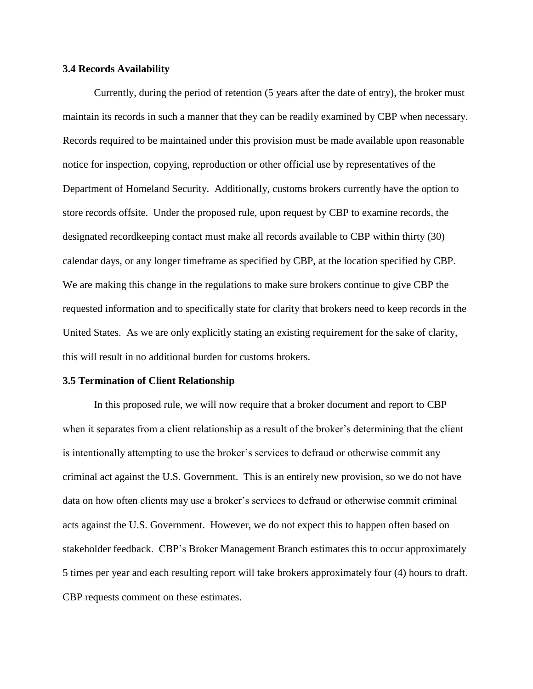### **3.4 Records Availability**

Currently, during the period of retention (5 years after the date of entry), the broker must maintain its records in such a manner that they can be readily examined by CBP when necessary. Records required to be maintained under this provision must be made available upon reasonable notice for inspection, copying, reproduction or other official use by representatives of the Department of Homeland Security. Additionally, customs brokers currently have the option to store records offsite. Under the proposed rule, upon request by CBP to examine records, the designated recordkeeping contact must make all records available to CBP within thirty (30) calendar days, or any longer timeframe as specified by CBP, at the location specified by CBP. We are making this change in the regulations to make sure brokers continue to give CBP the requested information and to specifically state for clarity that brokers need to keep records in the United States. As we are only explicitly stating an existing requirement for the sake of clarity, this will result in no additional burden for customs brokers.

### **3.5 Termination of Client Relationship**

In this proposed rule, we will now require that a broker document and report to CBP when it separates from a client relationship as a result of the broker's determining that the client is intentionally attempting to use the broker's services to defraud or otherwise commit any criminal act against the U.S. Government. This is an entirely new provision, so we do not have data on how often clients may use a broker's services to defraud or otherwise commit criminal acts against the U.S. Government. However, we do not expect this to happen often based on stakeholder feedback. CBP's Broker Management Branch estimates this to occur approximately 5 times per year and each resulting report will take brokers approximately four (4) hours to draft. CBP requests comment on these estimates.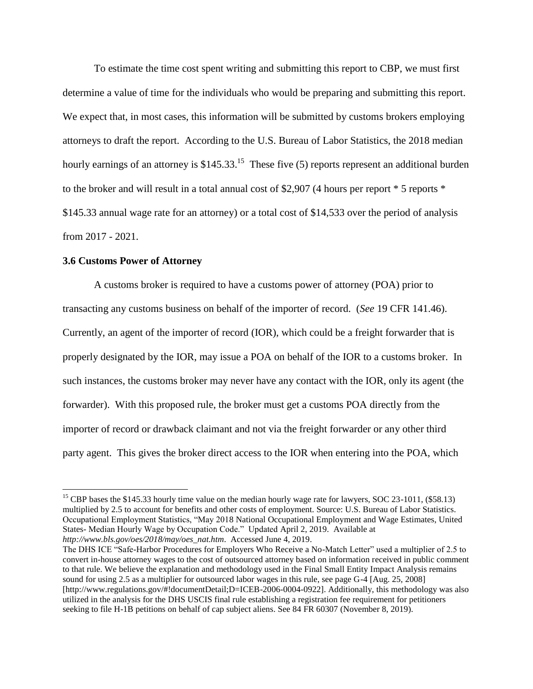To estimate the time cost spent writing and submitting this report to CBP, we must first determine a value of time for the individuals who would be preparing and submitting this report. We expect that, in most cases, this information will be submitted by customs brokers employing attorneys to draft the report. According to the U.S. Bureau of Labor Statistics, the 2018 median hourly earnings of an attorney is \$145.33.<sup>15</sup> These five (5) reports represent an additional burden to the broker and will result in a total annual cost of \$2,907 (4 hours per report \* 5 reports \* \$145.33 annual wage rate for an attorney) or a total cost of \$14,533 over the period of analysis from 2017 - 2021.

## **3.6 Customs Power of Attorney**

 $\overline{a}$ 

A customs broker is required to have a customs power of attorney (POA) prior to transacting any customs business on behalf of the importer of record. (*See* 19 CFR 141.46). Currently, an agent of the importer of record (IOR), which could be a freight forwarder that is properly designated by the IOR, may issue a POA on behalf of the IOR to a customs broker. In such instances, the customs broker may never have any contact with the IOR, only its agent (the forwarder). With this proposed rule, the broker must get a customs POA directly from the importer of record or drawback claimant and not via the freight forwarder or any other third party agent. This gives the broker direct access to the IOR when entering into the POA, which

<sup>&</sup>lt;sup>15</sup> CBP bases the \$145.33 hourly time value on the median hourly wage rate for lawyers, SOC 23-1011, (\$58.13) multiplied by 2.5 to account for benefits and other costs of employment. Source: U.S. Bureau of Labor Statistics. Occupational Employment Statistics, "May 2018 National Occupational Employment and Wage Estimates, United States- Median Hourly Wage by Occupation Code." Updated April 2, 2019. Available at *http://www.bls.gov/oes/2018/may/oes\_nat.htm*. Accessed June 4, 2019.

The DHS ICE "Safe-Harbor Procedures for Employers Who Receive a No-Match Letter" used a multiplier of 2.5 to convert in-house attorney wages to the cost of outsourced attorney based on information received in public comment to that rule. We believe the explanation and methodology used in the Final Small Entity Impact Analysis remains sound for using 2.5 as a multiplier for outsourced labor wages in this rule, see page G-4 [Aug. 25, 2008] [http://www.regulations.gov/#!documentDetail;D=ICEB-2006-0004-0922]. Additionally, this methodology was also utilized in the analysis for the DHS USCIS final rule establishing a registration fee requirement for petitioners seeking to file H-1B petitions on behalf of cap subject aliens. See 84 FR 60307 (November 8, 2019).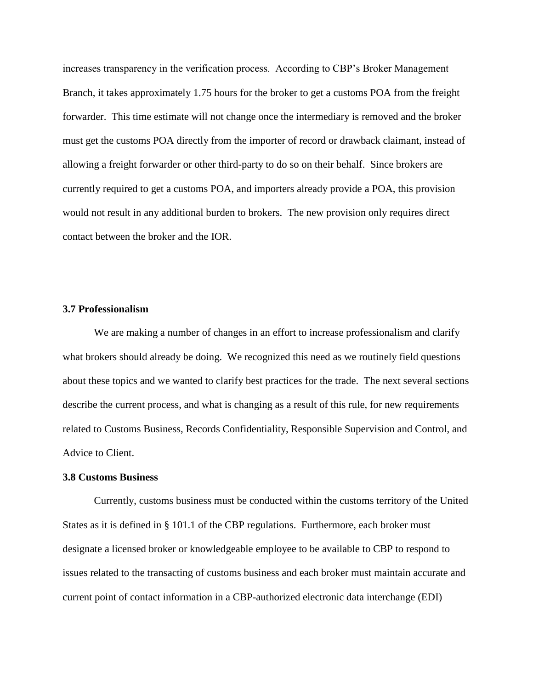increases transparency in the verification process. According to CBP's Broker Management Branch, it takes approximately 1.75 hours for the broker to get a customs POA from the freight forwarder. This time estimate will not change once the intermediary is removed and the broker must get the customs POA directly from the importer of record or drawback claimant, instead of allowing a freight forwarder or other third-party to do so on their behalf. Since brokers are currently required to get a customs POA, and importers already provide a POA, this provision would not result in any additional burden to brokers. The new provision only requires direct contact between the broker and the IOR.

### **3.7 Professionalism**

We are making a number of changes in an effort to increase professionalism and clarify what brokers should already be doing. We recognized this need as we routinely field questions about these topics and we wanted to clarify best practices for the trade. The next several sections describe the current process, and what is changing as a result of this rule, for new requirements related to Customs Business, Records Confidentiality, Responsible Supervision and Control, and Advice to Client.

### **3.8 Customs Business**

Currently, customs business must be conducted within the customs territory of the United States as it is defined in § 101.1 of the CBP regulations. Furthermore, each broker must designate a licensed broker or knowledgeable employee to be available to CBP to respond to issues related to the transacting of customs business and each broker must maintain accurate and current point of contact information in a CBP-authorized electronic data interchange (EDI)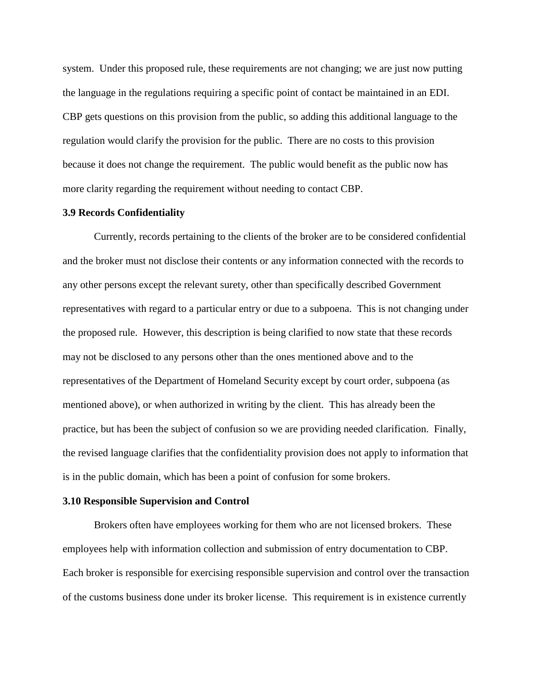system. Under this proposed rule, these requirements are not changing; we are just now putting the language in the regulations requiring a specific point of contact be maintained in an EDI. CBP gets questions on this provision from the public, so adding this additional language to the regulation would clarify the provision for the public. There are no costs to this provision because it does not change the requirement. The public would benefit as the public now has more clarity regarding the requirement without needing to contact CBP.

### **3.9 Records Confidentiality**

Currently, records pertaining to the clients of the broker are to be considered confidential and the broker must not disclose their contents or any information connected with the records to any other persons except the relevant surety, other than specifically described Government representatives with regard to a particular entry or due to a subpoena. This is not changing under the proposed rule. However, this description is being clarified to now state that these records may not be disclosed to any persons other than the ones mentioned above and to the representatives of the Department of Homeland Security except by court order, subpoena (as mentioned above), or when authorized in writing by the client. This has already been the practice, but has been the subject of confusion so we are providing needed clarification. Finally, the revised language clarifies that the confidentiality provision does not apply to information that is in the public domain, which has been a point of confusion for some brokers.

### **3.10 Responsible Supervision and Control**

Brokers often have employees working for them who are not licensed brokers. These employees help with information collection and submission of entry documentation to CBP. Each broker is responsible for exercising responsible supervision and control over the transaction of the customs business done under its broker license. This requirement is in existence currently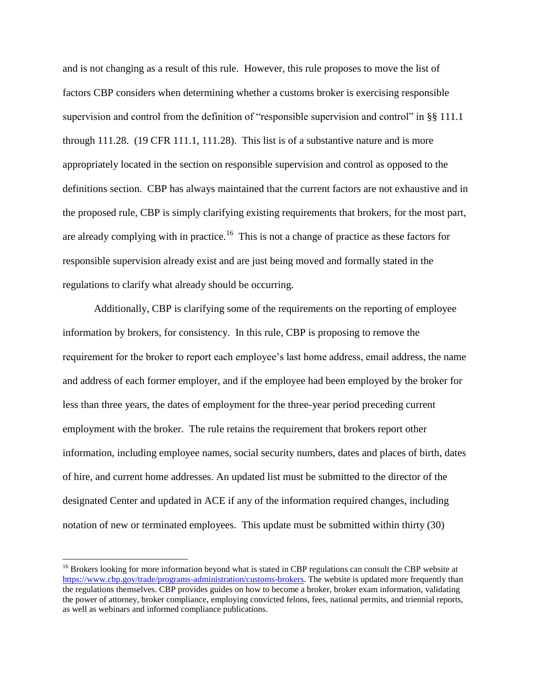and is not changing as a result of this rule. However, this rule proposes to move the list of factors CBP considers when determining whether a customs broker is exercising responsible supervision and control from the definition of "responsible supervision and control" in §§ 111.1 through 111.28. (19 CFR 111.1, 111.28). This list is of a substantive nature and is more appropriately located in the section on responsible supervision and control as opposed to the definitions section. CBP has always maintained that the current factors are not exhaustive and in the proposed rule, CBP is simply clarifying existing requirements that brokers, for the most part, are already complying with in practice.<sup>16</sup> This is not a change of practice as these factors for responsible supervision already exist and are just being moved and formally stated in the regulations to clarify what already should be occurring.

Additionally, CBP is clarifying some of the requirements on the reporting of employee information by brokers, for consistency. In this rule, CBP is proposing to remove the requirement for the broker to report each employee's last home address, email address, the name and address of each former employer, and if the employee had been employed by the broker for less than three years, the dates of employment for the three-year period preceding current employment with the broker. The rule retains the requirement that brokers report other information, including employee names, social security numbers, dates and places of birth, dates of hire, and current home addresses. An updated list must be submitted to the director of the designated Center and updated in ACE if any of the information required changes, including notation of new or terminated employees. This update must be submitted within thirty (30)

 $\overline{a}$ 

<sup>&</sup>lt;sup>16</sup> Brokers looking for more information beyond what is stated in CBP regulations can consult the CBP website at [https://www.cbp.gov/trade/programs-administration/customs-brokers.](https://www.cbp.gov/trade/programs-administration/customs-brokers) The website is updated more frequently than the regulations themselves. CBP provides guides on how to become a broker, broker exam information, validating the power of attorney, broker compliance, employing convicted felons, fees, national permits, and triennial reports, as well as webinars and informed compliance publications.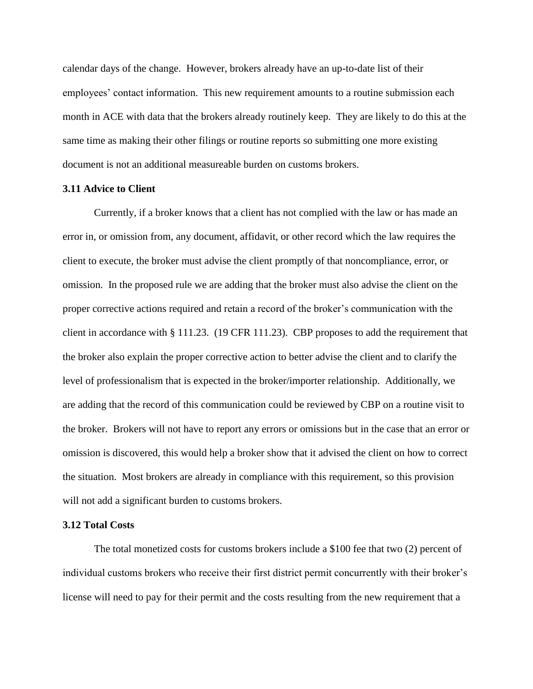calendar days of the change. However, brokers already have an up-to-date list of their employees' contact information. This new requirement amounts to a routine submission each month in ACE with data that the brokers already routinely keep. They are likely to do this at the same time as making their other filings or routine reports so submitting one more existing document is not an additional measureable burden on customs brokers.

### **3.11 Advice to Client**

Currently, if a broker knows that a client has not complied with the law or has made an error in, or omission from, any document, affidavit, or other record which the law requires the client to execute, the broker must advise the client promptly of that noncompliance, error, or omission. In the proposed rule we are adding that the broker must also advise the client on the proper corrective actions required and retain a record of the broker's communication with the client in accordance with § 111.23. (19 CFR 111.23). CBP proposes to add the requirement that the broker also explain the proper corrective action to better advise the client and to clarify the level of professionalism that is expected in the broker/importer relationship. Additionally, we are adding that the record of this communication could be reviewed by CBP on a routine visit to the broker. Brokers will not have to report any errors or omissions but in the case that an error or omission is discovered, this would help a broker show that it advised the client on how to correct the situation. Most brokers are already in compliance with this requirement, so this provision will not add a significant burden to customs brokers.

### **3.12 Total Costs**

The total monetized costs for customs brokers include a \$100 fee that two (2) percent of individual customs brokers who receive their first district permit concurrently with their broker's license will need to pay for their permit and the costs resulting from the new requirement that a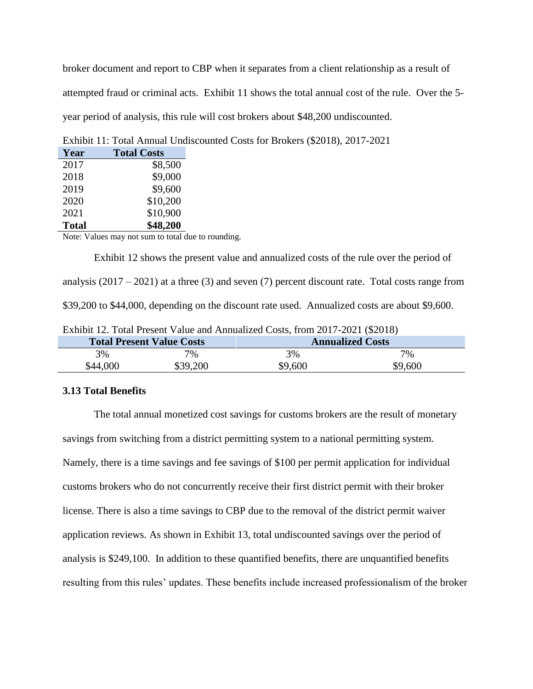broker document and report to CBP when it separates from a client relationship as a result of attempted fraud or criminal acts. Exhibit 11 shows the total annual cost of the rule. Over the 5 year period of analysis, this rule will cost brokers about \$48,200 undiscounted.

| Year         | <b>Total Costs</b> |
|--------------|--------------------|
| 2017         | \$8,500            |
| 2018         | \$9,000            |
| 2019         | \$9,600            |
| 2020         | \$10,200           |
| 2021         | \$10,900           |
| <b>Total</b> | \$48,200           |

Exhibit 11: Total Annual Undiscounted Costs for Brokers (\$2018), 2017-2021

Note: Values may not sum to total due to rounding.

Exhibit 12 shows the present value and annualized costs of the rule over the period of analysis  $(2017 – 2021)$  at a three  $(3)$  and seven  $(7)$  percent discount rate. Total costs range from \$39,200 to \$44,000, depending on the discount rate used. Annualized costs are about \$9,600.

| Exhibit 12. Total Present Value and Annualized Costs, from 2017-2021 (\$2018) |  |  |  |
|-------------------------------------------------------------------------------|--|--|--|
|-------------------------------------------------------------------------------|--|--|--|

| <b>Total Present Value Costs</b> |          | <b>Annualized Costs</b> |         |
|----------------------------------|----------|-------------------------|---------|
| 3%                               | 7%       | 3%                      | 7%      |
| \$44,000                         | \$39,200 | \$9,600                 | \$9,600 |

### **3.13 Total Benefits**

The total annual monetized cost savings for customs brokers are the result of monetary savings from switching from a district permitting system to a national permitting system. Namely, there is a time savings and fee savings of \$100 per permit application for individual customs brokers who do not concurrently receive their first district permit with their broker license. There is also a time savings to CBP due to the removal of the district permit waiver application reviews. As shown in Exhibit 13, total undiscounted savings over the period of analysis is \$249,100. In addition to these quantified benefits, there are unquantified benefits resulting from this rules' updates. These benefits include increased professionalism of the broker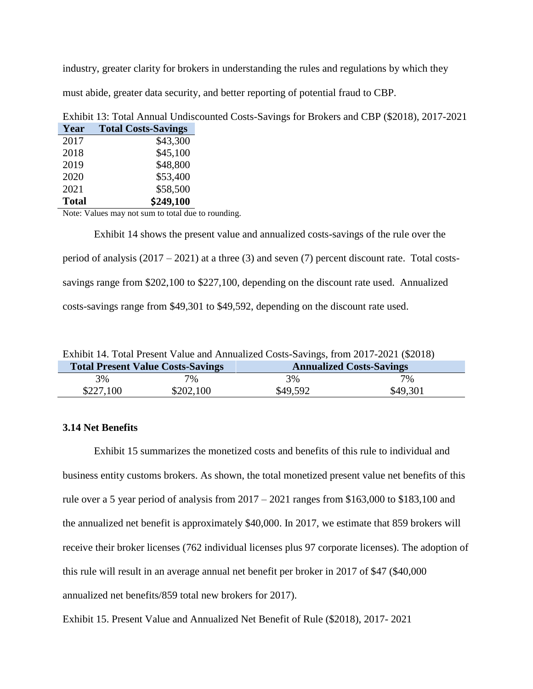industry, greater clarity for brokers in understanding the rules and regulations by which they must abide, greater data security, and better reporting of potential fraud to CBP.

| Year           | <b>Total Costs-Savings</b> |
|----------------|----------------------------|
| 2017           | \$43,300                   |
| 2018           | \$45,100                   |
| 2019           | \$48,800                   |
| 2020           | \$53,400                   |
| 2021           | \$58,500                   |
| <b>Total</b>   | \$249,100                  |
| <b>BY. TY.</b> | . 1 1                      |

Exhibit 13: Total Annual Undiscounted Costs-Savings for Brokers and CBP (\$2018), 2017-2021

Note: Values may not sum to total due to rounding.

Exhibit 14 shows the present value and annualized costs-savings of the rule over the period of analysis  $(2017 – 2021)$  at a three  $(3)$  and seven  $(7)$  percent discount rate. Total costssavings range from \$202,100 to \$227,100, depending on the discount rate used. Annualized costs-savings range from \$49,301 to \$49,592, depending on the discount rate used.

Exhibit 14. Total Present Value and Annualized Costs-Savings, from 2017-2021 (\$2018)

|           | <b>Total Present Value Costs-Savings</b> | $\text{Lipm}$ is to call the singletic state and the control of $\text{Cov}$ of $\text{im}$ $\text{Cov}$ the set $\text{Cov}$<br><b>Annualized Costs-Savings</b> |          |
|-----------|------------------------------------------|------------------------------------------------------------------------------------------------------------------------------------------------------------------|----------|
| 3%        | $7\%$                                    | 3%                                                                                                                                                               | 7%       |
| \$227,100 | \$202,100                                | \$49,592                                                                                                                                                         | \$49,301 |

# **3.14 Net Benefits**

Exhibit 15 summarizes the monetized costs and benefits of this rule to individual and business entity customs brokers. As shown, the total monetized present value net benefits of this rule over a 5 year period of analysis from  $2017 - 2021$  ranges from \$163,000 to \$183,100 and the annualized net benefit is approximately \$40,000. In 2017, we estimate that 859 brokers will receive their broker licenses (762 individual licenses plus 97 corporate licenses). The adoption of this rule will result in an average annual net benefit per broker in 2017 of \$47 (\$40,000 annualized net benefits/859 total new brokers for 2017).

Exhibit 15. Present Value and Annualized Net Benefit of Rule (\$2018), 2017- 2021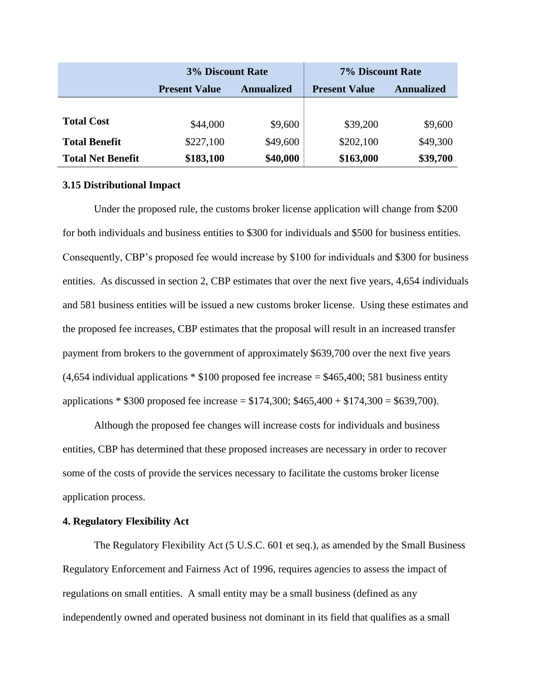|                          | <b>3% Discount Rate</b> |                   | 7% Discount Rate     |                   |
|--------------------------|-------------------------|-------------------|----------------------|-------------------|
|                          | <b>Present Value</b>    | <b>Annualized</b> | <b>Present Value</b> | <b>Annualized</b> |
|                          |                         |                   |                      |                   |
| <b>Total Cost</b>        | \$44,000                | \$9,600           | \$39,200             | \$9,600           |
| <b>Total Benefit</b>     | \$227,100               | \$49,600          | \$202,100            | \$49,300          |
| <b>Total Net Benefit</b> | \$183,100               | \$40,000          | \$163,000            | \$39,700          |

#### **3.15 Distributional Impact**

Under the proposed rule, the customs broker license application will change from \$200 for both individuals and business entities to \$300 for individuals and \$500 for business entities. Consequently, CBP's proposed fee would increase by \$100 for individuals and \$300 for business entities. As discussed in section 2, CBP estimates that over the next five years, 4,654 individuals and 581 business entities will be issued a new customs broker license. Using these estimates and the proposed fee increases, CBP estimates that the proposal will result in an increased transfer payment from brokers to the government of approximately \$639,700 over the next five years  $(4,654$  individual applications  $*$  \$100 proposed fee increase = \$465,400; 581 business entity applications \* \$300 proposed fee increase = \$174,300; \$465,400 + \$174,300 = \$639,700).

Although the proposed fee changes will increase costs for individuals and business entities, CBP has determined that these proposed increases are necessary in order to recover some of the costs of provide the services necessary to facilitate the customs broker license application process.

## **4. Regulatory Flexibility Act**

The Regulatory Flexibility Act (5 U.S.C. 601 et seq.), as amended by the Small Business Regulatory Enforcement and Fairness Act of 1996, requires agencies to assess the impact of regulations on small entities. A small entity may be a small business (defined as any independently owned and operated business not dominant in its field that qualifies as a small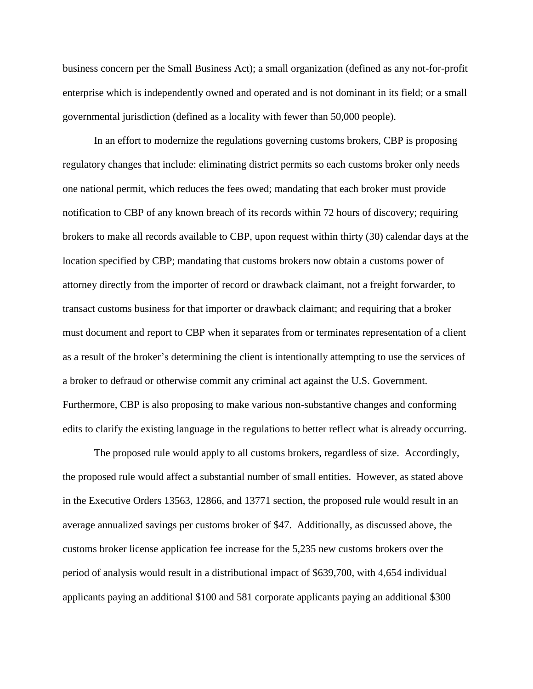business concern per the Small Business Act); a small organization (defined as any not-for-profit enterprise which is independently owned and operated and is not dominant in its field; or a small governmental jurisdiction (defined as a locality with fewer than 50,000 people).

In an effort to modernize the regulations governing customs brokers, CBP is proposing regulatory changes that include: eliminating district permits so each customs broker only needs one national permit, which reduces the fees owed; mandating that each broker must provide notification to CBP of any known breach of its records within 72 hours of discovery; requiring brokers to make all records available to CBP, upon request within thirty (30) calendar days at the location specified by CBP; mandating that customs brokers now obtain a customs power of attorney directly from the importer of record or drawback claimant, not a freight forwarder, to transact customs business for that importer or drawback claimant; and requiring that a broker must document and report to CBP when it separates from or terminates representation of a client as a result of the broker's determining the client is intentionally attempting to use the services of a broker to defraud or otherwise commit any criminal act against the U.S. Government. Furthermore, CBP is also proposing to make various non-substantive changes and conforming edits to clarify the existing language in the regulations to better reflect what is already occurring.

The proposed rule would apply to all customs brokers, regardless of size. Accordingly, the proposed rule would affect a substantial number of small entities. However, as stated above in the Executive Orders 13563, 12866, and 13771 section, the proposed rule would result in an average annualized savings per customs broker of \$47. Additionally, as discussed above, the customs broker license application fee increase for the 5,235 new customs brokers over the period of analysis would result in a distributional impact of \$639,700, with 4,654 individual applicants paying an additional \$100 and 581 corporate applicants paying an additional \$300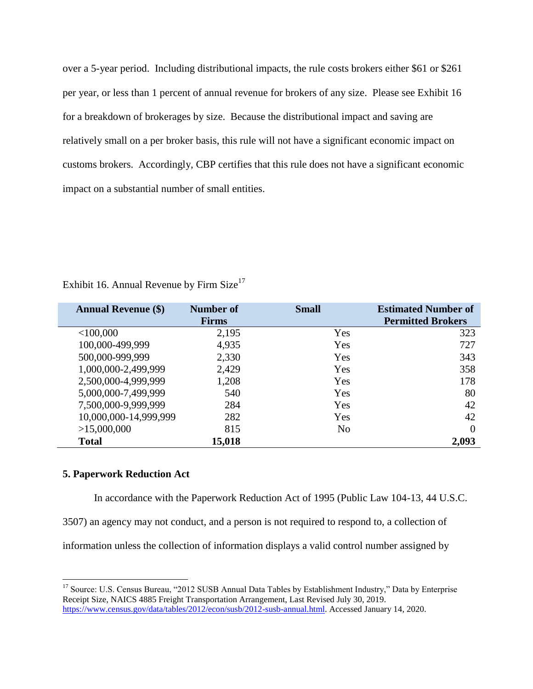over a 5-year period. Including distributional impacts, the rule costs brokers either \$61 or \$261 per year, or less than 1 percent of annual revenue for brokers of any size. Please see Exhibit 16 for a breakdown of brokerages by size. Because the distributional impact and saving are relatively small on a per broker basis, this rule will not have a significant economic impact on customs brokers. Accordingly, CBP certifies that this rule does not have a significant economic impact on a substantial number of small entities.

| <b>Annual Revenue (\$)</b> | <b>Number of</b> | <b>Small</b>   | <b>Estimated Number of</b> |
|----------------------------|------------------|----------------|----------------------------|
|                            | <b>Firms</b>     |                | <b>Permitted Brokers</b>   |
| $<$ 100,000                | 2,195            | Yes            | 323                        |
| 100,000-499,999            | 4,935            | Yes            | 727                        |
| 500,000-999,999            | 2,330            | Yes            | 343                        |
| 1,000,000-2,499,999        | 2,429            | Yes            | 358                        |
| 2,500,000-4,999,999        | 1,208            | Yes            | 178                        |
| 5,000,000-7,499,999        | 540              | Yes            | 80                         |
| 7,500,000-9,999,999        | 284              | Yes            | 42                         |
| 10,000,000-14,999,999      | 282              | Yes            | 42                         |
| >15,000,000                | 815              | N <sub>o</sub> | $\Omega$                   |
| <b>Total</b>               | 15,018           |                | 2,093                      |

Exhibit 16. Annual Revenue by Firm  $Size<sup>17</sup>$ 

# **5. Paperwork Reduction Act**

 $\overline{a}$ 

In accordance with the Paperwork Reduction Act of 1995 (Public Law 104-13, 44 U.S.C.

3507) an agency may not conduct, and a person is not required to respond to, a collection of

information unless the collection of information displays a valid control number assigned by

<sup>&</sup>lt;sup>17</sup> Source: U.S. Census Bureau, "2012 SUSB Annual Data Tables by Establishment Industry," Data by Enterprise Receipt Size, NAICS 4885 Freight Transportation Arrangement, Last Revised July 30, 2019. [https://www.census.gov/data/tables/2012/econ/susb/2012-susb-annual.html.](https://www.census.gov/data/tables/2012/econ/susb/2012-susb-annual.html) Accessed January 14, 2020.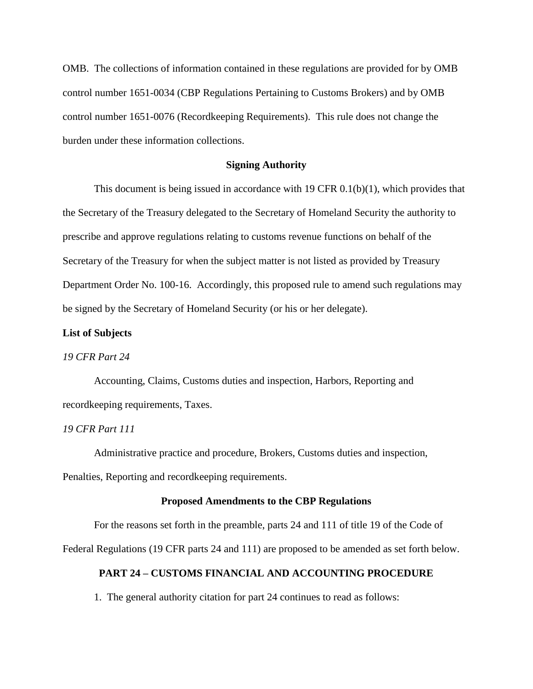OMB. The collections of information contained in these regulations are provided for by OMB control number 1651-0034 (CBP Regulations Pertaining to Customs Brokers) and by OMB control number 1651-0076 (Recordkeeping Requirements). This rule does not change the burden under these information collections.

#### **Signing Authority**

This document is being issued in accordance with 19 CFR 0.1(b)(1), which provides that the Secretary of the Treasury delegated to the Secretary of Homeland Security the authority to prescribe and approve regulations relating to customs revenue functions on behalf of the Secretary of the Treasury for when the subject matter is not listed as provided by Treasury Department Order No. 100-16. Accordingly, this proposed rule to amend such regulations may be signed by the Secretary of Homeland Security (or his or her delegate).

## **List of Subjects**

## *19 CFR Part 24*

Accounting, Claims, Customs duties and inspection, Harbors, Reporting and recordkeeping requirements, Taxes.

#### *19 CFR Part 111*

Administrative practice and procedure, Brokers, Customs duties and inspection, Penalties, Reporting and recordkeeping requirements.

#### **Proposed Amendments to the CBP Regulations**

For the reasons set forth in the preamble, parts 24 and 111 of title 19 of the Code of Federal Regulations (19 CFR parts 24 and 111) are proposed to be amended as set forth below.

## **PART 24 – CUSTOMS FINANCIAL AND ACCOUNTING PROCEDURE**

1. The general authority citation for part 24 continues to read as follows: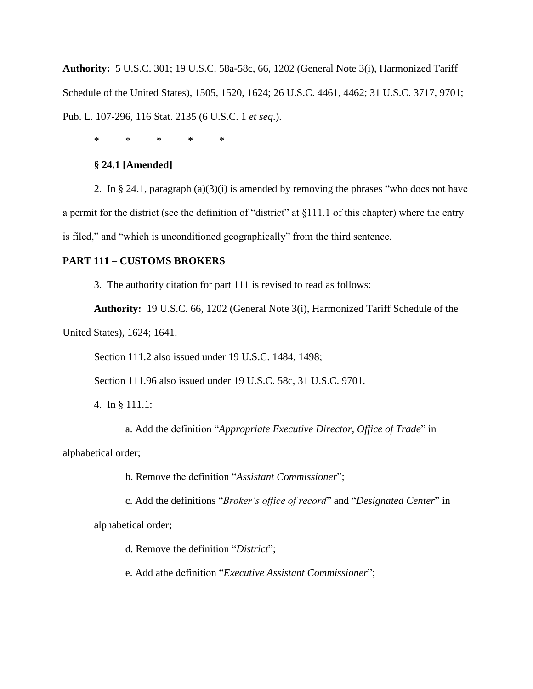**Authority:** 5 U.S.C. 301; 19 U.S.C. 58a-58c, 66, 1202 (General Note 3(i), Harmonized Tariff Schedule of the United States), 1505, 1520, 1624; 26 U.S.C. 4461, 4462; 31 U.S.C. 3717, 9701; Pub. L. 107-296, 116 Stat. 2135 (6 U.S.C. 1 *et seq*.).

\* \* \* \* \*

# **§ 24.1 [Amended]**

2. In § 24.1, paragraph  $(a)(3)(i)$  is amended by removing the phrases "who does not have a permit for the district (see the definition of "district" at §111.1 of this chapter) where the entry is filed," and "which is unconditioned geographically" from the third sentence.

# **PART 111 – CUSTOMS BROKERS**

3. The authority citation for part 111 is revised to read as follows:

**Authority:** 19 U.S.C. 66, 1202 (General Note 3(i), Harmonized Tariff Schedule of the

United States), 1624; 1641.

Section 111.2 also issued under 19 U.S.C. 1484, 1498;

Section 111.96 also issued under 19 U.S.C. 58c, 31 U.S.C. 9701.

4. In § 111.1:

a. Add the definition "*Appropriate Executive Director, Office of Trade*" in

alphabetical order;

b. Remove the definition "*Assistant Commissioner*";

c. Add the definitions "*Broker's office of record*" and "*Designated Center*" in

alphabetical order;

d. Remove the definition "*District*";

e. Add athe definition "*Executive Assistant Commissioner*";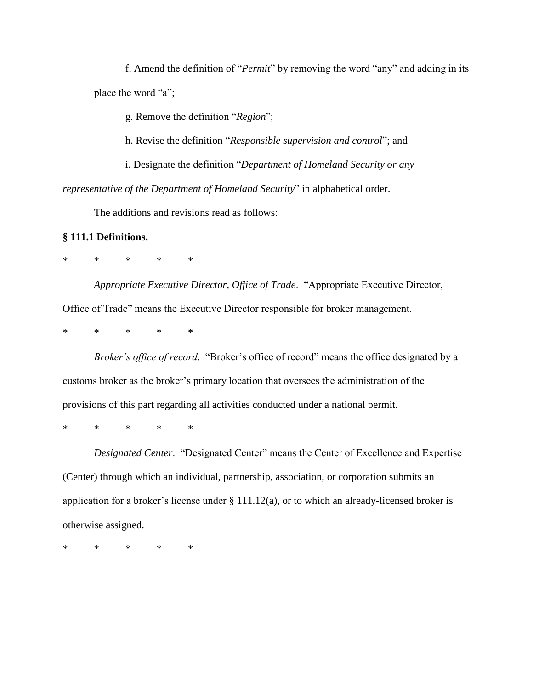f. Amend the definition of "*Permit*" by removing the word "any" and adding in its place the word "a";

g. Remove the definition "*Region*";

h. Revise the definition "*Responsible supervision and control*"; and

i. Designate the definition "*Department of Homeland Security or any representative of the Department of Homeland Security*" in alphabetical order.

The additions and revisions read as follows:

# **§ 111.1 Definitions.**

\* \* \* \* \*

*Appropriate Executive Director, Office of Trade*. "Appropriate Executive Director, Office of Trade" means the Executive Director responsible for broker management.

\* \* \* \* \*

*Broker's office of record*. "Broker's office of record" means the office designated by a customs broker as the broker's primary location that oversees the administration of the provisions of this part regarding all activities conducted under a national permit.

\* \* \* \* \*

*Designated Center*. "Designated Center" means the Center of Excellence and Expertise (Center) through which an individual, partnership, association, or corporation submits an application for a broker's license under  $\S 111.12(a)$ , or to which an already-licensed broker is otherwise assigned.

\* \* \* \* \*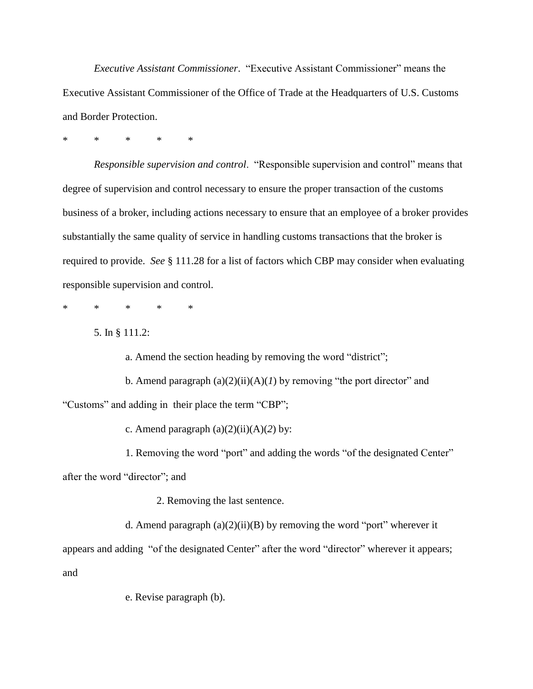*Executive Assistant Commissioner*. "Executive Assistant Commissioner" means the Executive Assistant Commissioner of the Office of Trade at the Headquarters of U.S. Customs and Border Protection.

\* \* \* \* \*

*Responsible supervision and control*. "Responsible supervision and control" means that degree of supervision and control necessary to ensure the proper transaction of the customs business of a broker, including actions necessary to ensure that an employee of a broker provides substantially the same quality of service in handling customs transactions that the broker is required to provide. *See* § 111.28 for a list of factors which CBP may consider when evaluating responsible supervision and control.

\* \* \* \* \*

5. In § 111.2:

a. Amend the section heading by removing the word "district";

b. Amend paragraph  $(a)(2)(ii)(A)(I)$  by removing "the port director" and "Customs" and adding in their place the term "CBP";

c. Amend paragraph  $(a)(2)(ii)(A)(2)$  by:

1. Removing the word "port" and adding the words "of the designated Center"

after the word "director"; and

2. Removing the last sentence.

d. Amend paragraph  $(a)(2)(ii)(B)$  by removing the word "port" wherever it appears and adding "of the designated Center" after the word "director" wherever it appears; and

e. Revise paragraph (b).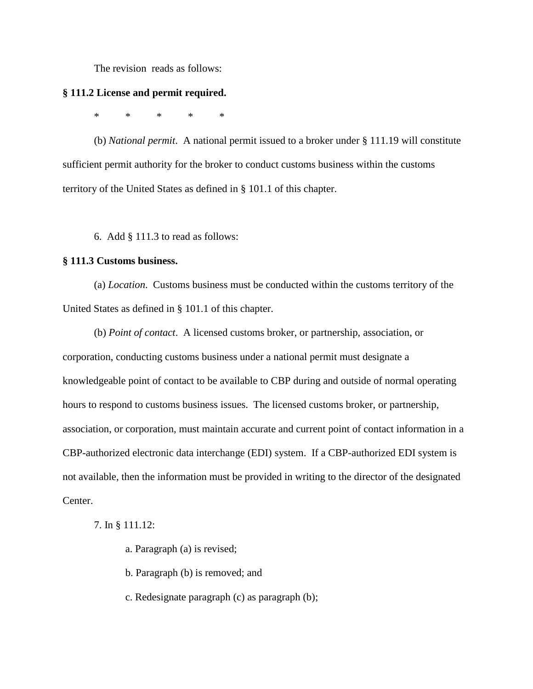The revision reads as follows:

#### **§ 111.2 License and permit required.**

\* \* \* \* \*

(b) *National permit*. A national permit issued to a broker under § 111.19 will constitute sufficient permit authority for the broker to conduct customs business within the customs territory of the United States as defined in § 101.1 of this chapter.

6. Add § 111.3 to read as follows:

#### **§ 111.3 Customs business.**

(a) *Location*. Customs business must be conducted within the customs territory of the United States as defined in § 101.1 of this chapter.

(b) *Point of contact*. A licensed customs broker, or partnership, association, or corporation, conducting customs business under a national permit must designate a knowledgeable point of contact to be available to CBP during and outside of normal operating hours to respond to customs business issues. The licensed customs broker, or partnership, association, or corporation, must maintain accurate and current point of contact information in a CBP-authorized electronic data interchange (EDI) system. If a CBP-authorized EDI system is not available, then the information must be provided in writing to the director of the designated Center.

7. In § 111.12:

a. Paragraph (a) is revised;

b. Paragraph (b) is removed; and

c. Redesignate paragraph (c) as paragraph (b);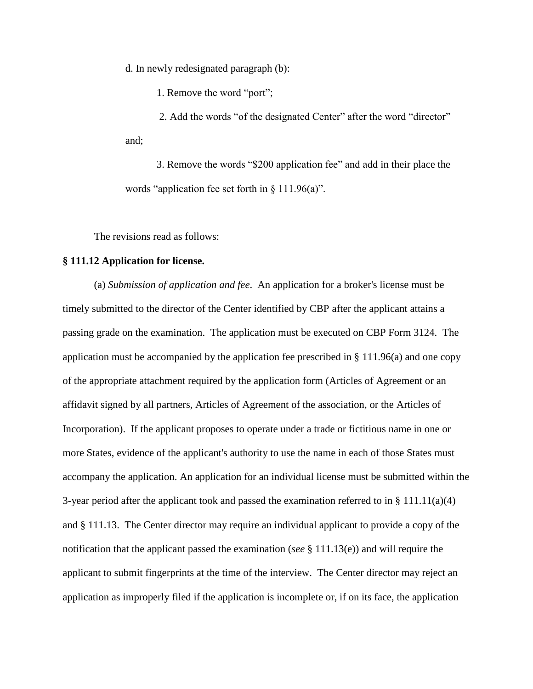d. In newly redesignated paragraph (b):

1. Remove the word "port";

2. Add the words "of the designated Center" after the word "director" and;

3. Remove the words "\$200 application fee" and add in their place the words "application fee set forth in § 111.96(a)".

The revisions read as follows:

## **§ 111.12 Application for license.**

(a) *Submission of application and fee*. An application for a broker's license must be timely submitted to the director of the Center identified by CBP after the applicant attains a passing grade on the examination. The application must be executed on CBP Form 3124. The application must be accompanied by the application fee prescribed in § 111.96(a) and one copy of the appropriate attachment required by the application form (Articles of Agreement or an affidavit signed by all partners, Articles of Agreement of the association, or the Articles of Incorporation). If the applicant proposes to operate under a trade or fictitious name in one or more States, evidence of the applicant's authority to use the name in each of those States must accompany the application. An application for an individual license must be submitted within the 3-year period after the applicant took and passed the examination referred to in § 111.11(a)(4) and § 111.13. The Center director may require an individual applicant to provide a copy of the notification that the applicant passed the examination (*see* § 111.13(e)) and will require the applicant to submit fingerprints at the time of the interview. The Center director may reject an application as improperly filed if the application is incomplete or, if on its face, the application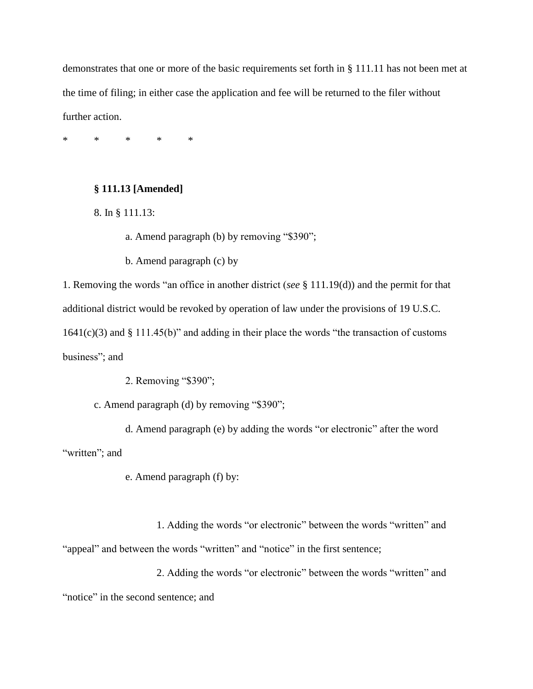demonstrates that one or more of the basic requirements set forth in § 111.11 has not been met at the time of filing; in either case the application and fee will be returned to the filer without further action.

\* \* \* \* \*

# **§ 111.13 [Amended]**

8. In § 111.13:

a. Amend paragraph (b) by removing "\$390";

b. Amend paragraph (c) by

1. Removing the words "an office in another district (*see* § 111.19(d)) and the permit for that additional district would be revoked by operation of law under the provisions of 19 U.S.C. 1641(c)(3) and § 111.45(b)" and adding in their place the words "the transaction of customs business"; and

2. Removing "\$390";

c. Amend paragraph (d) by removing "\$390";

d. Amend paragraph (e) by adding the words "or electronic" after the word "written"; and

e. Amend paragraph (f) by:

1. Adding the words "or electronic" between the words "written" and "appeal" and between the words "written" and "notice" in the first sentence;

2. Adding the words "or electronic" between the words "written" and "notice" in the second sentence; and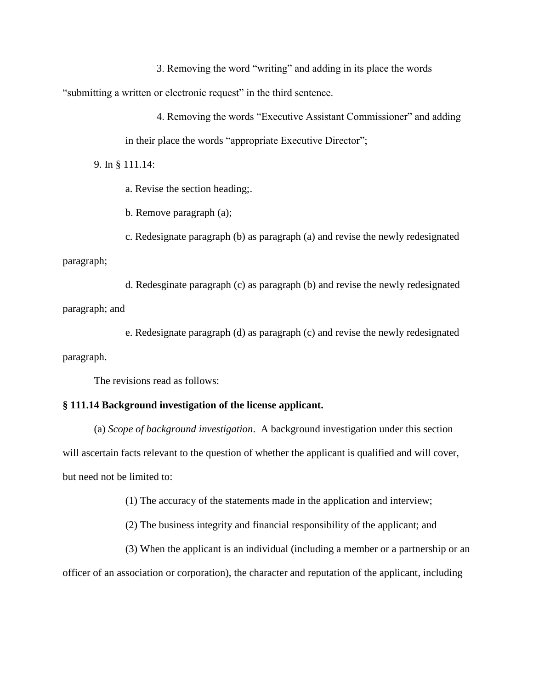3. Removing the word "writing" and adding in its place the words "submitting a written or electronic request" in the third sentence.

> 4. Removing the words "Executive Assistant Commissioner" and adding in their place the words "appropriate Executive Director";

9. In § 111.14:

a. Revise the section heading;.

b. Remove paragraph (a);

c. Redesignate paragraph (b) as paragraph (a) and revise the newly redesignated paragraph;

d. Redesginate paragraph (c) as paragraph (b) and revise the newly redesignated paragraph; and

e. Redesignate paragraph (d) as paragraph (c) and revise the newly redesignated

paragraph.

The revisions read as follows:

#### **§ 111.14 Background investigation of the license applicant.**

(a) *Scope of background investigation*. A background investigation under this section will ascertain facts relevant to the question of whether the applicant is qualified and will cover, but need not be limited to:

(1) The accuracy of the statements made in the application and interview;

(2) The business integrity and financial responsibility of the applicant; and

(3) When the applicant is an individual (including a member or a partnership or an officer of an association or corporation), the character and reputation of the applicant, including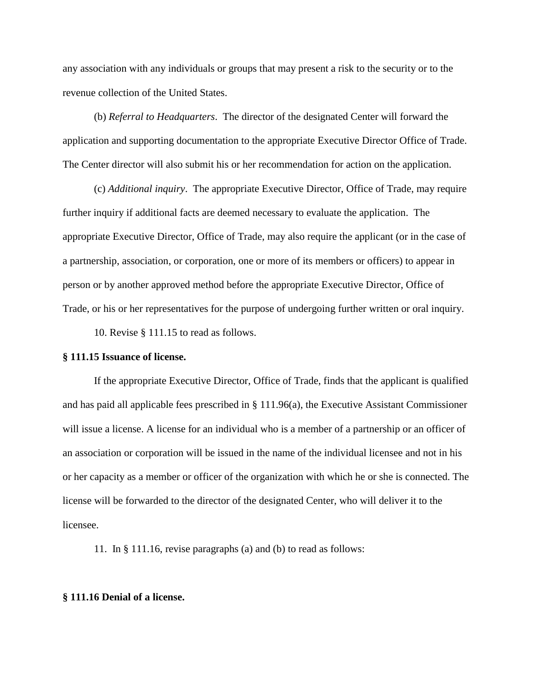any association with any individuals or groups that may present a risk to the security or to the revenue collection of the United States.

(b) *Referral to Headquarters*. The director of the designated Center will forward the application and supporting documentation to the appropriate Executive Director Office of Trade. The Center director will also submit his or her recommendation for action on the application.

(c) *Additional inquiry*. The appropriate Executive Director, Office of Trade, may require further inquiry if additional facts are deemed necessary to evaluate the application. The appropriate Executive Director, Office of Trade, may also require the applicant (or in the case of a partnership, association, or corporation, one or more of its members or officers) to appear in person or by another approved method before the appropriate Executive Director, Office of Trade, or his or her representatives for the purpose of undergoing further written or oral inquiry.

10. Revise § 111.15 to read as follows.

#### **§ 111.15 Issuance of license.**

If the appropriate Executive Director, Office of Trade, finds that the applicant is qualified and has paid all applicable fees prescribed in § 111.96(a), the Executive Assistant Commissioner will issue a license. A license for an individual who is a member of a partnership or an officer of an association or corporation will be issued in the name of the individual licensee and not in his or her capacity as a member or officer of the organization with which he or she is connected. The license will be forwarded to the director of the designated Center, who will deliver it to the licensee.

11. In § 111.16, revise paragraphs (a) and (b) to read as follows:

#### **§ 111.16 Denial of a license.**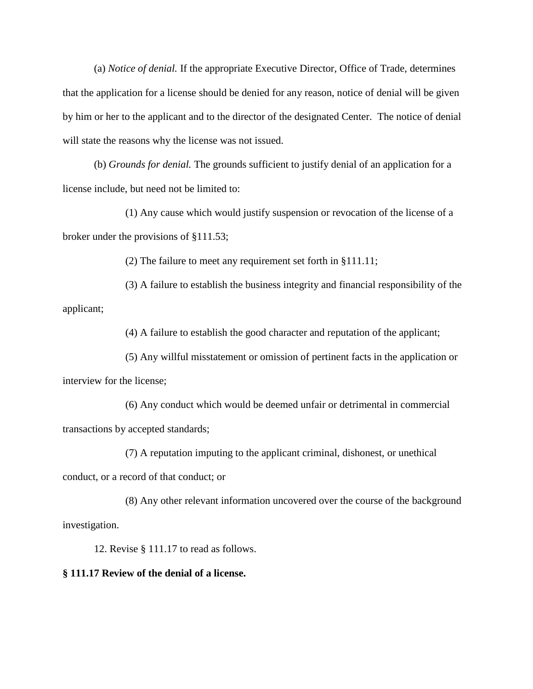(a) *Notice of denial.* If the appropriate Executive Director, Office of Trade, determines that the application for a license should be denied for any reason, notice of denial will be given by him or her to the applicant and to the director of the designated Center. The notice of denial will state the reasons why the license was not issued.

(b) *Grounds for denial.* The grounds sufficient to justify denial of an application for a license include, but need not be limited to:

(1) Any cause which would justify suspension or revocation of the license of a broker under the provisions of §111.53;

(2) The failure to meet any requirement set forth in §111.11;

(3) A failure to establish the business integrity and financial responsibility of the applicant;

(4) A failure to establish the good character and reputation of the applicant;

(5) Any willful misstatement or omission of pertinent facts in the application or interview for the license;

(6) Any conduct which would be deemed unfair or detrimental in commercial transactions by accepted standards;

(7) A reputation imputing to the applicant criminal, dishonest, or unethical

conduct, or a record of that conduct; or

(8) Any other relevant information uncovered over the course of the background investigation.

12. Revise § 111.17 to read as follows.

## **§ 111.17 Review of the denial of a license.**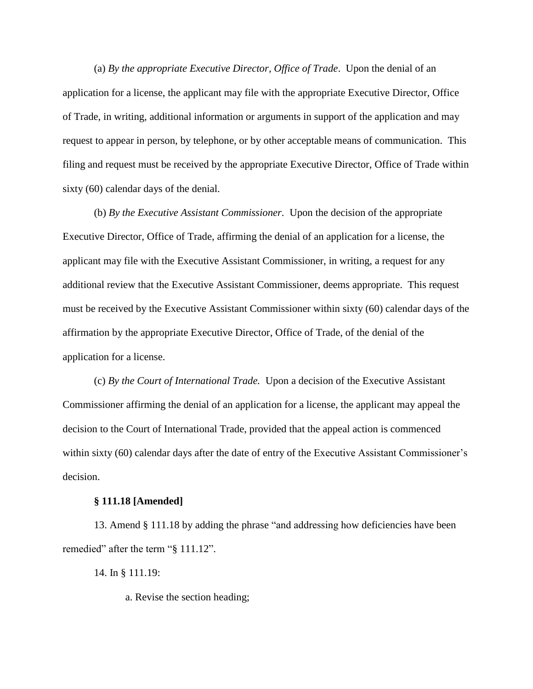(a) *By the appropriate Executive Director, Office of Trade*. Upon the denial of an application for a license, the applicant may file with the appropriate Executive Director, Office of Trade, in writing, additional information or arguments in support of the application and may request to appear in person, by telephone, or by other acceptable means of communication. This filing and request must be received by the appropriate Executive Director, Office of Trade within sixty (60) calendar days of the denial.

(b) *By the Executive Assistant Commissioner.* Upon the decision of the appropriate Executive Director, Office of Trade, affirming the denial of an application for a license, the applicant may file with the Executive Assistant Commissioner, in writing, a request for any additional review that the Executive Assistant Commissioner, deems appropriate. This request must be received by the Executive Assistant Commissioner within sixty (60) calendar days of the affirmation by the appropriate Executive Director, Office of Trade, of the denial of the application for a license.

(c) *By the Court of International Trade.* Upon a decision of the Executive Assistant Commissioner affirming the denial of an application for a license, the applicant may appeal the decision to the Court of International Trade, provided that the appeal action is commenced within sixty (60) calendar days after the date of entry of the Executive Assistant Commissioner's decision.

#### **§ 111.18 [Amended]**

13. Amend § 111.18 by adding the phrase "and addressing how deficiencies have been remedied" after the term "§ 111.12".

14. In § 111.19:

a. Revise the section heading;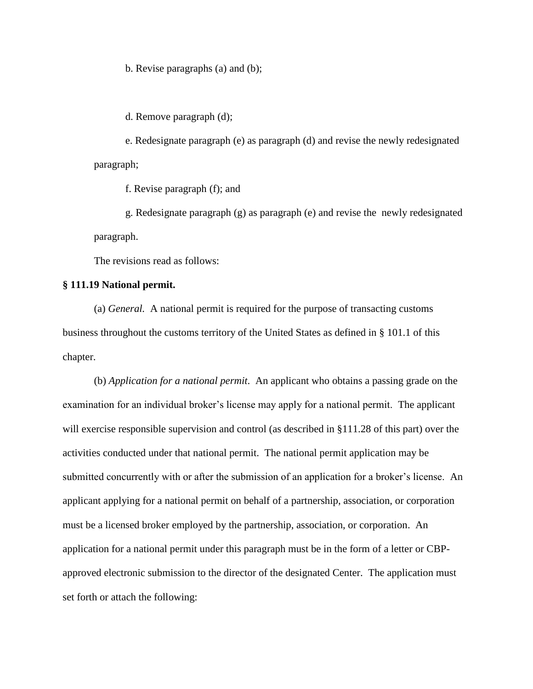b. Revise paragraphs (a) and (b);

d. Remove paragraph (d);

e. Redesignate paragraph (e) as paragraph (d) and revise the newly redesignated paragraph;

f. Revise paragraph (f); and

g. Redesignate paragraph (g) as paragraph (e) and revise the newly redesignated paragraph.

The revisions read as follows:

# **§ 111.19 National permit.**

(a) *General.* A national permit is required for the purpose of transacting customs business throughout the customs territory of the United States as defined in § 101.1 of this chapter.

(b) *Application for a national permit*. An applicant who obtains a passing grade on the examination for an individual broker's license may apply for a national permit. The applicant will exercise responsible supervision and control (as described in §111.28 of this part) over the activities conducted under that national permit. The national permit application may be submitted concurrently with or after the submission of an application for a broker's license. An applicant applying for a national permit on behalf of a partnership, association, or corporation must be a licensed broker employed by the partnership, association, or corporation. An application for a national permit under this paragraph must be in the form of a letter or CBPapproved electronic submission to the director of the designated Center. The application must set forth or attach the following: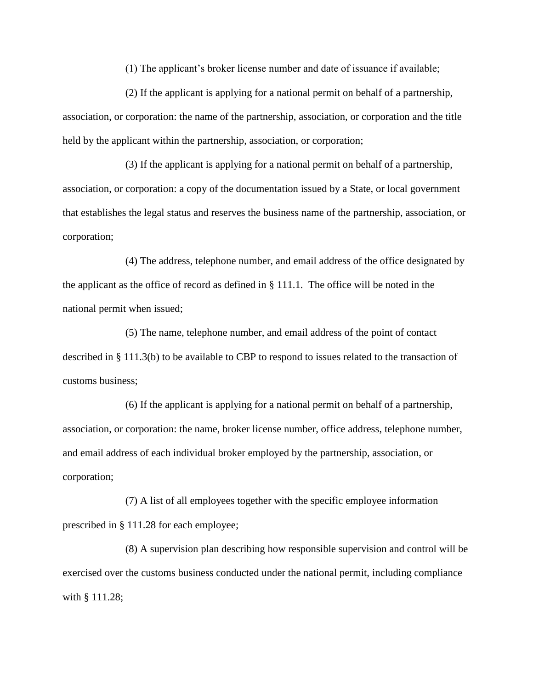(1) The applicant's broker license number and date of issuance if available;

(2) If the applicant is applying for a national permit on behalf of a partnership, association, or corporation: the name of the partnership, association, or corporation and the title held by the applicant within the partnership, association, or corporation;

(3) If the applicant is applying for a national permit on behalf of a partnership, association, or corporation: a copy of the documentation issued by a State, or local government that establishes the legal status and reserves the business name of the partnership, association, or corporation;

(4) The address, telephone number, and email address of the office designated by the applicant as the office of record as defined in § 111.1. The office will be noted in the national permit when issued;

(5) The name, telephone number, and email address of the point of contact described in § 111.3(b) to be available to CBP to respond to issues related to the transaction of customs business;

(6) If the applicant is applying for a national permit on behalf of a partnership, association, or corporation: the name, broker license number, office address, telephone number, and email address of each individual broker employed by the partnership, association, or corporation;

(7) A list of all employees together with the specific employee information prescribed in § 111.28 for each employee;

(8) A supervision plan describing how responsible supervision and control will be exercised over the customs business conducted under the national permit, including compliance with § 111.28;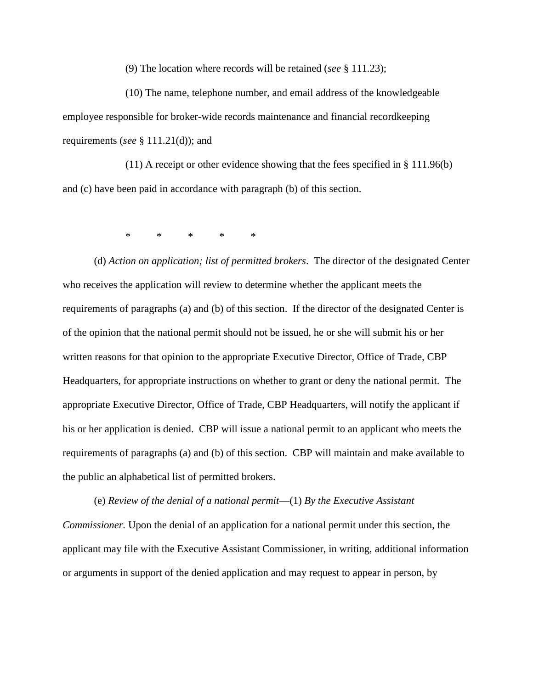(9) The location where records will be retained (*see* § 111.23);

(10) The name, telephone number, and email address of the knowledgeable employee responsible for broker-wide records maintenance and financial recordkeeping requirements (*see* § 111.21(d)); and

(11) A receipt or other evidence showing that the fees specified in § 111.96(b) and (c) have been paid in accordance with paragraph (b) of this section.

\* \* \* \* \*

(d) *Action on application; list of permitted brokers*. The director of the designated Center who receives the application will review to determine whether the applicant meets the requirements of paragraphs (a) and (b) of this section. If the director of the designated Center is of the opinion that the national permit should not be issued, he or she will submit his or her written reasons for that opinion to the appropriate Executive Director, Office of Trade, CBP Headquarters, for appropriate instructions on whether to grant or deny the national permit. The appropriate Executive Director, Office of Trade, CBP Headquarters, will notify the applicant if his or her application is denied. CBP will issue a national permit to an applicant who meets the requirements of paragraphs (a) and (b) of this section. CBP will maintain and make available to the public an alphabetical list of permitted brokers.

(e) *Review of the denial of a national permit*—(1) *By the Executive Assistant Commissioner.* Upon the denial of an application for a national permit under this section, the applicant may file with the Executive Assistant Commissioner, in writing, additional information or arguments in support of the denied application and may request to appear in person, by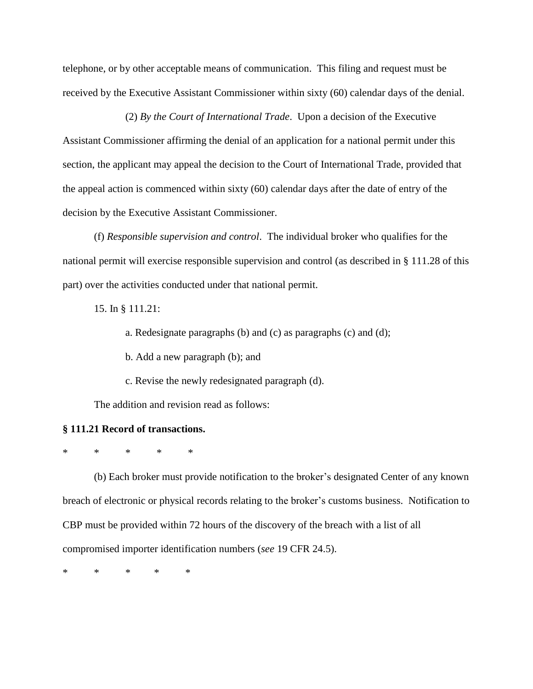telephone, or by other acceptable means of communication. This filing and request must be received by the Executive Assistant Commissioner within sixty (60) calendar days of the denial.

(2) *By the Court of International Trade*. Upon a decision of the Executive Assistant Commissioner affirming the denial of an application for a national permit under this section, the applicant may appeal the decision to the Court of International Trade, provided that the appeal action is commenced within sixty (60) calendar days after the date of entry of the decision by the Executive Assistant Commissioner.

(f) *Responsible supervision and control*. The individual broker who qualifies for the national permit will exercise responsible supervision and control (as described in § 111.28 of this part) over the activities conducted under that national permit.

15. In § 111.21:

a. Redesignate paragraphs (b) and (c) as paragraphs (c) and (d);

b. Add a new paragraph (b); and

c. Revise the newly redesignated paragraph (d).

The addition and revision read as follows:

#### **§ 111.21 Record of transactions.**

\* \* \* \* \*

(b) Each broker must provide notification to the broker's designated Center of any known breach of electronic or physical records relating to the broker's customs business. Notification to CBP must be provided within 72 hours of the discovery of the breach with a list of all compromised importer identification numbers (*see* 19 CFR 24.5).

\* \* \* \* \*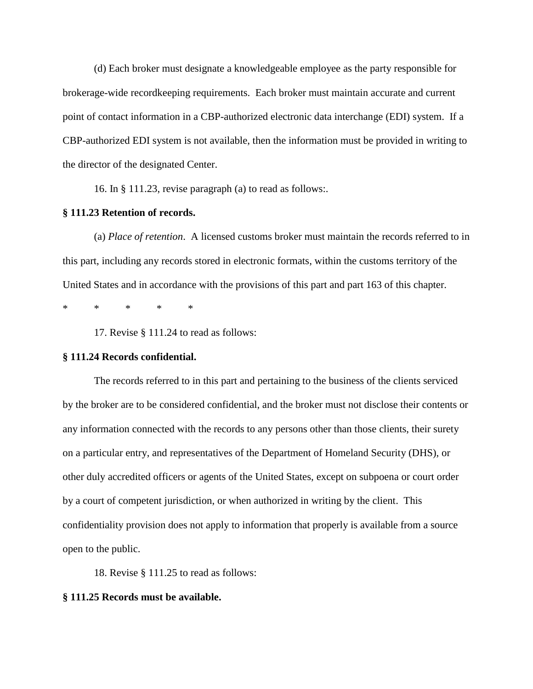(d) Each broker must designate a knowledgeable employee as the party responsible for brokerage-wide recordkeeping requirements. Each broker must maintain accurate and current point of contact information in a CBP-authorized electronic data interchange (EDI) system. If a CBP-authorized EDI system is not available, then the information must be provided in writing to the director of the designated Center.

16. In § 111.23, revise paragraph (a) to read as follows:.

# **§ 111.23 Retention of records.**

(a) *Place of retention*. A licensed customs broker must maintain the records referred to in this part, including any records stored in electronic formats, within the customs territory of the United States and in accordance with the provisions of this part and part 163 of this chapter.

\* \* \* \* \*

17. Revise § 111.24 to read as follows:

#### **§ 111.24 Records confidential.**

The records referred to in this part and pertaining to the business of the clients serviced by the broker are to be considered confidential, and the broker must not disclose their contents or any information connected with the records to any persons other than those clients, their surety on a particular entry, and representatives of the Department of Homeland Security (DHS), or other duly accredited officers or agents of the United States, except on subpoena or court order by a court of competent jurisdiction, or when authorized in writing by the client. This confidentiality provision does not apply to information that properly is available from a source open to the public.

18. Revise § 111.25 to read as follows:

#### **§ 111.25 Records must be available.**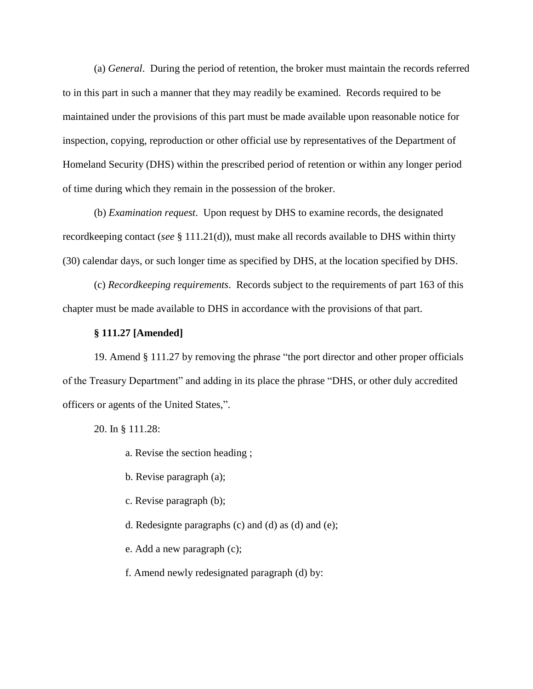(a) *General*. During the period of retention, the broker must maintain the records referred to in this part in such a manner that they may readily be examined. Records required to be maintained under the provisions of this part must be made available upon reasonable notice for inspection, copying, reproduction or other official use by representatives of the Department of Homeland Security (DHS) within the prescribed period of retention or within any longer period of time during which they remain in the possession of the broker.

(b) *Examination request*. Upon request by DHS to examine records, the designated recordkeeping contact (*see* § 111.21(d)), must make all records available to DHS within thirty (30) calendar days, or such longer time as specified by DHS, at the location specified by DHS.

(c) *Recordkeeping requirements*. Records subject to the requirements of part 163 of this chapter must be made available to DHS in accordance with the provisions of that part.

## **§ 111.27 [Amended]**

19. Amend § 111.27 by removing the phrase "the port director and other proper officials of the Treasury Department" and adding in its place the phrase "DHS, or other duly accredited officers or agents of the United States,".

20. In § 111.28:

- a. Revise the section heading ;
- b. Revise paragraph (a);
- c. Revise paragraph (b);
- d. Redesignte paragraphs (c) and (d) as (d) and (e);
- e. Add a new paragraph (c);
- f. Amend newly redesignated paragraph (d) by: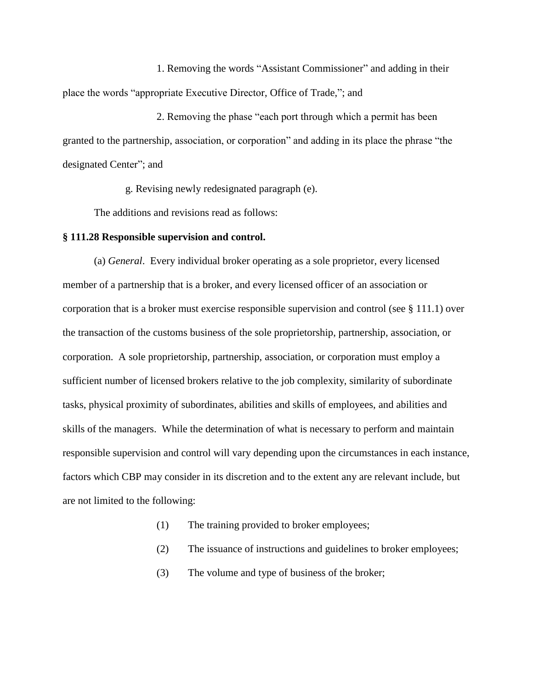1. Removing the words "Assistant Commissioner" and adding in their place the words "appropriate Executive Director, Office of Trade,"; and

2. Removing the phase "each port through which a permit has been granted to the partnership, association, or corporation" and adding in its place the phrase "the designated Center"; and

g. Revising newly redesignated paragraph (e).

The additions and revisions read as follows:

#### **§ 111.28 Responsible supervision and control.**

(a) *General*. Every individual broker operating as a sole proprietor, every licensed member of a partnership that is a broker, and every licensed officer of an association or corporation that is a broker must exercise responsible supervision and control (see § 111.1) over the transaction of the customs business of the sole proprietorship, partnership, association, or corporation. A sole proprietorship, partnership, association, or corporation must employ a sufficient number of licensed brokers relative to the job complexity, similarity of subordinate tasks, physical proximity of subordinates, abilities and skills of employees, and abilities and skills of the managers. While the determination of what is necessary to perform and maintain responsible supervision and control will vary depending upon the circumstances in each instance, factors which CBP may consider in its discretion and to the extent any are relevant include, but are not limited to the following:

- (1) The training provided to broker employees;
- (2) The issuance of instructions and guidelines to broker employees;
- (3) The volume and type of business of the broker;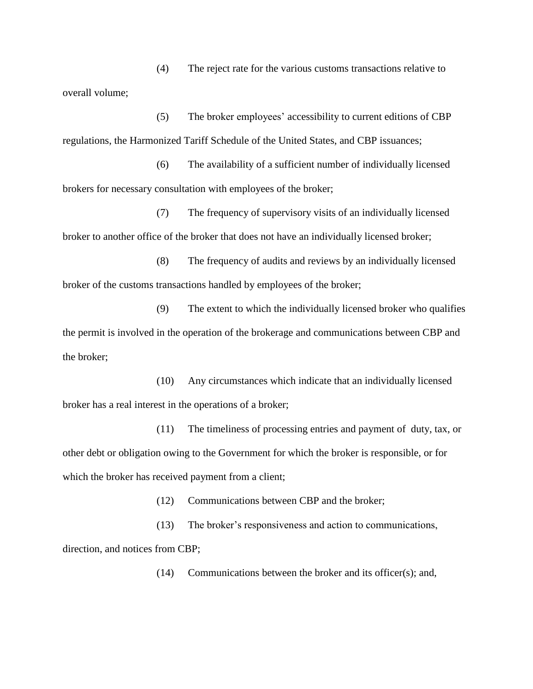(4) The reject rate for the various customs transactions relative to overall volume;

(5) The broker employees' accessibility to current editions of CBP regulations, the Harmonized Tariff Schedule of the United States, and CBP issuances;

(6) The availability of a sufficient number of individually licensed brokers for necessary consultation with employees of the broker;

(7) The frequency of supervisory visits of an individually licensed broker to another office of the broker that does not have an individually licensed broker;

(8) The frequency of audits and reviews by an individually licensed broker of the customs transactions handled by employees of the broker;

(9) The extent to which the individually licensed broker who qualifies the permit is involved in the operation of the brokerage and communications between CBP and the broker;

(10) Any circumstances which indicate that an individually licensed broker has a real interest in the operations of a broker;

(11) The timeliness of processing entries and payment of duty, tax, or other debt or obligation owing to the Government for which the broker is responsible, or for which the broker has received payment from a client;

(12) Communications between CBP and the broker;

(13) The broker's responsiveness and action to communications, direction, and notices from CBP;

(14) Communications between the broker and its officer(s); and,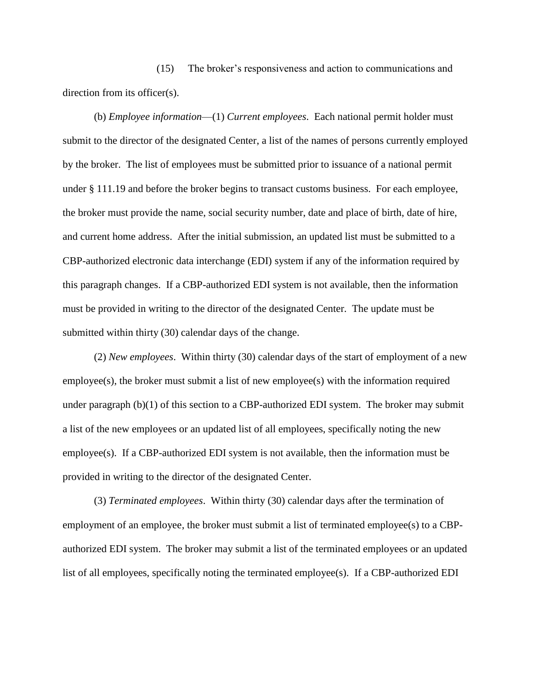(15) The broker's responsiveness and action to communications and direction from its officer(s).

(b) *Employee information*—(1) *Current employees*. Each national permit holder must submit to the director of the designated Center, a list of the names of persons currently employed by the broker. The list of employees must be submitted prior to issuance of a national permit under § 111.19 and before the broker begins to transact customs business. For each employee, the broker must provide the name, social security number, date and place of birth, date of hire, and current home address. After the initial submission, an updated list must be submitted to a CBP-authorized electronic data interchange (EDI) system if any of the information required by this paragraph changes. If a CBP-authorized EDI system is not available, then the information must be provided in writing to the director of the designated Center. The update must be submitted within thirty (30) calendar days of the change.

(2) *New employees*. Within thirty (30) calendar days of the start of employment of a new employee(s), the broker must submit a list of new employee(s) with the information required under paragraph (b)(1) of this section to a CBP-authorized EDI system. The broker may submit a list of the new employees or an updated list of all employees, specifically noting the new employee(s). If a CBP-authorized EDI system is not available, then the information must be provided in writing to the director of the designated Center.

(3) *Terminated employees*. Within thirty (30) calendar days after the termination of employment of an employee, the broker must submit a list of terminated employee(s) to a CBPauthorized EDI system. The broker may submit a list of the terminated employees or an updated list of all employees, specifically noting the terminated employee(s). If a CBP-authorized EDI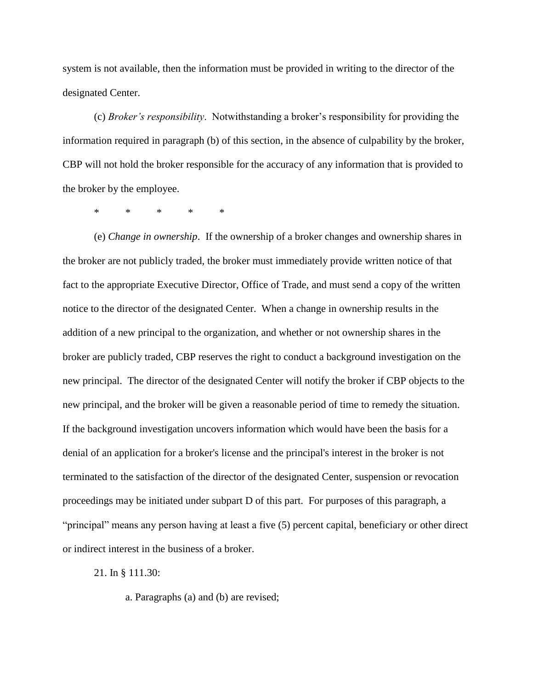system is not available, then the information must be provided in writing to the director of the designated Center.

(c) *Broker's responsibility*. Notwithstanding a broker's responsibility for providing the information required in paragraph (b) of this section, in the absence of culpability by the broker, CBP will not hold the broker responsible for the accuracy of any information that is provided to the broker by the employee.

\* \* \* \* \*

(e) *Change in ownership*. If the ownership of a broker changes and ownership shares in the broker are not publicly traded, the broker must immediately provide written notice of that fact to the appropriate Executive Director, Office of Trade, and must send a copy of the written notice to the director of the designated Center. When a change in ownership results in the addition of a new principal to the organization, and whether or not ownership shares in the broker are publicly traded, CBP reserves the right to conduct a background investigation on the new principal. The director of the designated Center will notify the broker if CBP objects to the new principal, and the broker will be given a reasonable period of time to remedy the situation. If the background investigation uncovers information which would have been the basis for a denial of an application for a broker's license and the principal's interest in the broker is not terminated to the satisfaction of the director of the designated Center, suspension or revocation proceedings may be initiated under subpart D of this part. For purposes of this paragraph, a "principal" means any person having at least a five (5) percent capital, beneficiary or other direct or indirect interest in the business of a broker.

21. In § 111.30:

a. Paragraphs (a) and (b) are revised;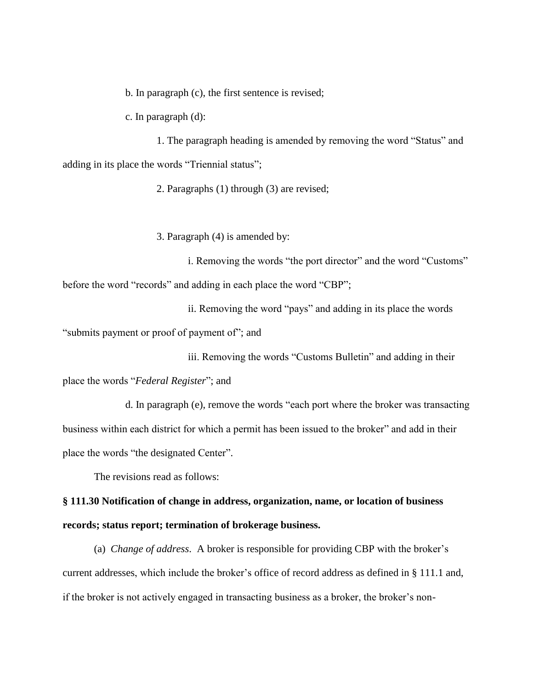b. In paragraph (c), the first sentence is revised;

c. In paragraph (d):

1. The paragraph heading is amended by removing the word "Status" and adding in its place the words "Triennial status";

2. Paragraphs (1) through (3) are revised;

3. Paragraph (4) is amended by:

i. Removing the words "the port director" and the word "Customs" before the word "records" and adding in each place the word "CBP";

ii. Removing the word "pays" and adding in its place the words

"submits payment or proof of payment of"; and

iii. Removing the words "Customs Bulletin" and adding in their

place the words "*Federal Register*"; and

d. In paragraph (e), remove the words "each port where the broker was transacting business within each district for which a permit has been issued to the broker" and add in their place the words "the designated Center".

The revisions read as follows:

**§ 111.30 Notification of change in address, organization, name, or location of business records; status report; termination of brokerage business.**

(a) *Change of address*. A broker is responsible for providing CBP with the broker's current addresses, which include the broker's office of record address as defined in § 111.1 and, if the broker is not actively engaged in transacting business as a broker, the broker's non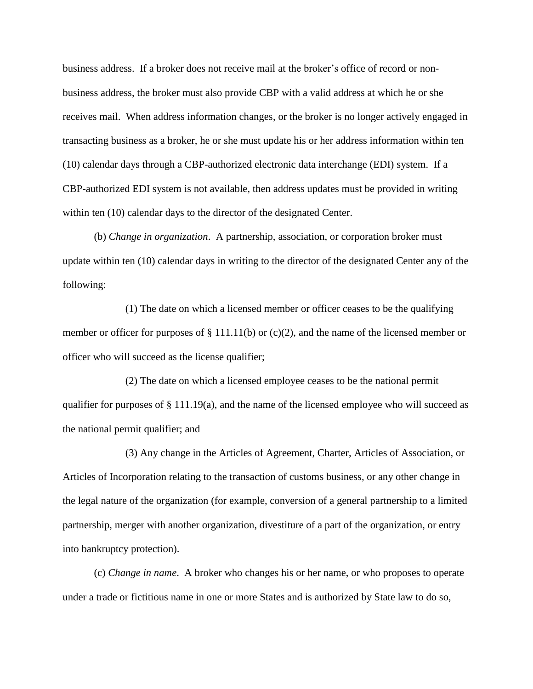business address. If a broker does not receive mail at the broker's office of record or nonbusiness address, the broker must also provide CBP with a valid address at which he or she receives mail. When address information changes, or the broker is no longer actively engaged in transacting business as a broker, he or she must update his or her address information within ten (10) calendar days through a CBP-authorized electronic data interchange (EDI) system. If a CBP-authorized EDI system is not available, then address updates must be provided in writing within ten (10) calendar days to the director of the designated Center.

(b) *Change in organization*. A partnership, association, or corporation broker must update within ten (10) calendar days in writing to the director of the designated Center any of the following:

(1) The date on which a licensed member or officer ceases to be the qualifying member or officer for purposes of § 111.11(b) or (c)(2), and the name of the licensed member or officer who will succeed as the license qualifier;

(2) The date on which a licensed employee ceases to be the national permit qualifier for purposes of § 111.19(a), and the name of the licensed employee who will succeed as the national permit qualifier; and

(3) Any change in the Articles of Agreement, Charter, Articles of Association, or Articles of Incorporation relating to the transaction of customs business, or any other change in the legal nature of the organization (for example, conversion of a general partnership to a limited partnership, merger with another organization, divestiture of a part of the organization, or entry into bankruptcy protection).

(c) *Change in name*. A broker who changes his or her name, or who proposes to operate under a trade or fictitious name in one or more States and is authorized by State law to do so,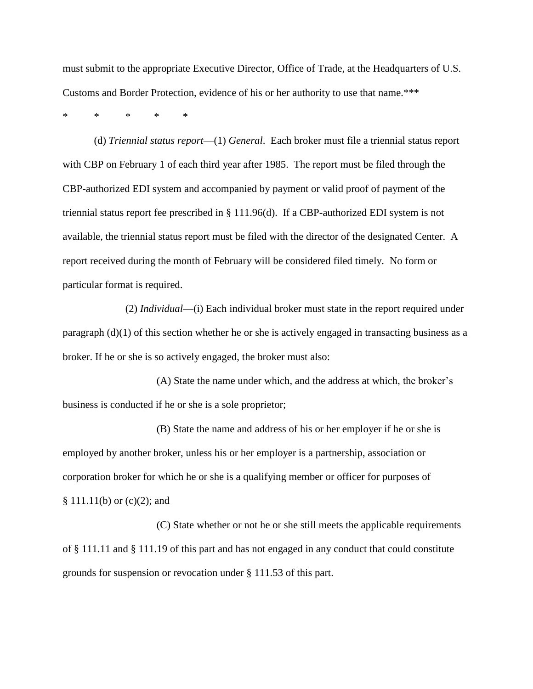must submit to the appropriate Executive Director, Office of Trade, at the Headquarters of U.S. Customs and Border Protection, evidence of his or her authority to use that name.\*\*\*

\* \* \* \* \*

(d) *Triennial status report*—(1) *General*. Each broker must file a triennial status report with CBP on February 1 of each third year after 1985. The report must be filed through the CBP-authorized EDI system and accompanied by payment or valid proof of payment of the triennial status report fee prescribed in § 111.96(d). If a CBP-authorized EDI system is not available, the triennial status report must be filed with the director of the designated Center. A report received during the month of February will be considered filed timely. No form or particular format is required.

(2) *Individual*—(i) Each individual broker must state in the report required under paragraph (d)(1) of this section whether he or she is actively engaged in transacting business as a broker. If he or she is so actively engaged, the broker must also:

(A) State the name under which, and the address at which, the broker's business is conducted if he or she is a sole proprietor;

(B) State the name and address of his or her employer if he or she is employed by another broker, unless his or her employer is a partnership, association or corporation broker for which he or she is a qualifying member or officer for purposes of § 111.11(b) or (c)(2); and

(C) State whether or not he or she still meets the applicable requirements of § 111.11 and § 111.19 of this part and has not engaged in any conduct that could constitute grounds for suspension or revocation under § 111.53 of this part.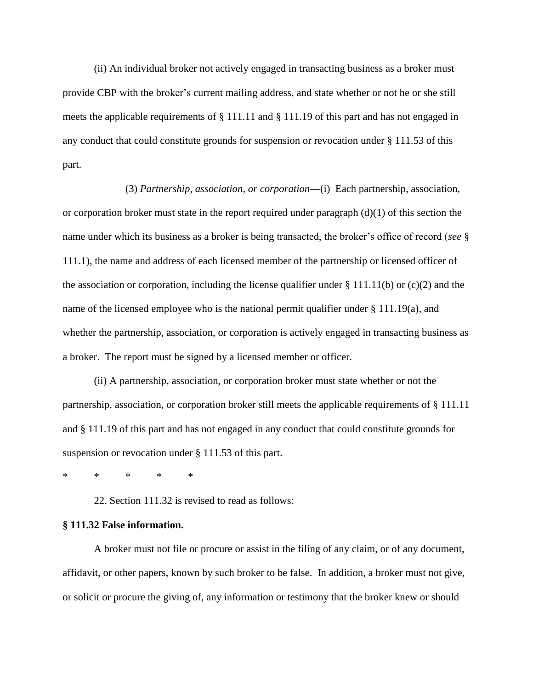(ii) An individual broker not actively engaged in transacting business as a broker must provide CBP with the broker's current mailing address, and state whether or not he or she still meets the applicable requirements of § 111.11 and § 111.19 of this part and has not engaged in any conduct that could constitute grounds for suspension or revocation under § 111.53 of this part.

(3) *Partnership, association, or corporation*—(i)Each partnership, association, or corporation broker must state in the report required under paragraph  $(d)(1)$  of this section the name under which its business as a broker is being transacted, the broker's office of record (*see* § 111.1), the name and address of each licensed member of the partnership or licensed officer of the association or corporation, including the license qualifier under  $\S 111.11(b)$  or (c)(2) and the name of the licensed employee who is the national permit qualifier under § 111.19(a), and whether the partnership, association, or corporation is actively engaged in transacting business as a broker. The report must be signed by a licensed member or officer.

(ii) A partnership, association, or corporation broker must state whether or not the partnership, association, or corporation broker still meets the applicable requirements of § 111.11 and § 111.19 of this part and has not engaged in any conduct that could constitute grounds for suspension or revocation under § 111.53 of this part.

\* \* \* \* \*

22. Section 111.32 is revised to read as follows:

#### **§ 111.32 False information.**

A broker must not file or procure or assist in the filing of any claim, or of any document, affidavit, or other papers, known by such broker to be false. In addition, a broker must not give, or solicit or procure the giving of, any information or testimony that the broker knew or should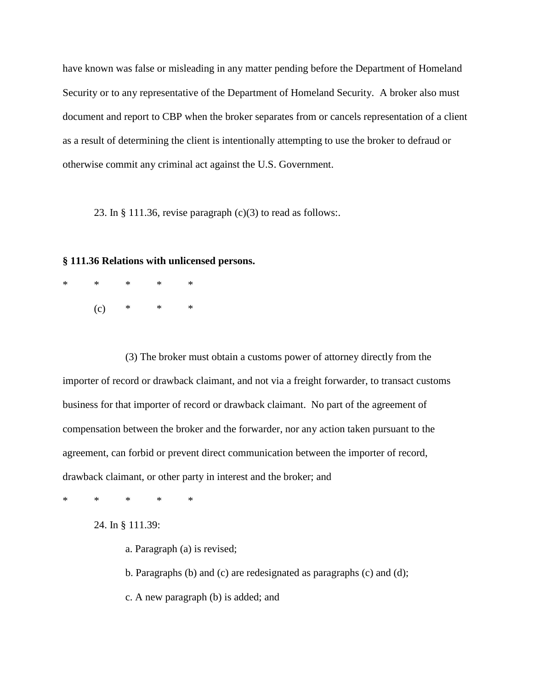have known was false or misleading in any matter pending before the Department of Homeland Security or to any representative of the Department of Homeland Security. A broker also must document and report to CBP when the broker separates from or cancels representation of a client as a result of determining the client is intentionally attempting to use the broker to defraud or otherwise commit any criminal act against the U.S. Government.

23. In  $\S 111.36$ , revise paragraph (c)(3) to read as follows:.

#### **§ 111.36 Relations with unlicensed persons.**

\* \* \* \* \*  $(c)$  \* \* \*

(3) The broker must obtain a customs power of attorney directly from the importer of record or drawback claimant, and not via a freight forwarder, to transact customs business for that importer of record or drawback claimant. No part of the agreement of compensation between the broker and the forwarder, nor any action taken pursuant to the agreement, can forbid or prevent direct communication between the importer of record, drawback claimant, or other party in interest and the broker; and

\* \* \* \* \*

24. In § 111.39:

a. Paragraph (a) is revised;

b. Paragraphs (b) and (c) are redesignated as paragraphs (c) and (d);

c. A new paragraph (b) is added; and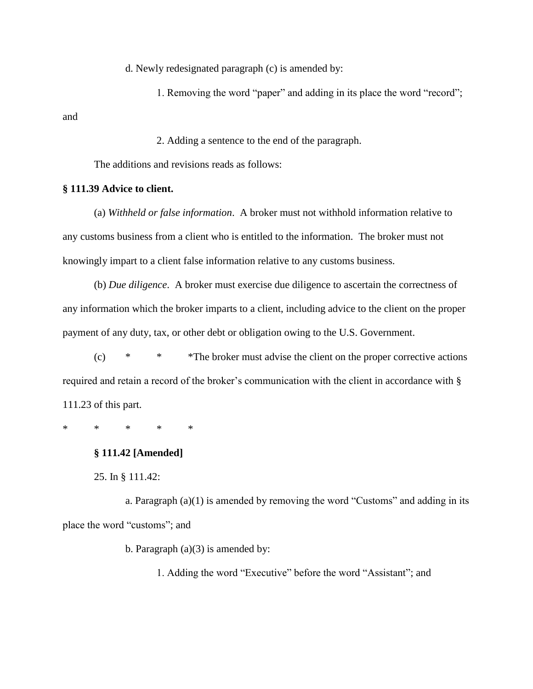d. Newly redesignated paragraph (c) is amended by:

1. Removing the word "paper" and adding in its place the word "record"; and

2. Adding a sentence to the end of the paragraph.

The additions and revisions reads as follows:

## **§ 111.39 Advice to client.**

(a) *Withheld or false information*. A broker must not withhold information relative to any customs business from a client who is entitled to the information. The broker must not knowingly impart to a client false information relative to any customs business.

(b) *Due diligence*. A broker must exercise due diligence to ascertain the correctness of any information which the broker imparts to a client, including advice to the client on the proper payment of any duty, tax, or other debt or obligation owing to the U.S. Government.

(c) \* \* \*The broker must advise the client on the proper corrective actions required and retain a record of the broker's communication with the client in accordance with § 111.23 of this part.

\* \* \* \* \*

# **§ 111.42 [Amended]**

25. In § 111.42:

a. Paragraph (a)(1) is amended by removing the word "Customs" and adding in its place the word "customs"; and

b. Paragraph  $(a)(3)$  is amended by:

1. Adding the word "Executive" before the word "Assistant"; and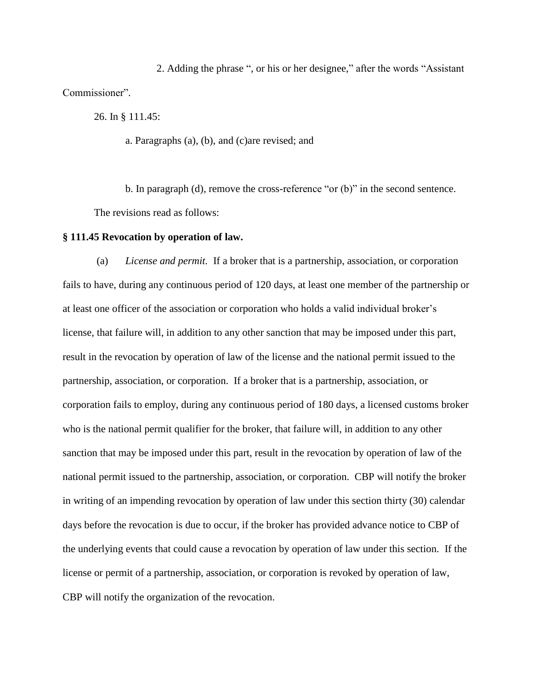2. Adding the phrase ", or his or her designee," after the words "Assistant Commissioner".

26. In § 111.45:

a. Paragraphs (a), (b), and (c)are revised; and

b. In paragraph (d), remove the cross-reference "or (b)" in the second sentence. The revisions read as follows:

#### **§ 111.45 Revocation by operation of law.**

(a) *License and permit.* If a broker that is a partnership, association, or corporation fails to have, during any continuous period of 120 days, at least one member of the partnership or at least one officer of the association or corporation who holds a valid individual broker's license, that failure will, in addition to any other sanction that may be imposed under this part, result in the revocation by operation of law of the license and the national permit issued to the partnership, association, or corporation. If a broker that is a partnership, association, or corporation fails to employ, during any continuous period of 180 days, a licensed customs broker who is the national permit qualifier for the broker, that failure will, in addition to any other sanction that may be imposed under this part, result in the revocation by operation of law of the national permit issued to the partnership, association, or corporation. CBP will notify the broker in writing of an impending revocation by operation of law under this section thirty (30) calendar days before the revocation is due to occur, if the broker has provided advance notice to CBP of the underlying events that could cause a revocation by operation of law under this section. If the license or permit of a partnership, association, or corporation is revoked by operation of law, CBP will notify the organization of the revocation.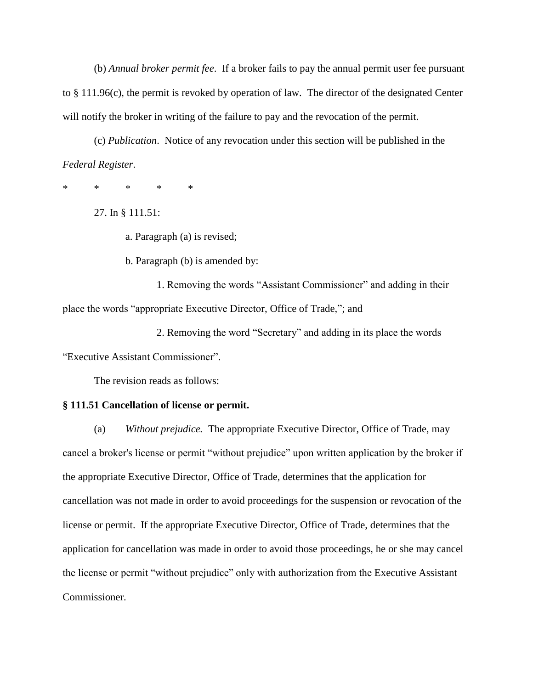(b) *Annual broker permit fee*. If a broker fails to pay the annual permit user fee pursuant to § 111.96(c), the permit is revoked by operation of law. The director of the designated Center will notify the broker in writing of the failure to pay and the revocation of the permit.

(c) *Publication*. Notice of any revocation under this section will be published in the *Federal Register*.

\* \* \* \* \*

27. In § 111.51:

a. Paragraph (a) is revised;

b. Paragraph (b) is amended by:

1. Removing the words "Assistant Commissioner" and adding in their place the words "appropriate Executive Director, Office of Trade,"; and

2. Removing the word "Secretary" and adding in its place the words "Executive Assistant Commissioner".

The revision reads as follows:

#### **§ 111.51 Cancellation of license or permit.**

(a) *Without prejudice.* The appropriate Executive Director, Office of Trade, may cancel a broker's license or permit "without prejudice" upon written application by the broker if the appropriate Executive Director, Office of Trade, determines that the application for cancellation was not made in order to avoid proceedings for the suspension or revocation of the license or permit. If the appropriate Executive Director, Office of Trade, determines that the application for cancellation was made in order to avoid those proceedings, he or she may cancel the license or permit "without prejudice" only with authorization from the Executive Assistant Commissioner.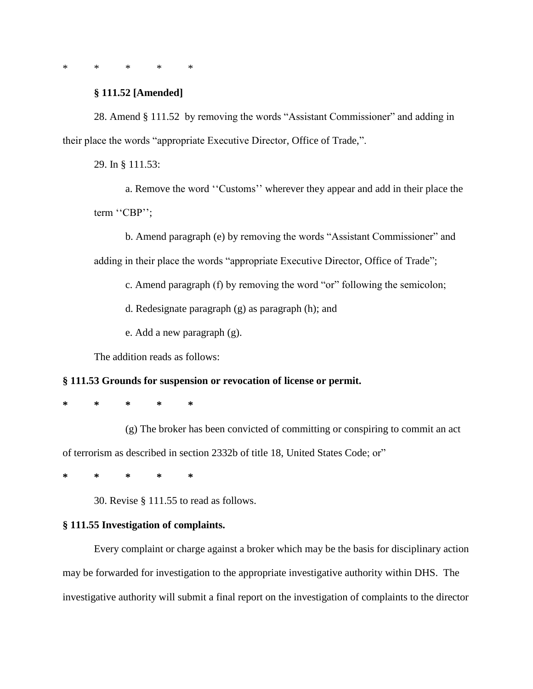\* \* \* \* \*

## **§ 111.52 [Amended]**

28. Amend § 111.52 by removing the words "Assistant Commissioner" and adding in their place the words "appropriate Executive Director, Office of Trade,".

29. In § 111.53:

a. Remove the word ''Customs'' wherever they appear and add in their place the term ''CBP'';

b. Amend paragraph (e) by removing the words "Assistant Commissioner" and adding in their place the words "appropriate Executive Director, Office of Trade";

c. Amend paragraph (f) by removing the word "or" following the semicolon;

d. Redesignate paragraph (g) as paragraph (h); and

e. Add a new paragraph (g).

The addition reads as follows:

## **§ 111.53 Grounds for suspension or revocation of license or permit.**

**\* \* \* \* \***

(g) The broker has been convicted of committing or conspiring to commit an act of terrorism as described in section 2332b of title 18, United States Code; or"

**\* \* \* \* \***

30. Revise § 111.55 to read as follows.

# **§ 111.55 Investigation of complaints.**

Every complaint or charge against a broker which may be the basis for disciplinary action may be forwarded for investigation to the appropriate investigative authority within DHS. The investigative authority will submit a final report on the investigation of complaints to the director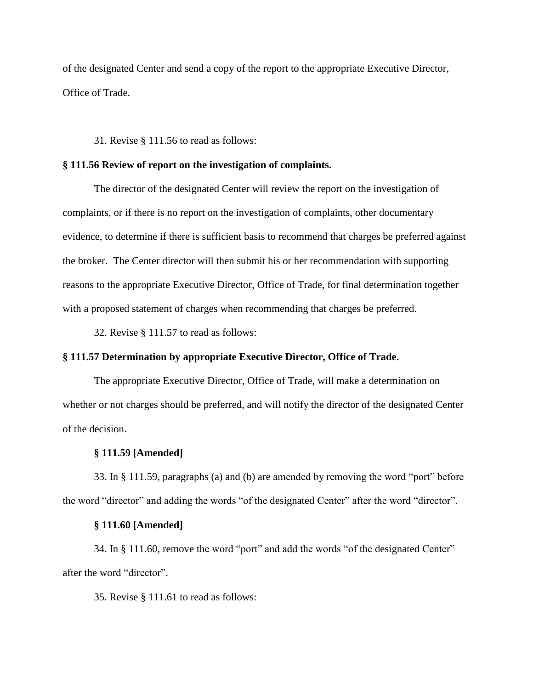of the designated Center and send a copy of the report to the appropriate Executive Director, Office of Trade.

31. Revise § 111.56 to read as follows:

#### **§ 111.56 Review of report on the investigation of complaints.**

The director of the designated Center will review the report on the investigation of complaints, or if there is no report on the investigation of complaints, other documentary evidence, to determine if there is sufficient basis to recommend that charges be preferred against the broker. The Center director will then submit his or her recommendation with supporting reasons to the appropriate Executive Director, Office of Trade, for final determination together with a proposed statement of charges when recommending that charges be preferred.

32. Revise § 111.57 to read as follows:

## **§ 111.57 Determination by appropriate Executive Director, Office of Trade.**

The appropriate Executive Director, Office of Trade, will make a determination on whether or not charges should be preferred, and will notify the director of the designated Center of the decision.

## **§ 111.59 [Amended]**

33. In § 111.59, paragraphs (a) and (b) are amended by removing the word "port" before the word "director" and adding the words "of the designated Center" after the word "director".

#### **§ 111.60 [Amended]**

34. In § 111.60, remove the word "port" and add the words "of the designated Center" after the word "director".

35. Revise § 111.61 to read as follows: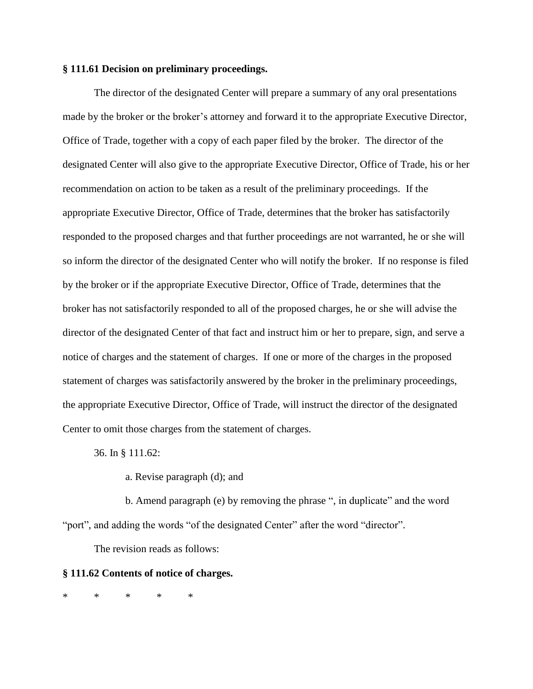# **§ 111.61 Decision on preliminary proceedings.**

The director of the designated Center will prepare a summary of any oral presentations made by the broker or the broker's attorney and forward it to the appropriate Executive Director, Office of Trade, together with a copy of each paper filed by the broker. The director of the designated Center will also give to the appropriate Executive Director, Office of Trade, his or her recommendation on action to be taken as a result of the preliminary proceedings. If the appropriate Executive Director, Office of Trade, determines that the broker has satisfactorily responded to the proposed charges and that further proceedings are not warranted, he or she will so inform the director of the designated Center who will notify the broker. If no response is filed by the broker or if the appropriate Executive Director, Office of Trade, determines that the broker has not satisfactorily responded to all of the proposed charges, he or she will advise the director of the designated Center of that fact and instruct him or her to prepare, sign, and serve a notice of charges and the statement of charges. If one or more of the charges in the proposed statement of charges was satisfactorily answered by the broker in the preliminary proceedings, the appropriate Executive Director, Office of Trade, will instruct the director of the designated Center to omit those charges from the statement of charges.

36. In § 111.62:

a. Revise paragraph (d); and

b. Amend paragraph (e) by removing the phrase ", in duplicate" and the word "port", and adding the words "of the designated Center" after the word "director".

The revision reads as follows:

#### **§ 111.62 Contents of notice of charges.**

\* \* \* \* \*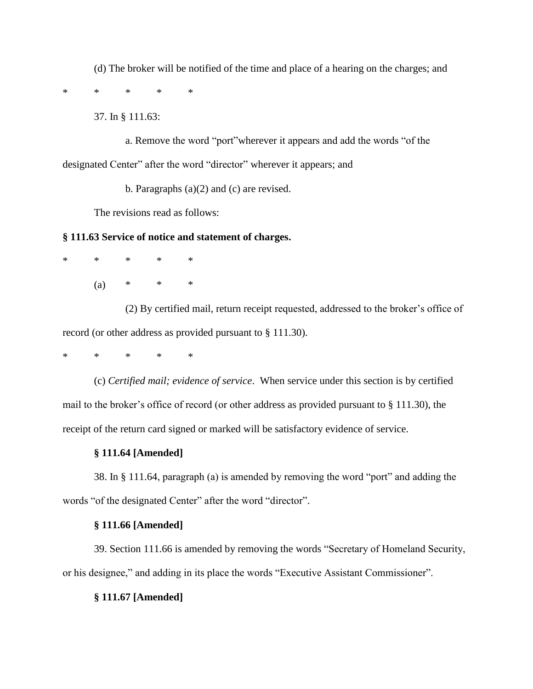(d) The broker will be notified of the time and place of a hearing on the charges; and

\* \* \* \* \*

37. In § 111.63:

a. Remove the word "port"wherever it appears and add the words "of the designated Center" after the word "director" wherever it appears; and

b. Paragraphs (a)(2) and (c) are revised.

The revisions read as follows:

## **§ 111.63 Service of notice and statement of charges.**

\* \* \* \* \*

(a)  $*$   $*$   $*$ 

(2) By certified mail, return receipt requested, addressed to the broker's office of record (or other address as provided pursuant to § 111.30).

# \* \* \* \* \*

(c) *Certified mail; evidence of service*. When service under this section is by certified mail to the broker's office of record (or other address as provided pursuant to § 111.30), the receipt of the return card signed or marked will be satisfactory evidence of service.

## **§ 111.64 [Amended]**

38. In § 111.64, paragraph (a) is amended by removing the word "port" and adding the words "of the designated Center" after the word "director".

## **§ 111.66 [Amended]**

39. Section 111.66 is amended by removing the words "Secretary of Homeland Security, or his designee," and adding in its place the words "Executive Assistant Commissioner".

## **§ 111.67 [Amended]**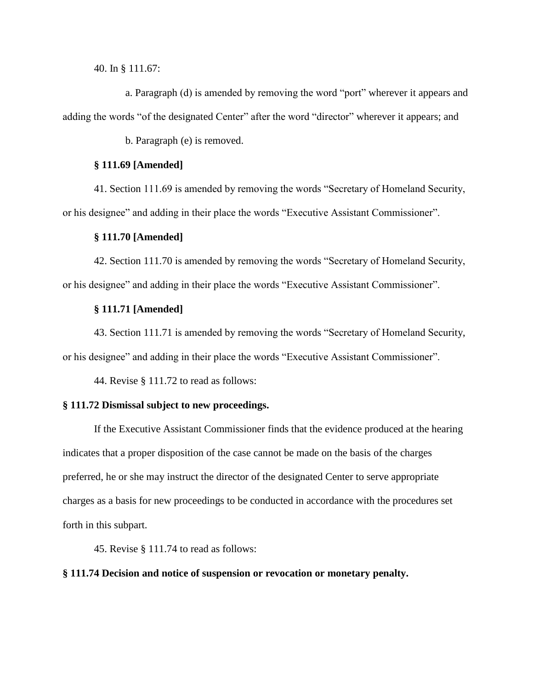40. In § 111.67:

a. Paragraph (d) is amended by removing the word "port" wherever it appears and adding the words "of the designated Center" after the word "director" wherever it appears; and

b. Paragraph (e) is removed.

# **§ 111.69 [Amended]**

41. Section 111.69 is amended by removing the words "Secretary of Homeland Security, or his designee" and adding in their place the words "Executive Assistant Commissioner".

#### **§ 111.70 [Amended]**

42. Section 111.70 is amended by removing the words "Secretary of Homeland Security, or his designee" and adding in their place the words "Executive Assistant Commissioner".

### **§ 111.71 [Amended]**

43. Section 111.71 is amended by removing the words "Secretary of Homeland Security, or his designee" and adding in their place the words "Executive Assistant Commissioner".

44. Revise § 111.72 to read as follows:

## **§ 111.72 Dismissal subject to new proceedings.**

If the Executive Assistant Commissioner finds that the evidence produced at the hearing indicates that a proper disposition of the case cannot be made on the basis of the charges preferred, he or she may instruct the director of the designated Center to serve appropriate charges as a basis for new proceedings to be conducted in accordance with the procedures set forth in this subpart.

45. Revise § 111.74 to read as follows:

### **§ 111.74 Decision and notice of suspension or revocation or monetary penalty.**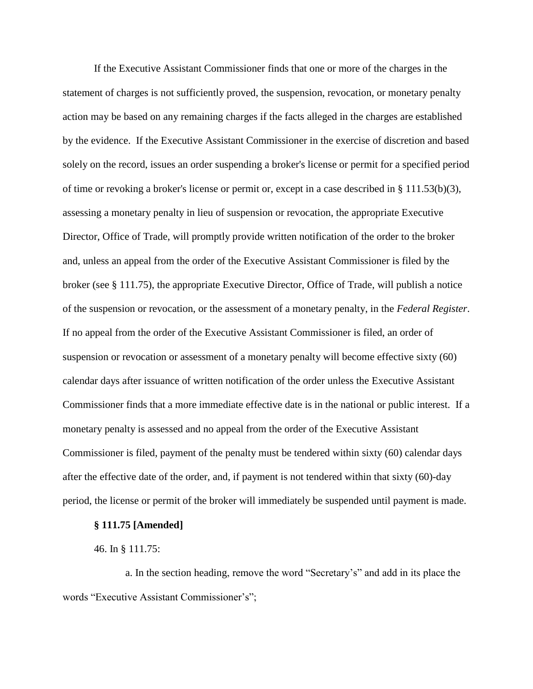If the Executive Assistant Commissioner finds that one or more of the charges in the statement of charges is not sufficiently proved, the suspension, revocation, or monetary penalty action may be based on any remaining charges if the facts alleged in the charges are established by the evidence. If the Executive Assistant Commissioner in the exercise of discretion and based solely on the record, issues an order suspending a broker's license or permit for a specified period of time or revoking a broker's license or permit or, except in a case described in § 111.53(b)(3), assessing a monetary penalty in lieu of suspension or revocation, the appropriate Executive Director, Office of Trade, will promptly provide written notification of the order to the broker and, unless an appeal from the order of the Executive Assistant Commissioner is filed by the broker (see § 111.75), the appropriate Executive Director, Office of Trade, will publish a notice of the suspension or revocation, or the assessment of a monetary penalty, in the *Federal Register*. If no appeal from the order of the Executive Assistant Commissioner is filed, an order of suspension or revocation or assessment of a monetary penalty will become effective sixty (60) calendar days after issuance of written notification of the order unless the Executive Assistant Commissioner finds that a more immediate effective date is in the national or public interest. If a monetary penalty is assessed and no appeal from the order of the Executive Assistant Commissioner is filed, payment of the penalty must be tendered within sixty (60) calendar days after the effective date of the order, and, if payment is not tendered within that sixty (60)-day period, the license or permit of the broker will immediately be suspended until payment is made.

# **§ 111.75 [Amended]**

46. In § 111.75:

a. In the section heading, remove the word "Secretary's" and add in its place the words "Executive Assistant Commissioner's";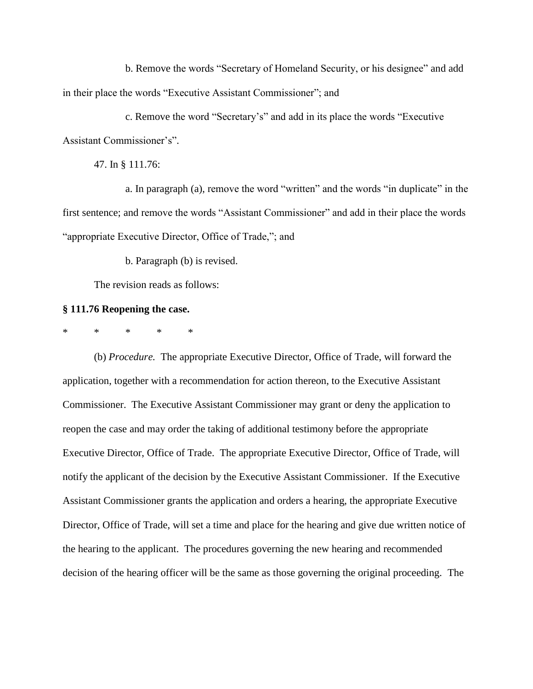b. Remove the words "Secretary of Homeland Security, or his designee" and add in their place the words "Executive Assistant Commissioner"; and

c. Remove the word "Secretary's" and add in its place the words "Executive Assistant Commissioner's".

47. In § 111.76:

a. In paragraph (a), remove the word "written" and the words "in duplicate" in the first sentence; and remove the words "Assistant Commissioner" and add in their place the words "appropriate Executive Director, Office of Trade,"; and

b. Paragraph (b) is revised.

The revision reads as follows:

#### **§ 111.76 Reopening the case.**

\* \* \* \* \*

(b) *Procedure.* The appropriate Executive Director, Office of Trade, will forward the application, together with a recommendation for action thereon, to the Executive Assistant Commissioner. The Executive Assistant Commissioner may grant or deny the application to reopen the case and may order the taking of additional testimony before the appropriate Executive Director, Office of Trade. The appropriate Executive Director, Office of Trade, will notify the applicant of the decision by the Executive Assistant Commissioner. If the Executive Assistant Commissioner grants the application and orders a hearing, the appropriate Executive Director, Office of Trade, will set a time and place for the hearing and give due written notice of the hearing to the applicant. The procedures governing the new hearing and recommended decision of the hearing officer will be the same as those governing the original proceeding. The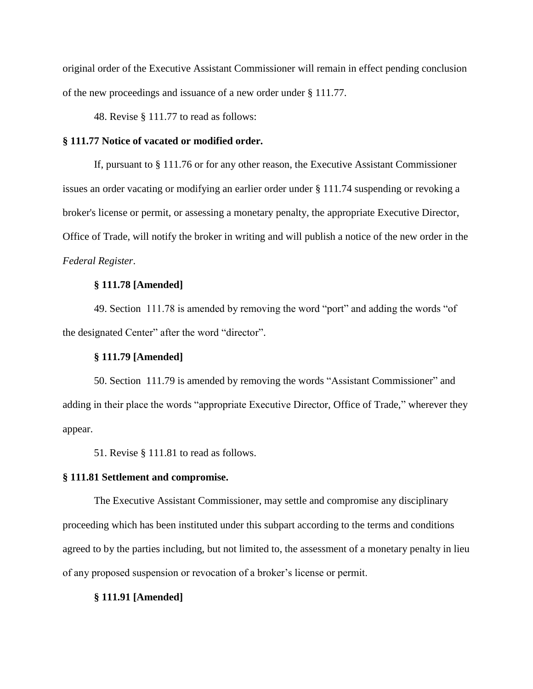original order of the Executive Assistant Commissioner will remain in effect pending conclusion of the new proceedings and issuance of a new order under § 111.77.

48. Revise § 111.77 to read as follows:

# **§ 111.77 Notice of vacated or modified order.**

If, pursuant to § 111.76 or for any other reason, the Executive Assistant Commissioner issues an order vacating or modifying an earlier order under § 111.74 suspending or revoking a broker's license or permit, or assessing a monetary penalty, the appropriate Executive Director, Office of Trade, will notify the broker in writing and will publish a notice of the new order in the *Federal Register*.

# **§ 111.78 [Amended]**

49. Section 111.78 is amended by removing the word "port" and adding the words "of the designated Center" after the word "director".

# **§ 111.79 [Amended]**

50. Section 111.79 is amended by removing the words "Assistant Commissioner" and adding in their place the words "appropriate Executive Director, Office of Trade," wherever they appear.

51. Revise § 111.81 to read as follows.

#### **§ 111.81 Settlement and compromise.**

The Executive Assistant Commissioner, may settle and compromise any disciplinary proceeding which has been instituted under this subpart according to the terms and conditions agreed to by the parties including, but not limited to, the assessment of a monetary penalty in lieu of any proposed suspension or revocation of a broker's license or permit.

#### **§ 111.91 [Amended]**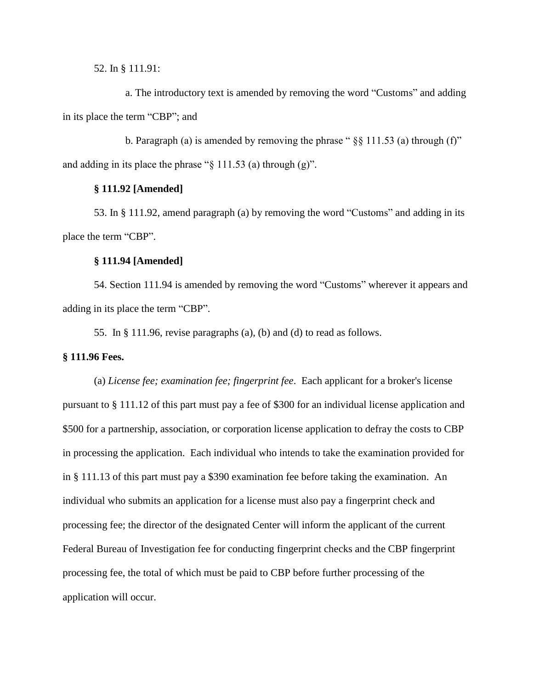52. In § 111.91:

a. The introductory text is amended by removing the word "Customs" and adding in its place the term "CBP"; and

b. Paragraph (a) is amended by removing the phrase " $\S$ § 111.53 (a) through (f)" and adding in its place the phrase "§ 111.53 (a) through (g)".

# **§ 111.92 [Amended]**

53. In § 111.92, amend paragraph (a) by removing the word "Customs" and adding in its place the term "CBP".

### **§ 111.94 [Amended]**

54. Section 111.94 is amended by removing the word "Customs" wherever it appears and adding in its place the term "CBP".

55. In § 111.96, revise paragraphs (a), (b) and (d) to read as follows.

### **§ 111.96 Fees.**

(a) *License fee; examination fee; fingerprint fee*. Each applicant for a broker's license pursuant to § 111.12 of this part must pay a fee of \$300 for an individual license application and \$500 for a partnership, association, or corporation license application to defray the costs to CBP in processing the application. Each individual who intends to take the examination provided for in § 111.13 of this part must pay a \$390 examination fee before taking the examination. An individual who submits an application for a license must also pay a fingerprint check and processing fee; the director of the designated Center will inform the applicant of the current Federal Bureau of Investigation fee for conducting fingerprint checks and the CBP fingerprint processing fee, the total of which must be paid to CBP before further processing of the application will occur.